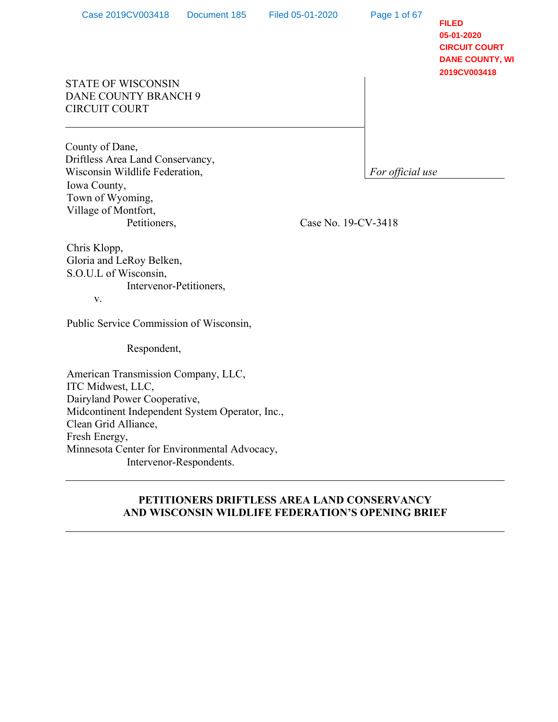Page 1 of 67

**FILED 05-01-2020 CIRCUIT COURT DANE COUNTY, WI 2019CV003418**

# STATE OF WISCONSIN DANE COUNTY BRANCH 9 CIRCUIT COURT

County of Dane, Driftless Area Land Conservancy, Wisconsin Wildlife Federation, **For official use For official use** Iowa County, Town of Wyoming, Village of Montfort, Petitioners,

Case No. 19-CV-3418

Chris Klopp, Gloria and LeRoy Belken, S.O.U.L of Wisconsin, Intervenor-Petitioners,

v.

Public Service Commission of Wisconsin,

Respondent,

American Transmission Company, LLC, ITC Midwest, LLC, Dairyland Power Cooperative, Midcontinent Independent System Operator, Inc., Clean Grid Alliance, Fresh Energy, Minnesota Center for Environmental Advocacy, Intervenor-Respondents.

## **PETITIONERS DRIFTLESS AREA LAND CONSERVANCY AND WISCONSIN WILDLIFE FEDERATION'S OPENING BRIEF**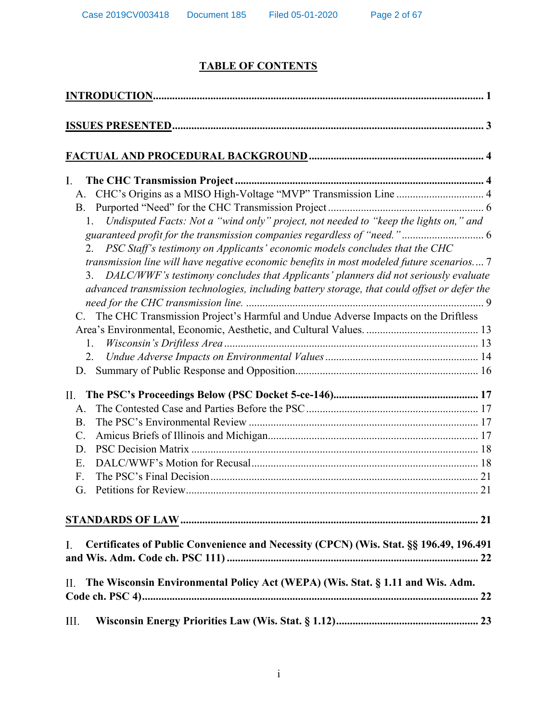# **TABLE OF CONTENTS**

| $\mathbf{I}$ .<br>CHC's Origins as a MISO High-Voltage "MVP" Transmission Line  4<br>A.<br><b>B.</b><br>Undisputed Facts: Not a "wind only" project, not needed to "keep the lights on," and<br>1.<br>2. PSC Staff's testimony on Applicants' economic models concludes that the CHC<br>transmission line will have negative economic benefits in most modeled future scenarios 7<br>DALC/WWF's testimony concludes that Applicants' planners did not seriously evaluate<br>3.<br>advanced transmission technologies, including battery storage, that could offset or defer the<br>The CHC Transmission Project's Harmful and Undue Adverse Impacts on the Driftless<br>C.<br>1.<br>2. |  |
|----------------------------------------------------------------------------------------------------------------------------------------------------------------------------------------------------------------------------------------------------------------------------------------------------------------------------------------------------------------------------------------------------------------------------------------------------------------------------------------------------------------------------------------------------------------------------------------------------------------------------------------------------------------------------------------|--|
| D.                                                                                                                                                                                                                                                                                                                                                                                                                                                                                                                                                                                                                                                                                     |  |
| II.<br>A.<br><b>B.</b><br>C.<br>D.<br>Е.<br>$F_{\cdot}$<br>G.                                                                                                                                                                                                                                                                                                                                                                                                                                                                                                                                                                                                                          |  |
| Certificates of Public Convenience and Necessity (CPCN) (Wis. Stat. §§ 196.49, 196.491<br>$\mathbf{I}$ .                                                                                                                                                                                                                                                                                                                                                                                                                                                                                                                                                                               |  |
| П.<br>The Wisconsin Environmental Policy Act (WEPA) (Wis. Stat. § 1.11 and Wis. Adm.                                                                                                                                                                                                                                                                                                                                                                                                                                                                                                                                                                                                   |  |
| III.                                                                                                                                                                                                                                                                                                                                                                                                                                                                                                                                                                                                                                                                                   |  |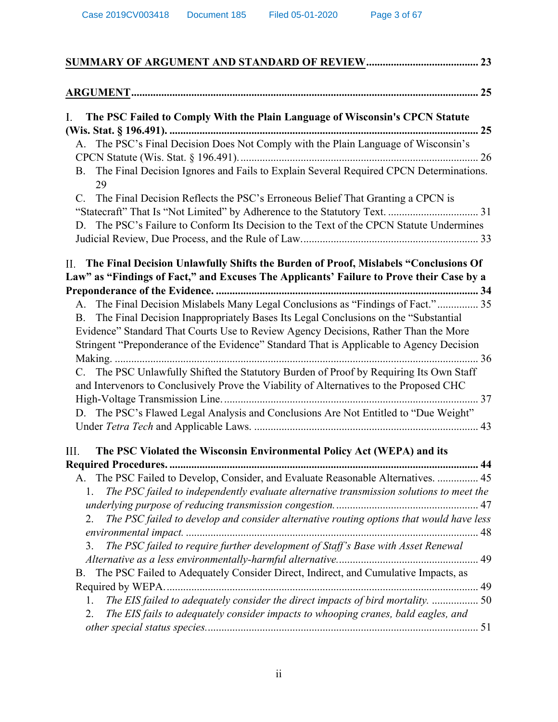| I.<br>The PSC Failed to Comply With the Plain Language of Wisconsin's CPCN Statute                       |  |
|----------------------------------------------------------------------------------------------------------|--|
|                                                                                                          |  |
| A. The PSC's Final Decision Does Not Comply with the Plain Language of Wisconsin's                       |  |
|                                                                                                          |  |
| The Final Decision Ignores and Fails to Explain Several Required CPCN Determinations.<br><b>B.</b><br>29 |  |
| The Final Decision Reflects the PSC's Erroneous Belief That Granting a CPCN is<br>$C_{\cdot}$            |  |
|                                                                                                          |  |
| The PSC's Failure to Conform Its Decision to the Text of the CPCN Statute Undermines<br>D.               |  |
|                                                                                                          |  |
| II. The Final Decision Unlawfully Shifts the Burden of Proof, Mislabels "Conclusions Of                  |  |
| Law" as "Findings of Fact," and Excuses The Applicants' Failure to Prove their Case by a                 |  |
|                                                                                                          |  |
| A. The Final Decision Mislabels Many Legal Conclusions as "Findings of Fact." 35                         |  |
| The Final Decision Inappropriately Bases Its Legal Conclusions on the "Substantial"<br><b>B</b> .        |  |
| Evidence" Standard That Courts Use to Review Agency Decisions, Rather Than the More                      |  |
| Stringent "Preponderance of the Evidence" Standard That is Applicable to Agency Decision                 |  |
|                                                                                                          |  |
| C. The PSC Unlawfully Shifted the Statutory Burden of Proof by Requiring Its Own Staff                   |  |
| and Intervenors to Conclusively Prove the Viability of Alternatives to the Proposed CHC                  |  |
|                                                                                                          |  |
| D. The PSC's Flawed Legal Analysis and Conclusions Are Not Entitled to "Due Weight"                      |  |
|                                                                                                          |  |
| The PSC Violated the Wisconsin Environmental Policy Act (WEPA) and its<br>III.                           |  |
|                                                                                                          |  |
| The PSC Failed to Develop, Consider, and Evaluate Reasonable Alternatives.  45<br>А.                     |  |
| The PSC failed to independently evaluate alternative transmission solutions to meet the<br>1.            |  |
|                                                                                                          |  |
| The PSC failed to develop and consider alternative routing options that would have less<br>2.            |  |
|                                                                                                          |  |
| The PSC failed to require further development of Staff's Base with Asset Renewal<br>3.                   |  |
|                                                                                                          |  |
| The PSC Failed to Adequately Consider Direct, Indirect, and Cumulative Impacts, as<br><b>B.</b>          |  |
|                                                                                                          |  |
| The EIS failed to adequately consider the direct impacts of bird mortality.  50<br>1.                    |  |
| The EIS fails to adequately consider impacts to whooping cranes, bald eagles, and<br>2.                  |  |
|                                                                                                          |  |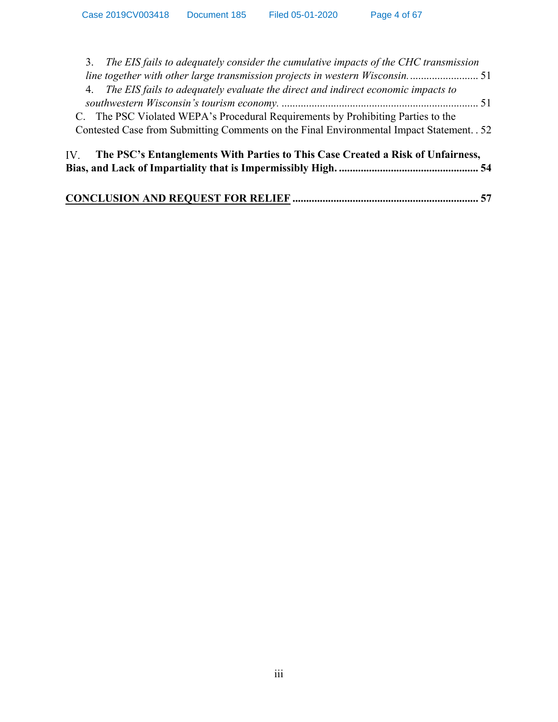| 3. The EIS fails to adequately consider the cumulative impacts of the CHC transmission    |  |
|-------------------------------------------------------------------------------------------|--|
|                                                                                           |  |
| 4. The EIS fails to adequately evaluate the direct and indirect economic impacts to       |  |
|                                                                                           |  |
| C. The PSC Violated WEPA's Procedural Requirements by Prohibiting Parties to the          |  |
| Contested Case from Submitting Comments on the Final Environmental Impact Statement. . 52 |  |
| IV. The PSC's Entanglements With Parties to This Case Created a Risk of Unfairness,       |  |
|                                                                                           |  |
|                                                                                           |  |
|                                                                                           |  |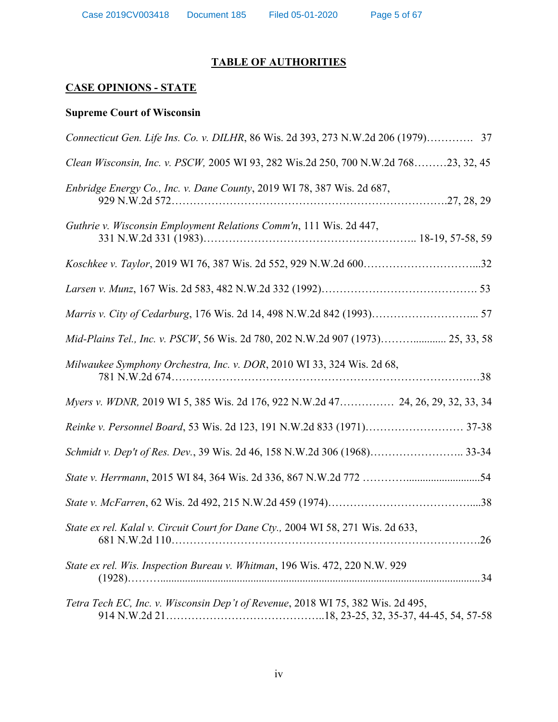# **TABLE OF AUTHORITIES**

# **CASE OPINIONS - STATE**

# **Supreme Court of Wisconsin**

| Connecticut Gen. Life Ins. Co. v. DILHR, 86 Wis. 2d 393, 273 N.W.2d 206 (1979) 37       |
|-----------------------------------------------------------------------------------------|
| Clean Wisconsin, Inc. v. PSCW, 2005 WI 93, 282 Wis.2d 250, 700 N.W.2d 76823, 32, 45     |
| Enbridge Energy Co., Inc. v. Dane County, 2019 WI 78, 387 Wis. 2d 687,                  |
| Guthrie v. Wisconsin Employment Relations Comm'n, 111 Wis. 2d 447,                      |
|                                                                                         |
|                                                                                         |
|                                                                                         |
| Mid-Plains Tel., Inc. v. PSCW, 56 Wis. 2d 780, 202 N.W.2d 907 (1973) 25, 33, 58         |
| Milwaukee Symphony Orchestra, Inc. v. DOR, 2010 WI 33, 324 Wis. 2d 68,                  |
| Myers v. WDNR, 2019 WI 5, 385 Wis. 2d 176, 922 N.W.2d 47 24, 26, 29, 32, 33, 34         |
|                                                                                         |
| Schmidt v. Dep't of Res. Dev., 39 Wis. 2d 46, 158 N.W.2d 306 (1968) 33-34               |
|                                                                                         |
|                                                                                         |
| State ex rel. Kalal v. Circuit Court for Dane Cty., 2004 WI 58, 271 Wis. 2d 633,<br>.26 |
| State ex rel. Wis. Inspection Bureau v. Whitman, 196 Wis. 472, 220 N.W. 929             |
| Tetra Tech EC, Inc. v. Wisconsin Dep't of Revenue, 2018 WI 75, 382 Wis. 2d 495,         |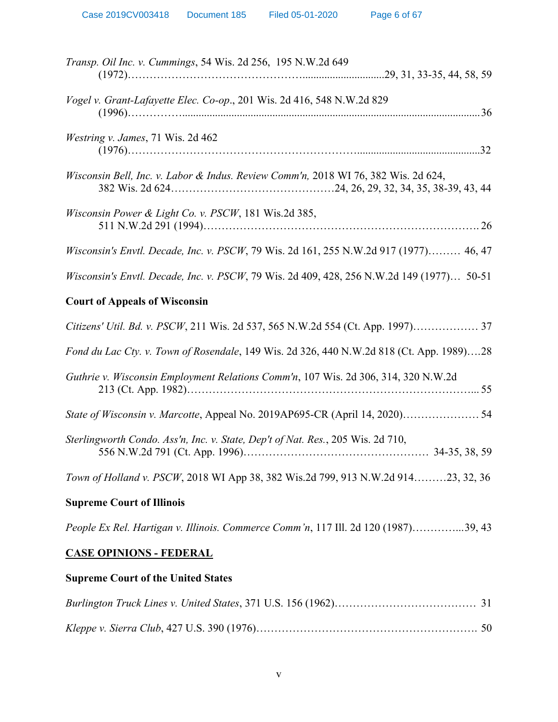| Transp. Oil Inc. v. Cummings, 54 Wis. 2d 256, 195 N.W.2d 649                              |
|-------------------------------------------------------------------------------------------|
| Vogel v. Grant-Lafayette Elec. Co-op., 201 Wis. 2d 416, 548 N.W.2d 829                    |
| Westring v. James, 71 Wis. 2d 462                                                         |
| Wisconsin Bell, Inc. v. Labor & Indus. Review Comm'n, 2018 WI 76, 382 Wis. 2d 624,        |
| Wisconsin Power & Light Co. v. PSCW, 181 Wis.2d 385,                                      |
| Wisconsin's Envtl. Decade, Inc. v. PSCW, 79 Wis. 2d 161, 255 N.W.2d 917 (1977) 46, 47     |
| Wisconsin's Envtl. Decade, Inc. v. PSCW, 79 Wis. 2d 409, 428, 256 N.W.2d 149 (1977) 50-51 |
| <b>Court of Appeals of Wisconsin</b>                                                      |
| Citizens' Util. Bd. v. PSCW, 211 Wis. 2d 537, 565 N.W.2d 554 (Ct. App. 1997) 37           |
| Fond du Lac Cty. v. Town of Rosendale, 149 Wis. 2d 326, 440 N.W.2d 818 (Ct. App. 1989)28  |
| Guthrie v. Wisconsin Employment Relations Comm'n, 107 Wis. 2d 306, 314, 320 N.W.2d        |
| State of Wisconsin v. Marcotte, Appeal No. 2019AP695-CR (April 14, 2020) 54               |
| Sterlingworth Condo. Ass'n, Inc. v. State, Dep't of Nat. Res., 205 Wis. 2d 710,           |
| Town of Holland v. PSCW, 2018 WI App 38, 382 Wis.2d 799, 913 N.W.2d 91423, 32, 36         |
| <b>Supreme Court of Illinois</b>                                                          |
| People Ex Rel. Hartigan v. Illinois. Commerce Comm'n, 117 Ill. 2d 120 (1987)39, 43        |
| <b>CASE OPINIONS - FEDERAL</b>                                                            |

# **Supreme Court of the United States**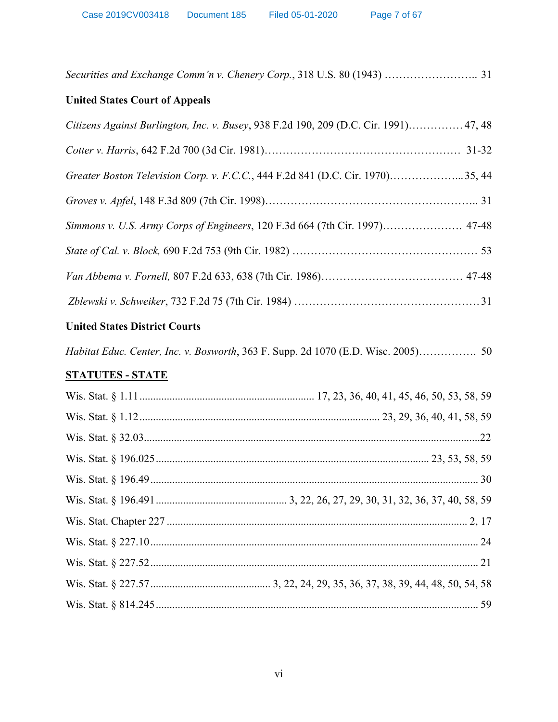|  |  |  | Securities and Exchange Comm'n v. Chenery Corp., 318 U.S. 80 (1943)  31 |  |
|--|--|--|-------------------------------------------------------------------------|--|
|  |  |  |                                                                         |  |

# **United States Court of Appeals**

| Citizens Against Burlington, Inc. v. Busey, 938 F.2d 190, 209 (D.C. Cir. 1991) 47, 48 |
|---------------------------------------------------------------------------------------|
|                                                                                       |
| Greater Boston Television Corp. v. F.C.C., 444 F.2d 841 (D.C. Cir. 1970)35, 44        |
|                                                                                       |
| Simmons v. U.S. Army Corps of Engineers, 120 F.3d 664 (7th Cir. 1997) 47-48           |
|                                                                                       |
|                                                                                       |
|                                                                                       |

# **United States District Courts**

*Habitat Educ. Center, Inc. v. Bosworth*, 363 F. Supp. 2d 1070 (E.D. Wisc. 2005)……………. 50

# **STATUTES - STATE**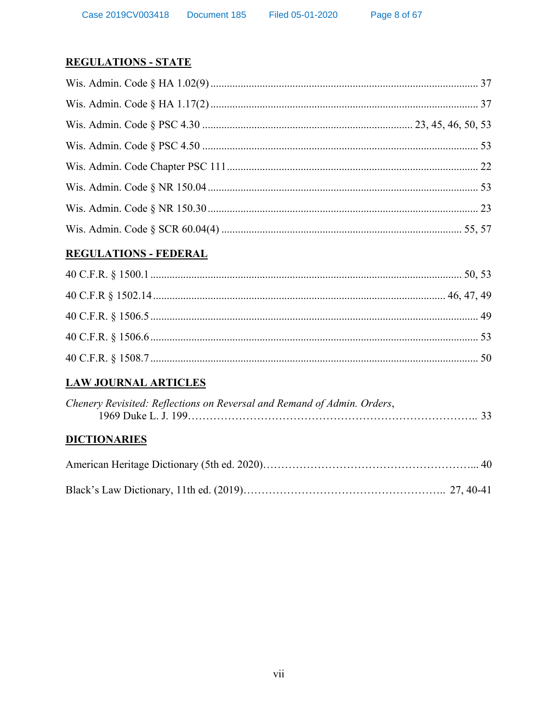# **REGULATIONS - STATE**

# **REGULATIONS - FEDERAL**

# **LAW JOURNAL ARTICLES**

| Chenery Revisited: Reflections on Reversal and Remand of Admin. Orders, |  |
|-------------------------------------------------------------------------|--|
|                                                                         |  |

# **DICTIONARIES**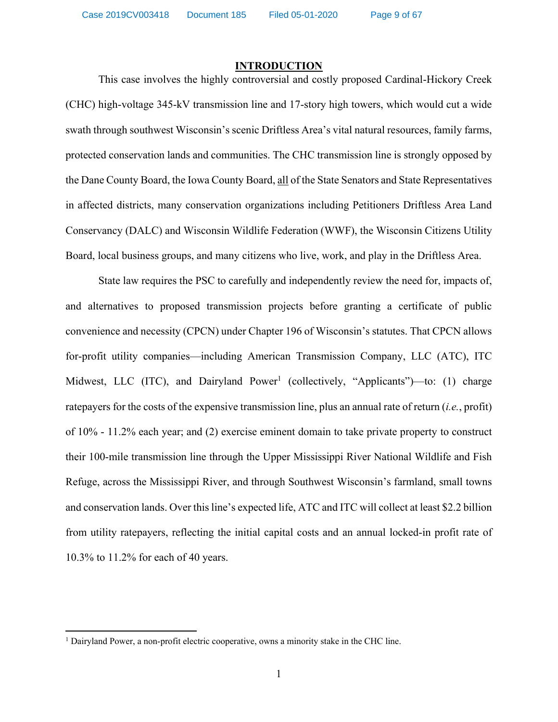Case 2019CV003418 Document 185 Filed 05-01-2020

### **INTRODUCTION**

This case involves the highly controversial and costly proposed Cardinal-Hickory Creek (CHC) high-voltage 345-kV transmission line and 17-story high towers, which would cut a wide swath through southwest Wisconsin's scenic Driftless Area's vital natural resources, family farms, protected conservation lands and communities. The CHC transmission line is strongly opposed by the Dane County Board, the Iowa County Board, all of the State Senators and State Representatives in affected districts, many conservation organizations including Petitioners Driftless Area Land Conservancy (DALC) and Wisconsin Wildlife Federation (WWF), the Wisconsin Citizens Utility Board, local business groups, and many citizens who live, work, and play in the Driftless Area.

State law requires the PSC to carefully and independently review the need for, impacts of, and alternatives to proposed transmission projects before granting a certificate of public convenience and necessity (CPCN) under Chapter 196 of Wisconsin's statutes. That CPCN allows for-profit utility companies—including American Transmission Company, LLC (ATC), ITC Midwest, LLC (ITC), and Dairyland Power<sup>1</sup> (collectively, "Applicants")—to: (1) charge ratepayers for the costs of the expensive transmission line, plus an annual rate of return (*i.e.*, profit) of 10% - 11.2% each year; and (2) exercise eminent domain to take private property to construct their 100-mile transmission line through the Upper Mississippi River National Wildlife and Fish Refuge, across the Mississippi River, and through Southwest Wisconsin's farmland, small towns and conservation lands. Over this line's expected life, ATC and ITC will collect at least \$2.2 billion from utility ratepayers, reflecting the initial capital costs and an annual locked-in profit rate of 10.3% to 11.2% for each of 40 years.

 $\overline{\phantom{a}}$ 

<sup>&</sup>lt;sup>1</sup> Dairyland Power, a non-profit electric cooperative, owns a minority stake in the CHC line.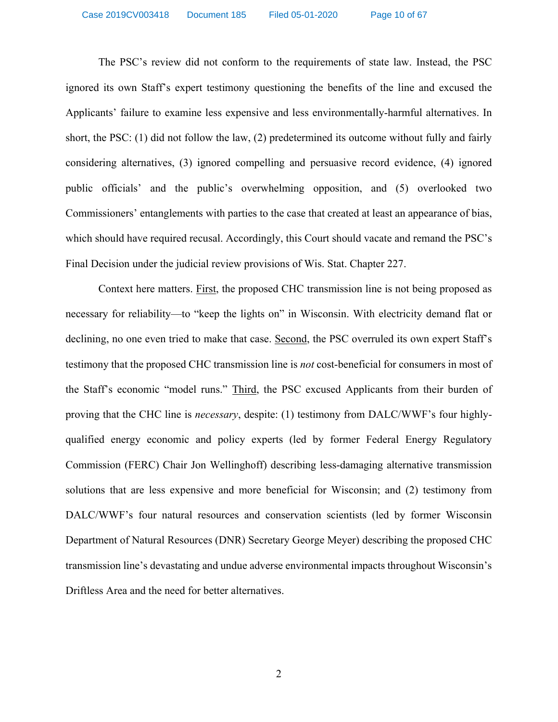The PSC's review did not conform to the requirements of state law. Instead, the PSC ignored its own Staff's expert testimony questioning the benefits of the line and excused the Applicants' failure to examine less expensive and less environmentally-harmful alternatives. In short, the PSC: (1) did not follow the law, (2) predetermined its outcome without fully and fairly considering alternatives, (3) ignored compelling and persuasive record evidence, (4) ignored public officials' and the public's overwhelming opposition, and (5) overlooked two Commissioners' entanglements with parties to the case that created at least an appearance of bias, which should have required recusal. Accordingly, this Court should vacate and remand the PSC's Final Decision under the judicial review provisions of Wis. Stat. Chapter 227.

Context here matters. First, the proposed CHC transmission line is not being proposed as necessary for reliability—to "keep the lights on" in Wisconsin. With electricity demand flat or declining, no one even tried to make that case. Second, the PSC overruled its own expert Staff's testimony that the proposed CHC transmission line is *not* cost-beneficial for consumers in most of the Staff's economic "model runs." Third, the PSC excused Applicants from their burden of proving that the CHC line is *necessary*, despite: (1) testimony from DALC/WWF's four highlyqualified energy economic and policy experts (led by former Federal Energy Regulatory Commission (FERC) Chair Jon Wellinghoff) describing less-damaging alternative transmission solutions that are less expensive and more beneficial for Wisconsin; and (2) testimony from DALC/WWF's four natural resources and conservation scientists (led by former Wisconsin Department of Natural Resources (DNR) Secretary George Meyer) describing the proposed CHC transmission line's devastating and undue adverse environmental impacts throughout Wisconsin's Driftless Area and the need for better alternatives.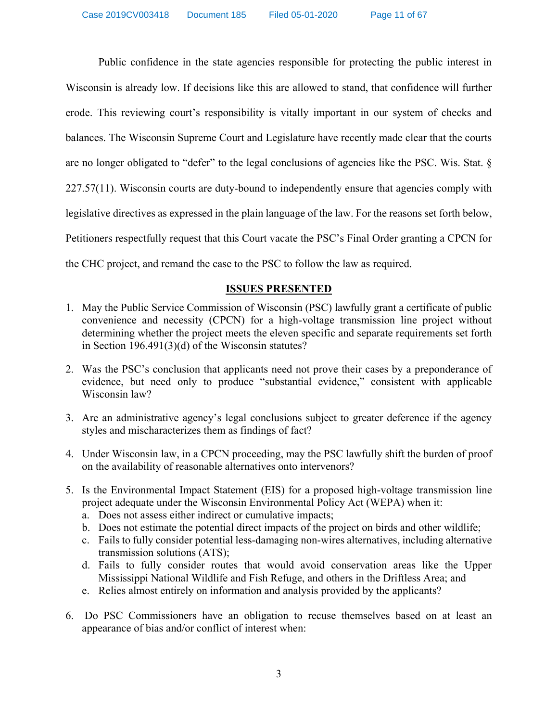Public confidence in the state agencies responsible for protecting the public interest in Wisconsin is already low. If decisions like this are allowed to stand, that confidence will further erode. This reviewing court's responsibility is vitally important in our system of checks and balances. The Wisconsin Supreme Court and Legislature have recently made clear that the courts are no longer obligated to "defer" to the legal conclusions of agencies like the PSC. Wis. Stat. § 227.57(11). Wisconsin courts are duty-bound to independently ensure that agencies comply with legislative directives as expressed in the plain language of the law. For the reasons set forth below, Petitioners respectfully request that this Court vacate the PSC's Final Order granting a CPCN for the CHC project, and remand the case to the PSC to follow the law as required.

# **ISSUES PRESENTED**

- 1. May the Public Service Commission of Wisconsin (PSC) lawfully grant a certificate of public convenience and necessity (CPCN) for a high-voltage transmission line project without determining whether the project meets the eleven specific and separate requirements set forth in Section 196.491(3)(d) of the Wisconsin statutes?
- 2. Was the PSC's conclusion that applicants need not prove their cases by a preponderance of evidence, but need only to produce "substantial evidence," consistent with applicable Wisconsin law?
- 3. Are an administrative agency's legal conclusions subject to greater deference if the agency styles and mischaracterizes them as findings of fact?
- 4. Under Wisconsin law, in a CPCN proceeding, may the PSC lawfully shift the burden of proof on the availability of reasonable alternatives onto intervenors?
- 5. Is the Environmental Impact Statement (EIS) for a proposed high-voltage transmission line project adequate under the Wisconsin Environmental Policy Act (WEPA) when it:
	- a. Does not assess either indirect or cumulative impacts;
	- b. Does not estimate the potential direct impacts of the project on birds and other wildlife;
	- c. Fails to fully consider potential less-damaging non-wires alternatives, including alternative transmission solutions (ATS);
	- d. Fails to fully consider routes that would avoid conservation areas like the Upper Mississippi National Wildlife and Fish Refuge, and others in the Driftless Area; and
	- e. Relies almost entirely on information and analysis provided by the applicants?
- 6. Do PSC Commissioners have an obligation to recuse themselves based on at least an appearance of bias and/or conflict of interest when: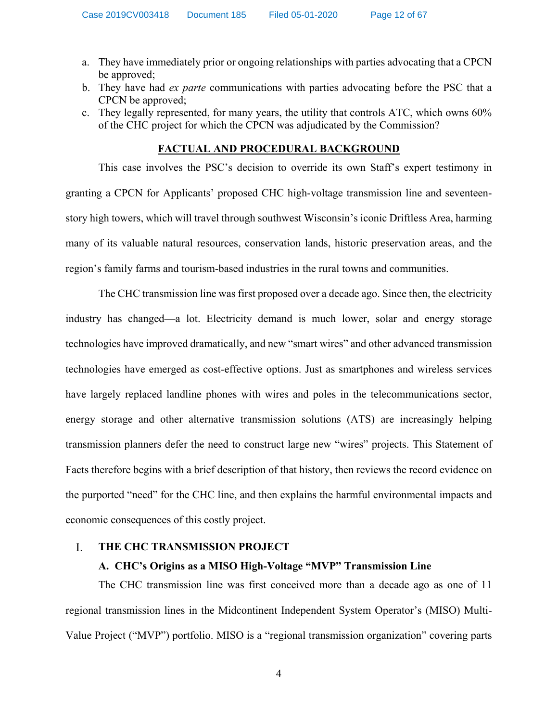- a. They have immediately prior or ongoing relationships with parties advocating that a CPCN be approved;
- b. They have had *ex parte* communications with parties advocating before the PSC that a CPCN be approved;
- c. They legally represented, for many years, the utility that controls ATC, which owns 60% of the CHC project for which the CPCN was adjudicated by the Commission?

### **FACTUAL AND PROCEDURAL BACKGROUND**

This case involves the PSC's decision to override its own Staff's expert testimony in granting a CPCN for Applicants' proposed CHC high-voltage transmission line and seventeenstory high towers, which will travel through southwest Wisconsin's iconic Driftless Area, harming many of its valuable natural resources, conservation lands, historic preservation areas, and the region's family farms and tourism-based industries in the rural towns and communities.

The CHC transmission line was first proposed over a decade ago. Since then, the electricity industry has changed—a lot. Electricity demand is much lower, solar and energy storage technologies have improved dramatically, and new "smart wires" and other advanced transmission technologies have emerged as cost-effective options. Just as smartphones and wireless services have largely replaced landline phones with wires and poles in the telecommunications sector, energy storage and other alternative transmission solutions (ATS) are increasingly helping transmission planners defer the need to construct large new "wires" projects. This Statement of Facts therefore begins with a brief description of that history, then reviews the record evidence on the purported "need" for the CHC line, and then explains the harmful environmental impacts and economic consequences of this costly project.

#### $\mathbf{I}$ . **THE CHC TRANSMISSION PROJECT**

### **A. CHC's Origins as a MISO High-Voltage "MVP" Transmission Line**

The CHC transmission line was first conceived more than a decade ago as one of 11 regional transmission lines in the Midcontinent Independent System Operator's (MISO) Multi-Value Project ("MVP") portfolio. MISO is a "regional transmission organization" covering parts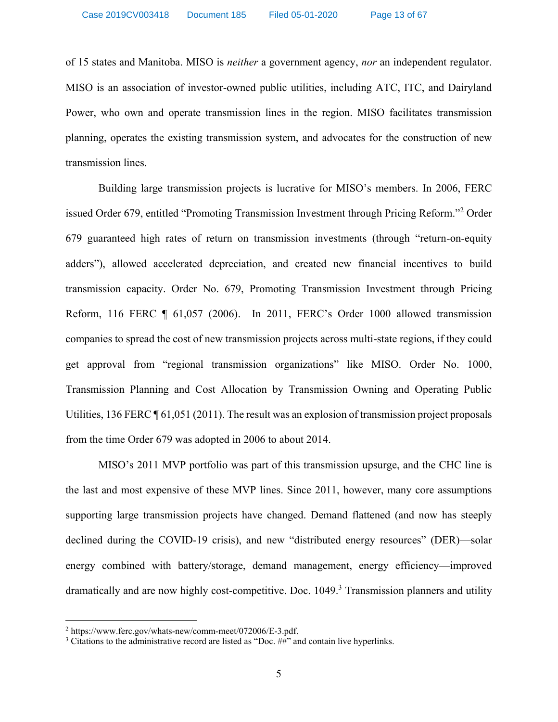of 15 states and Manitoba. MISO is *neither* a government agency, *nor* an independent regulator. MISO is an association of investor-owned public utilities, including ATC, ITC, and Dairyland Power, who own and operate transmission lines in the region. MISO facilitates transmission planning, operates the existing transmission system, and advocates for the construction of new transmission lines.

Building large transmission projects is lucrative for MISO's members. In 2006, FERC issued Order 679, entitled "Promoting Transmission Investment through Pricing Reform."<sup>2</sup> Order 679 guaranteed high rates of return on transmission investments (through "return-on-equity adders"), allowed accelerated depreciation, and created new financial incentives to build transmission capacity. Order No. 679, Promoting Transmission Investment through Pricing Reform, 116 FERC ¶ 61,057 (2006). In 2011, FERC's Order 1000 allowed transmission companies to spread the cost of new transmission projects across multi-state regions, if they could get approval from "regional transmission organizations" like MISO. Order No. 1000, Transmission Planning and Cost Allocation by Transmission Owning and Operating Public Utilities, 136 FERC [ 61,051 (2011). The result was an explosion of transmission project proposals from the time Order 679 was adopted in 2006 to about 2014.

MISO's 2011 MVP portfolio was part of this transmission upsurge, and the CHC line is the last and most expensive of these MVP lines. Since 2011, however, many core assumptions supporting large transmission projects have changed. Demand flattened (and now has steeply declined during the COVID-19 crisis), and new "distributed energy resources" (DER)—solar energy combined with battery/storage, demand management, energy efficiency—improved dramatically and are now highly cost-competitive. [Doc. 1049.](http://apps.psc.wi.gov/pages/viewdoc.htm?docid=365193) <sup>3</sup> Transmission planners and utility

 $\overline{a}$ 

<sup>&</sup>lt;sup>2</sup> [https://www.ferc.gov/whats-new/comm-meet/072006/E-3.pdf.](https://www.ferc.gov/whats-new/comm-meet/072006/E-3.pdf)  $\frac{3}{3}$  Citations to the administrative record are listed as "Doc. ##" and contain live hyperlinks.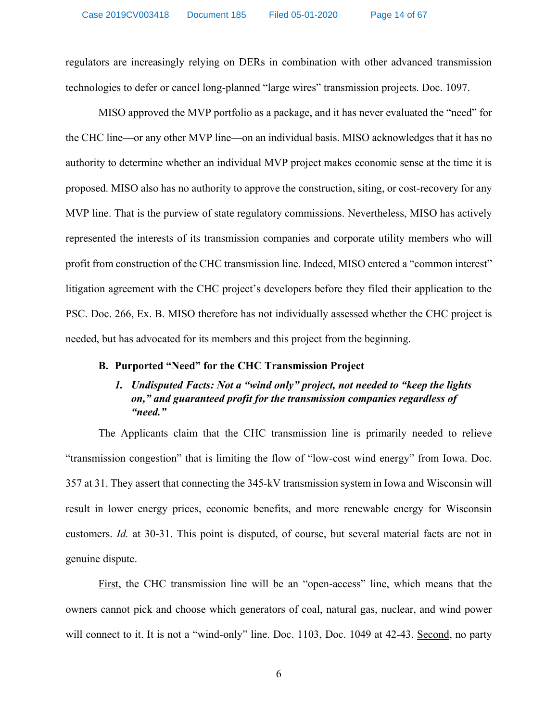regulators are increasingly relying on DERs in combination with other advanced transmission technologies to defer or cancel long-planned "large wires" transmission projects. [Doc. 1097.](http://apps.psc.wi.gov/pages/viewdoc.htm?docid=369221)

MISO approved the MVP portfolio as a package, and it has never evaluated the "need" for the CHC line—or any other MVP line—on an individual basis. MISO acknowledges that it has no authority to determine whether an individual MVP project makes economic sense at the time it is proposed. MISO also has no authority to approve the construction, siting, or cost-recovery for any MVP line. That is the purview of state regulatory commissions. Nevertheless, MISO has actively represented the interests of its transmission companies and corporate utility members who will profit from construction of the CHC transmission line. Indeed, MISO entered a "common interest" litigation agreement with the CHC project's developers before they filed their application to the PSC. [Doc. 266,](http://apps.psc.wi.gov/vs2015/ERF_view/viewdoc.aspx?docid=376074) Ex. B. MISO therefore has not individually assessed whether the CHC project is needed, but has advocated for its members and this project from the beginning.

# **B. Purported "Need" for the CHC Transmission Project**

# *1. Undisputed Facts: Not a "wind only" project, not needed to "keep the lights on," and guaranteed profit for the transmission companies regardless of "need."*

The Applicants claim that the CHC transmission line is primarily needed to relieve "transmission congestion" that is limiting the flow of "low-cost wind energy" from Iowa. [Doc.](http://apps.psc.wi.gov/vs2015/ERF_view/viewdoc.aspx?docid=352698)  [357](http://apps.psc.wi.gov/vs2015/ERF_view/viewdoc.aspx?docid=352698) at 31. They assert that connecting the 345-kV transmission system in Iowa and Wisconsin will result in lower energy prices, economic benefits, and more renewable energy for Wisconsin customers. *[Id.](http://apps.psc.wi.gov/vs2015/ERF_view/viewdoc.aspx?docid=352698)* at 30-31. This point is disputed, of course, but several material facts are not in genuine dispute.

First, the CHC transmission line will be an "open-access" line, which means that the owners cannot pick and choose which generators of coal, natural gas, nuclear, and wind power will connect to it. It is not a "wind-only" line. [Doc. 1103,](http://apps.psc.wi.gov/pages/viewdoc.htm?docid=370430) [Doc. 1049](http://apps.psc.wi.gov/pages/viewdoc.htm?docid=365193) at 42-43. Second, no party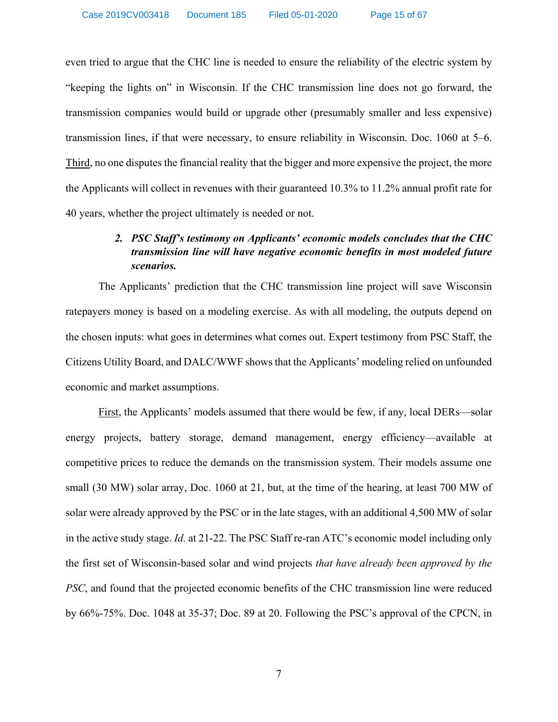even tried to argue that the CHC line is needed to ensure the reliability of the electric system by "keeping the lights on" in Wisconsin. If the CHC transmission line does not go forward, the transmission companies would build or upgrade other (presumably smaller and less expensive) transmission lines, if that were necessary, to ensure reliability in Wisconsin. [Doc. 1060](http://apps.psc.wi.gov/vs2015/ERF_view/viewdoc.aspx?docid=366903) at 5–6. Third, no one disputes the financial reality that the bigger and more expensive the project, the more the Applicants will collect in revenues with their guaranteed 10.3% to 11.2% annual profit rate for 40 years, whether the project ultimately is needed or not.

# *2. PSC Staff's testimony on Applicants' economic models concludes that the CHC transmission line will have negative economic benefits in most modeled future scenarios.*

The Applicants' prediction that the CHC transmission line project will save Wisconsin ratepayers money is based on a modeling exercise. As with all modeling, the outputs depend on the chosen inputs: what goes in determines what comes out. Expert testimony from PSC Staff, the Citizens Utility Board, and DALC/WWF showsthat the Applicants' modeling relied on unfounded economic and market assumptions.

First, the Applicants' models assumed that there would be few, if any, local DERs—solar energy projects, battery storage, demand management, energy efficiency—available at competitive prices to reduce the demands on the transmission system. Their models assume one small (30 MW) solar array, [Doc. 1060](http://apps.psc.wi.gov/vs2015/ERF_view/viewdoc.aspx?docid=366903) at 21, but, at the time of the hearing, at least 700 MW of solar were already approved by the PSC or in the late stages, with an additional 4,500 MW of solar in the active study stage. *[Id.](http://apps.psc.wi.gov/vs2015/ERF_view/viewdoc.aspx?docid=366903)* at 21-22. The PSC Staff re-ran ATC's economic model including only the first set of Wisconsin-based solar and wind projects *that have already been approved by the PSC*, and found that the projected economic benefits of the CHC transmission line were reduced by 66%-75%. [Doc. 1048](http://apps.psc.wi.gov/pages/viewdoc.htm?docid=365153) at 35-37; [Doc. 89](http://apps.psc.wi.gov/pages/viewdoc.htm?docid=372105) at 20. Following the PSC's approval of the CPCN, in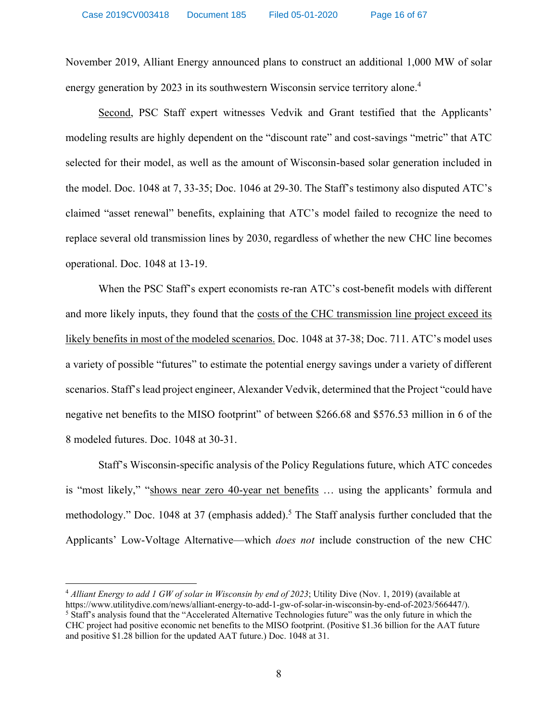November 2019, Alliant Energy announced plans to construct an additional 1,000 MW of solar energy generation by 2023 in its southwestern Wisconsin service territory alone.<sup>4</sup>

Second, PSC Staff expert witnesses Vedvik and Grant testified that the Applicants' modeling results are highly dependent on the "discount rate" and cost-savings "metric" that ATC selected for their model, as well as the amount of Wisconsin-based solar generation included in the model. [Doc. 1048](http://apps.psc.wi.gov/pages/viewdoc.htm?docid=365153) at 7, 33-35; [Doc. 1046](http://apps.psc.wi.gov/vs2015/ERF_view/viewdoc.aspx?docid=365082) at 29-30. The Staff's testimony also disputed ATC's claimed "asset renewal" benefits, explaining that ATC's model failed to recognize the need to replace several old transmission lines by 2030, regardless of whether the new CHC line becomes operational. [Doc. 1048](http://apps.psc.wi.gov/vs2015/ERF_view/viewdoc.aspx?docid=365153) at 13-19.

When the PSC Staff's expert economists re-ran ATC's cost-benefit models with different and more likely inputs, they found that the costs of the CHC transmission line project exceed its likely benefits in most of the modeled scenarios. [Doc. 1048](http://apps.psc.wi.gov/vs2015/ERF_view/viewdoc.aspx?docid=365153) at 37-38; [Doc. 711](http://apps.psc.wi.gov/pages/viewdoc.htm?docid=365100). ATC's model uses a variety of possible "futures" to estimate the potential energy savings under a variety of different scenarios. Staff's lead project engineer, Alexander Vedvik, determined that the Project "could have negative net benefits to the MISO footprint" of between \$266.68 and \$576.53 million in 6 of the 8 modeled futures. [Doc. 1048](http://apps.psc.wi.gov/vs2015/ERF_view/viewdoc.aspx?docid=365153) at 30-31.

Staff's Wisconsin-specific analysis of the Policy Regulations future, which ATC concedes is "most likely," "shows near zero 40-year net benefits … using the applicants' formula and methodology." [Doc. 1048](http://apps.psc.wi.gov/vs2015/ERF_view/viewdoc.aspx?docid=365153) at 37 (emphasis added).<sup>5</sup> The Staff analysis further concluded that the Applicants' Low-Voltage Alternative—which *does not* include construction of the new CHC

and positive \$1.28 billion for the updated AAT future.) Doc[. 1048](http://apps.psc.wi.gov/pages/viewdoc.htm?docid=365153) at 31.

 $\overline{\phantom{a}}$ 

<sup>4</sup> *Alliant Energy to add 1 GW of solar in Wisconsin by end of 2023*; Utility Dive (Nov. 1, 2019) (available at [https://www.utilitydive.com/news/alliant-energy-to-add-1-gw-of-solar-in-wisconsin-by-end-of-2023/566447/\)](https://www.utilitydive.com/news/alliant-energy-to-add-1-gw-of-solar-in-wisconsin-by-end-of-2023/566447/).<br><sup>5</sup> Staff's analysis found that the "Accelerated Alternative Technologies future" was the only future in which the CHC project had positive economic net benefits to the MISO footprint. (Positive \$1.36 billion for the AAT future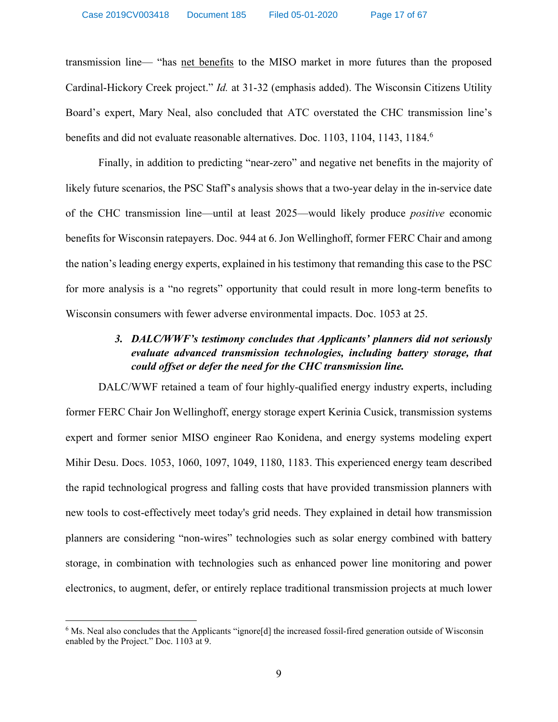transmission line— "has net benefits to the MISO market in more futures than the proposed Cardinal-Hickory Creek project." *[Id.](http://apps.psc.wi.gov/vs2015/ERF_view/viewdoc.aspx?docid=365153)* at 31-32 (emphasis added). The Wisconsin Citizens Utility Board's expert, Mary Neal, also concluded that ATC overstated the CHC transmission line's benefits and did not evaluate reasonable alternatives. [Doc. 1103,](http://apps.psc.wi.gov/pages/viewdoc.htm?docid=370430) [1104,](http://apps.psc.wi.gov/pages/viewdoc.htm?docid=370431) [1143,](http://apps.psc.wi.gov/pages/viewdoc.htm?docid=370432) [1184.](http://apps.psc.wi.gov/pages/viewdoc.htm?docid=368785) 6

Finally, in addition to predicting "near-zero" and negative net benefits in the majority of likely future scenarios, the PSC Staff's analysis shows that a two-year delay in the in-service date of the CHC transmission line—until at least 2025—would likely produce *positive* economic benefits for Wisconsin ratepayers. [Doc. 944](http://apps.psc.wi.gov/pages/viewdoc.htm?docid=368843) at 6. Jon Wellinghoff, former FERC Chair and among the nation's leading energy experts, explained in his testimony that remanding this case to the PSC for more analysis is a "no regrets" opportunity that could result in more long-term benefits to Wisconsin consumers with fewer adverse environmental impacts. [Doc.](http://apps.psc.wi.gov/pages/viewdoc.htm?docid=366140) 1053 at 25.

# *3. DALC/WWF's testimony concludes that Applicants' planners did not seriously evaluate advanced transmission technologies, including battery storage, that could offset or defer the need for the CHC transmission line.*

DALC/WWF retained a team of four highly-qualified energy industry experts, including former FERC Chair Jon Wellinghoff, energy storage expert Kerinia Cusick, transmission systems expert and former senior MISO engineer Rao Konidena, and energy systems modeling expert Mihir Desu. [Docs. 1053,](http://apps.psc.wi.gov/pages/viewdoc.htm?docid=366140) [1060,](http://apps.psc.wi.gov/pages/viewdoc.htm?docid=366903) [1097,](http://apps.psc.wi.gov/pages/viewdoc.htm?docid=369221) [1049,](http://apps.psc.wi.gov/pages/viewdoc.htm?docid=365193) [1180,](http://apps.psc.wi.gov/pages/viewdoc.htm?docid=369775) [1183.](http://apps.psc.wi.gov/pages/viewdoc.htm?docid=370427) This experienced energy team described the rapid technological progress and falling costs that have provided transmission planners with new tools to cost-effectively meet today's grid needs. They explained in detail how transmission planners are considering "non-wires" technologies such as solar energy combined with battery storage, in combination with technologies such as enhanced power line monitoring and power electronics, to augment, defer, or entirely replace traditional transmission projects at much lower

 $\overline{a}$ 

<sup>&</sup>lt;sup>6</sup> Ms. Neal also concludes that the Applicants "ignore<sup>[d]</sup> the increased fossil-fired generation outside of Wisconsin enabled by the Project." Doc. [1103](http://apps.psc.wi.gov/pages/viewdoc.htm?docid=370430) at 9.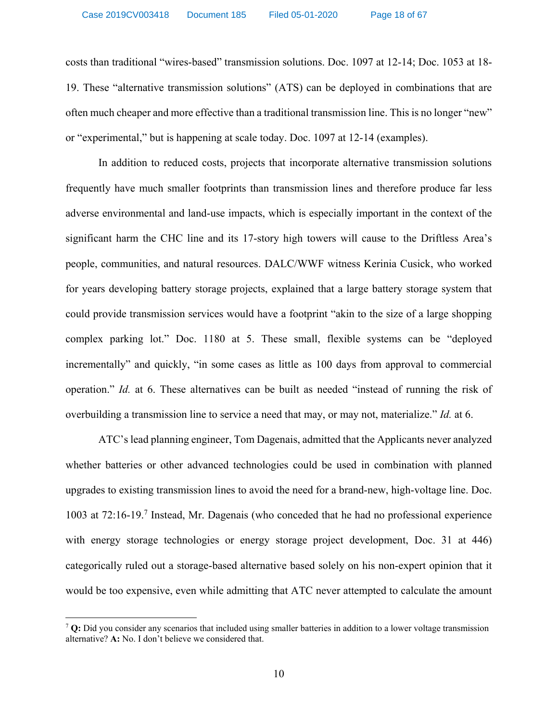costs than traditional "wires-based" transmission solutions. [Doc. 1097](http://apps.psc.wi.gov/pages/viewdoc.htm?docid=369221) at 12-14; [Doc. 1053](http://apps.psc.wi.gov/pages/viewdoc.htm?docid=366140) at 18- 19. These "alternative transmission solutions" (ATS) can be deployed in combinations that are often much cheaper and more effective than a traditional transmission line. This is no longer "new" or "experimental," but is happening at scale today. [Doc. 1097](http://apps.psc.wi.gov/pages/viewdoc.htm?docid=369221) at 12-14 (examples).

In addition to reduced costs, projects that incorporate alternative transmission solutions frequently have much smaller footprints than transmission lines and therefore produce far less adverse environmental and land-use impacts, which is especially important in the context of the significant harm the CHC line and its 17-story high towers will cause to the Driftless Area's people, communities, and natural resources. DALC/WWF witness Kerinia Cusick, who worked for years developing battery storage projects, explained that a large battery storage system that could provide transmission services would have a footprint "akin to the size of a large shopping complex parking lot." [Doc. 1180](http://apps.psc.wi.gov/vs2015/ERF_view/viewdoc.aspx?docid=369775) at 5. These small, flexible systems can be "deployed incrementally" and quickly, "in some cases as little as 100 days from approval to commercial operation." *[Id.](http://apps.psc.wi.gov/vs2015/ERF_view/viewdoc.aspx?docid=369775)* at 6. These alternatives can be built as needed "instead of running the risk of overbuilding a transmission line to service a need that may, or may not, materialize." *[Id.](http://apps.psc.wi.gov/vs2015/ERF_view/viewdoc.aspx?docid=369775)* at 6.

ATC's lead planning engineer, Tom Dagenais, admitted that the Applicants never analyzed whether batteries or other advanced technologies could be used in combination with planned upgrades to existing transmission lines to avoid the need for a brand-new, high-voltage line. [Doc.](http://apps.psc.wi.gov/pages/viewdoc.htm?docid=370614)  [1003](http://apps.psc.wi.gov/pages/viewdoc.htm?docid=370614) at 72:16-19.7 Instead, Mr. Dagenais (who conceded that he had no professional experience with energy storage technologies or energy storage project development, [Doc. 31](http://apps.psc.wi.gov/pages/viewdoc.htm?docid=372272) at 446) categorically ruled out a storage-based alternative based solely on his non-expert opinion that it would be too expensive, even while admitting that ATC never attempted to calculate the amount

 $\overline{a}$ 

<sup>7</sup> **Q:** Did you consider any scenarios that included using smaller batteries in addition to a lower voltage transmission alternative? **A:** No. I don't believe we considered that.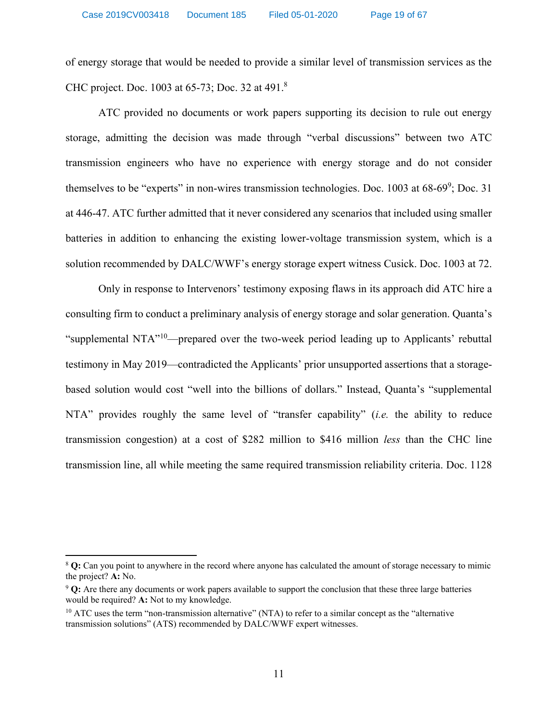of energy storage that would be needed to provide a similar level of transmission services as the CHC project. [Doc. 1003](http://apps.psc.wi.gov/pages/viewdoc.htm?docid=370614) at 65-73; [Doc. 32](http://apps.psc.wi.gov/pages/viewdoc.htm?docid=372274) at 491.<sup>8</sup>

ATC provided no documents or work papers supporting its decision to rule out energy storage, admitting the decision was made through "verbal discussions" between two ATC transmission engineers who have no experience with energy storage and do not consider themselves to be "experts" in non-wires transmission technologies. [Doc. 1003](http://apps.psc.wi.gov/pages/viewdoc.htm?docid=370614) at  $68-69^\circ$ ; [Doc. 31](http://apps.psc.wi.gov/pages/viewdoc.htm?docid=372272) at 446-47. ATC further admitted that it never considered any scenarios that included using smaller batteries in addition to enhancing the existing lower-voltage transmission system, which is a solution recommended by DALC/WWF's energy storage expert witness Cusick. [Doc. 1003](http://apps.psc.wi.gov/pages/viewdoc.htm?docid=370614) at 72.

Only in response to Intervenors' testimony exposing flaws in its approach did ATC hire a consulting firm to conduct a preliminary analysis of energy storage and solar generation. Quanta's "supplemental NTA"<sup>10</sup>—prepared over the two-week period leading up to Applicants' rebuttal testimony in May 2019—contradicted the Applicants' prior unsupported assertions that a storagebased solution would cost "well into the billions of dollars." Instead, Quanta's "supplemental NTA" provides roughly the same level of "transfer capability" (*i.e.* the ability to reduce transmission congestion) at a cost of \$282 million to \$416 million *less* than the CHC line transmission line, all while meeting the same required transmission reliability criteria. [Doc. 1128](http://apps.psc.wi.gov/pages/viewdoc.htm?docid=370604)

 $\overline{\phantom{a}}$ 

<sup>8</sup> **Q:** Can you point to anywhere in the record where anyone has calculated the amount of storage necessary to mimic the project? **A:** No.

<sup>9</sup> **Q:** Are there any documents or work papers available to support the conclusion that these three large batteries would be required? **A:** Not to my knowledge.

 $10$  ATC uses the term "non-transmission alternative" (NTA) to refer to a similar concept as the "alternative" transmission solutions" (ATS) recommended by DALC/WWF expert witnesses.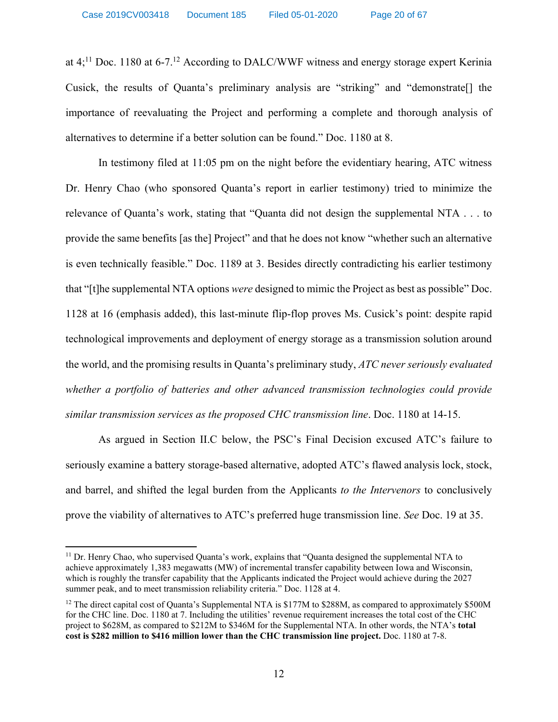at  $4$ <sup>1</sup>;<sup>11</sup> [Doc. 1180](http://apps.psc.wi.gov/pages/viewdoc.htm?docid=369775) at 6-7.<sup>12</sup> According to DALC/WWF witness and energy storage expert Kerinia Cusick, the results of Quanta's preliminary analysis are "striking" and "demonstrate[] the importance of reevaluating the Project and performing a complete and thorough analysis of alternatives to determine if a better solution can be found." [Doc. 1180](http://apps.psc.wi.gov/vs2015/ERF_view/viewdoc.aspx?docid=369775) at 8.

In testimony filed at 11:05 pm on the night before the evidentiary hearing, ATC witness Dr. Henry Chao (who sponsored Quanta's report in earlier testimony) tried to minimize the relevance of Quanta's work, stating that "Quanta did not design the supplemental NTA . . . to provide the same benefits [as the] Project" and that he does not know "whether such an alternative is even technically feasible." [Doc. 1189](http://apps.psc.wi.gov/pages/viewdoc.htm?docid=369582) at 3. Besides directly contradicting his earlier testimony that "[t]he supplemental NTA options *were* designed to mimic the Project as best as possible" [Doc.](http://apps.psc.wi.gov/pages/viewdoc.htm?docid=370604)  [1128](http://apps.psc.wi.gov/pages/viewdoc.htm?docid=370604) at 16 (emphasis added), this last-minute flip-flop proves Ms. Cusick's point: despite rapid technological improvements and deployment of energy storage as a transmission solution around the world, and the promising results in Quanta's preliminary study, *ATC never seriously evaluated whether a portfolio of batteries and other advanced transmission technologies could provide similar transmission services as the proposed CHC transmission line*. [Doc. 1180](http://apps.psc.wi.gov/pages/viewdoc.htm?docid=369775) at 14-15.

As argued in Section II.C below, the PSC's Final Decision excused ATC's failure to seriously examine a battery storage-based alternative, adopted ATC's flawed analysis lock, stock, and barrel, and shifted the legal burden from the Applicants *to the Intervenors* to conclusively prove the viability of alternatives to ATC's preferred huge transmission line. *See* [Doc. 19](http://apps.psc.wi.gov/pages/viewdoc.htm?docid=376391) at 35.

 $\overline{\phantom{a}}$ 

<sup>&</sup>lt;sup>11</sup> Dr. Henry Chao, who supervised Quanta's work, explains that "Quanta designed the supplemental NTA to achieve approximately 1,383 megawatts (MW) of incremental transfer capability between Iowa and Wisconsin, which is roughly the transfer capability that the Applicants indicated the Project would achieve during the 2027 summer peak, and to meet transmission reliability criteria." [Doc. 1128](http://apps.psc.wi.gov/pages/viewdoc.htm?docid=370604) at 4.

<sup>&</sup>lt;sup>12</sup> The direct capital cost of Quanta's Supplemental NTA is \$177M to \$288M, as compared to approximately \$500M for the CHC line. [Doc. 1180](http://apps.psc.wi.gov/pages/viewdoc.htm?docid=369775) at 7. Including the utilities' revenue requirement increases the total cost of the CHC project to \$628M, as compared to \$212M to \$346M for the Supplemental NTA. In other words, the NTA's **total cost is \$282 million to \$416 million lower than the CHC transmission line project.** [Doc. 1180](http://apps.psc.wi.gov/pages/viewdoc.htm?docid=369775) at 7-8.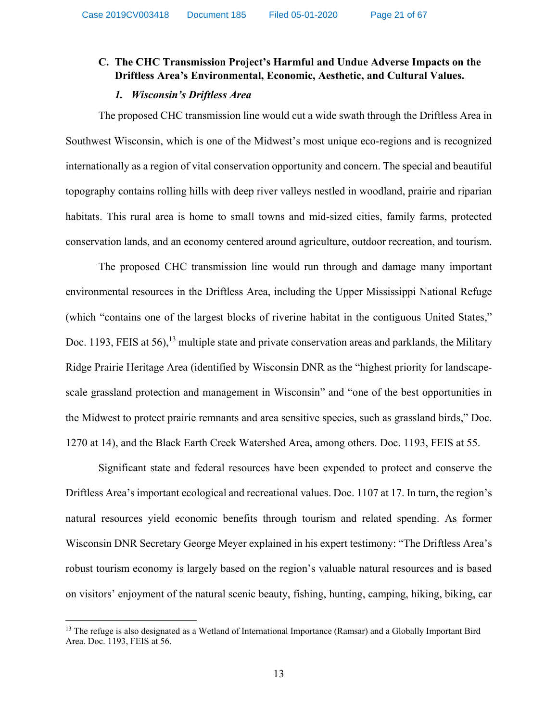# **C. The CHC Transmission Project's Harmful and Undue Adverse Impacts on the Driftless Area's Environmental, Economic, Aesthetic, and Cultural Values.**

### *1. Wisconsin's Driftless Area*

The proposed CHC transmission line would cut a wide swath through the Driftless Area in Southwest Wisconsin, which is one of the Midwest's most unique eco-regions and is recognized internationally as a region of vital conservation opportunity and concern. The special and beautiful topography contains rolling hills with deep river valleys nestled in woodland, prairie and riparian habitats. This rural area is home to small towns and mid-sized cities, family farms, protected conservation lands, and an economy centered around agriculture, outdoor recreation, and tourism.

The proposed CHC transmission line would run through and damage many important environmental resources in the Driftless Area, including the Upper Mississippi National Refuge (which "contains one of the largest blocks of riverine habitat in the contiguous United States," [Doc. 1193, FEIS](http://apps.psc.wi.gov/pages/viewdoc.htm?docid=366195) at 56),<sup>13</sup> multiple state and private conservation areas and parklands, the Military Ridge Prairie Heritage Area (identified by Wisconsin DNR as the "highest priority for landscapescale grassland protection and management in Wisconsin" and "one of the best opportunities in the Midwest to protect prairie remnants and area sensitive species, such as grassland birds," [Doc.](http://apps.psc.wi.gov/vs2015/ERF_view/viewdoc.aspx?docid=364109)  [1270](http://apps.psc.wi.gov/vs2015/ERF_view/viewdoc.aspx?docid=364109) at 14), and the Black Earth Creek Watershed Area, among others. [Doc. 1193, FEIS](http://apps.psc.wi.gov/vs2015/ERF_view/viewdoc.aspx?docid=366195) at 55.

Significant state and federal resources have been expended to protect and conserve the Driftless Area's important ecological and recreational values. [Doc. 1107](http://apps.psc.wi.gov/vs2015/ERF_view/viewdoc.aspx?docid=370578) at 17. In turn, the region's natural resources yield economic benefits through tourism and related spending. As former Wisconsin DNR Secretary George Meyer explained in his expert testimony: "The Driftless Area's robust tourism economy is largely based on the region's valuable natural resources and is based on visitors' enjoyment of the natural scenic beauty, fishing, hunting, camping, hiking, biking, car

 $\overline{a}$ 

<sup>&</sup>lt;sup>13</sup> The refuge is also designated as a Wetland of International Importance (Ramsar) and a Globally Important Bird Area. [Doc. 1193, FEIS](http://apps.psc.wi.gov/pages/viewdoc.htm?docid=366195) at 56.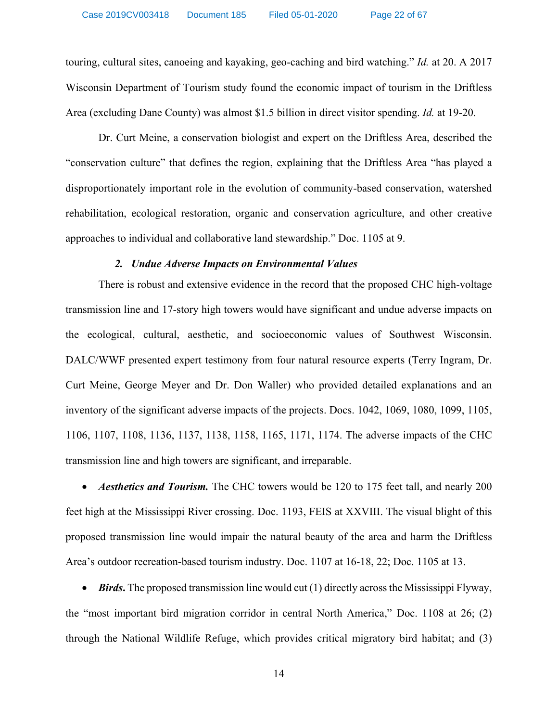touring, cultural sites, canoeing and kayaking, geo-caching and bird watching." *[Id.](http://apps.psc.wi.gov/pages/viewdoc.htm?docid=370578)* at 20. A 2017 Wisconsin Department of Tourism study found the economic impact of tourism in the Driftless Area (excluding Dane County) was almost \$1.5 billion in direct visitor spending. *[Id.](http://apps.psc.wi.gov/pages/viewdoc.htm?docid=370578)* at 19-20.

Dr. Curt Meine, a conservation biologist and expert on the Driftless Area, described the "conservation culture" that defines the region, explaining that the Driftless Area "has played a disproportionately important role in the evolution of community-based conservation, watershed rehabilitation, ecological restoration, organic and conservation agriculture, and other creative approaches to individual and collaborative land stewardship." Doc. 1105 at 9.

### *2. Undue Adverse Impacts on Environmental Values*

There is robust and extensive evidence in the record that the proposed CHC high-voltage transmission line and 17-story high towers would have significant and undue adverse impacts on the ecological, cultural, aesthetic, and socioeconomic values of Southwest Wisconsin. DALC/WWF presented expert testimony from four natural resource experts (Terry Ingram, Dr. Curt Meine, George Meyer and Dr. Don Waller) who provided detailed explanations and an inventory of the significant adverse impacts of the projects. [Docs. 1042,](http://apps.psc.wi.gov/pages/viewdoc.htm?docid=364975) [1069,](http://apps.psc.wi.gov/pages/viewdoc.htm?docid=367135) [1080,](http://apps.psc.wi.gov/vs2015/ERF_view/viewdoc.aspx?docid=367198) [1099,](http://apps.psc.wi.gov/pages/viewdoc.htm?docid=369576) [1105,](http://apps.psc.wi.gov/pages/viewdoc.htm?docid=370576) [1106,](http://apps.psc.wi.gov/pages/viewdoc.htm?docid=370577) [1107,](http://apps.psc.wi.gov/pages/viewdoc.htm?docid=370578) [1108,](http://apps.psc.wi.gov/vs2015/ERF_view/viewdoc.aspx?docid=370579) [1136,](http://apps.psc.wi.gov/pages/viewdoc.htm?docid=367847) [1137,](http://apps.psc.wi.gov/pages/viewdoc.htm?docid=367854) [1138,](http://apps.psc.wi.gov/pages/viewdoc.htm?docid=367855) [1158,](http://apps.psc.wi.gov/pages/viewdoc.htm?docid=368853) [1165,](http://apps.psc.wi.gov/pages/viewdoc.htm?docid=368880) [1171,](http://apps.psc.wi.gov/pages/viewdoc.htm?docid=368900) [1174.](http://apps.psc.wi.gov/vs2015/ERF_view/viewdoc.aspx?docid=368915) The adverse impacts of the CHC transmission line and high towers are significant, and irreparable.

• *Aesthetics and Tourism.* The CHC towers would be 120 to 175 feet tall, and nearly 200 feet high at the Mississippi River crossing. [Doc. 1193, FEIS](http://apps.psc.wi.gov/vs2015/ERF_view/viewdoc.aspx?docid=366195) at XXVIII. The visual blight of this proposed transmission line would impair the natural beauty of the area and harm the Driftless Area's outdoor recreation-based tourism industry. [Doc.](http://apps.psc.wi.gov/pages/viewdoc.htm?docid=370578) 1107 at 16-18, 22; [Doc.](apps.psc.wi.gov/vs2015/ERF_view/viewdoc.aspx?docid=370576) 1105 at 13.

• *Birds***.** The proposed transmission line would cut (1) directly across the Mississippi Flyway, the "most important bird migration corridor in central North America," [Doc. 1108](http://apps.psc.wi.gov/pages/viewdoc.htm?docid=370579) at 26; (2) through the National Wildlife Refuge, which provides critical migratory bird habitat; and (3)

14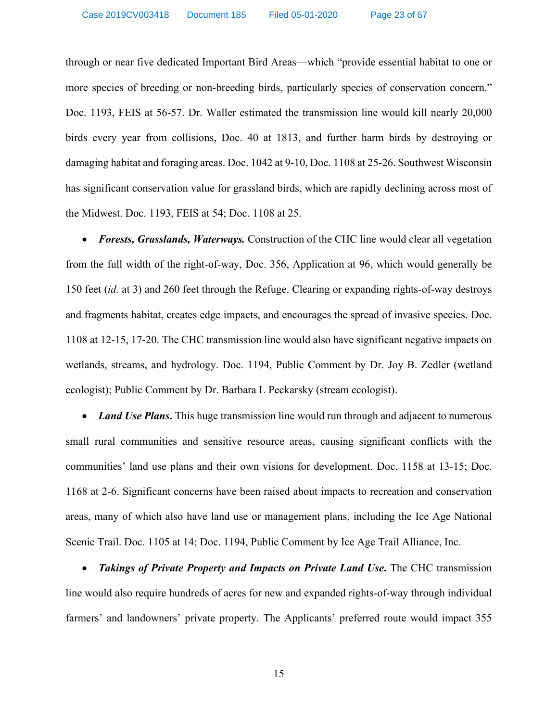through or near five dedicated Important Bird Areas—which "provide essential habitat to one or more species of breeding or non-breeding birds, particularly species of conservation concern." [Doc. 1193, FEIS](http://apps.psc.wi.gov/vs2015/ERF_view/viewdoc.aspx?docid=366195) at 56-57. Dr. Waller estimated the transmission line would kill nearly 20,000 birds every year from collisions, [Doc. 40](http://apps.psc.wi.gov/vs2015/ERF_view/viewdoc.aspx?docid=372328) at 1813, and further harm birds by destroying or damaging habitat and foraging areas. [Doc. 1042](http://apps.psc.wi.gov/pages/viewdoc.htm?docid=364975) at 9-10, [Doc. 1108](http://apps.psc.wi.gov/pages/viewdoc.htm?docid=370579) at 25-26. Southwest Wisconsin has significant conservation value for grassland birds, which are rapidly declining across most of the Midwest. [Doc. 1193, FEIS](http://apps.psc.wi.gov/vs2015/ERF_view/viewdoc.aspx?docid=366195) at 54; [Doc. 1108](http://apps.psc.wi.gov/pages/viewdoc.htm?docid=370579) at 25.

• *Forests, Grasslands, Waterways.* Construction of the CHC line would clear all vegetation from the full width of the right-of-way, [Doc. 356, Application](http://apps.psc.wi.gov/vs2015/ERF_view/viewdoc.aspx?docid=352698) at 96, which would generally be 150 feet (*[id.](http://apps.psc.wi.gov/vs2015/ERF_view/viewdoc.aspx?docid=352698)* at 3) and 260 feet through the Refuge. Clearing or expanding rights-of-way destroys and fragments habitat, creates edge impacts, and encourages the spread of invasive species. [Doc.](http://apps.psc.wi.gov/pages/viewdoc.htm?docid=370579)  [1108](http://apps.psc.wi.gov/pages/viewdoc.htm?docid=370579) at 12-15, 17-20. The CHC transmission line would also have significant negative impacts on wetlands, streams, and hydrology. [Doc. 1194, Public Comment by Dr. Joy B. Zedler](http://apps.psc.wi.gov/vs2015/ERF_view/viewdoc.aspx?docid=371235) (wetland ecologist); [Public Comment by Dr. Barbara L Peckarsky](http://apps.psc.wi.gov/vs2015/ERF_view/viewdoc.aspx?docid=371013) (stream ecologist).

• *Land Use Plans*. This huge transmission line would run through and adjacent to numerous small rural communities and sensitive resource areas, causing significant conflicts with the communities' land use plans and their own visions for development. [Doc. 1158](http://apps.psc.wi.gov/pages/viewdoc.htm?docid=368853) at 13-15; [Doc.](http://apps.psc.wi.gov/pages/viewdoc.htm?docid=368889)  [1168](http://apps.psc.wi.gov/pages/viewdoc.htm?docid=368889) at 2-6. Significant concerns have been raised about impacts to recreation and conservation areas, many of which also have land use or management plans, including the Ice Age National Scenic Trail. [Doc. 1105](http://apps.psc.wi.gov/pages/viewdoc.htm?docid=370576) at 14; [Doc. 1194, Public Comment by Ice Age Trail Alliance, Inc.](http://apps.psc.wi.gov/vs2015/ERF_view/viewdoc.aspx?docid=371300)

• *Takings of Private Property and Impacts on Private Land Use***.** The CHC transmission line would also require hundreds of acres for new and expanded rights-of-way through individual farmers' and landowners' private property. The Applicants' preferred route would impact 355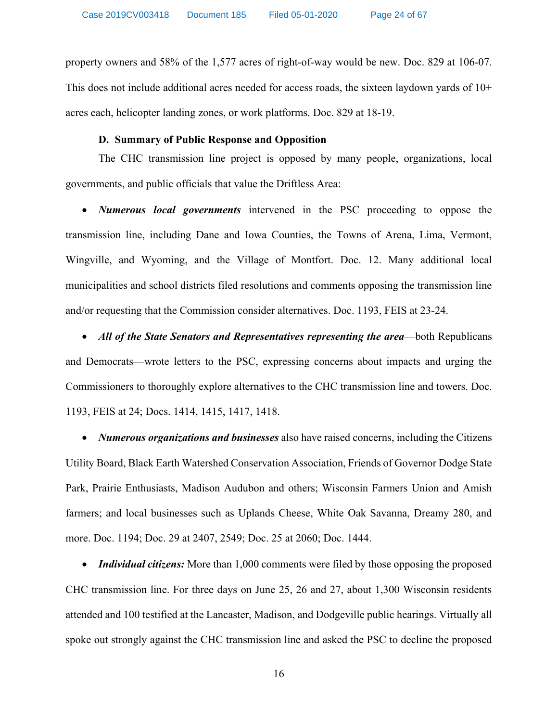property owners and 58% of the 1,577 acres of right-of-way would be new. [Doc. 829](http://apps.psc.wi.gov/vs2015/ERF_view/viewdoc.aspx?docid=367010) at 106-07. This does not include additional acres needed for access roads, the sixteen laydown yards of  $10<sup>+</sup>$ acres each, helicopter landing zones, or work platforms. [Doc. 829](http://apps.psc.wi.gov/vs2015/ERF_view/viewdoc.aspx?docid=367010) at 18-19.

### **D. Summary of Public Response and Opposition**

The CHC transmission line project is opposed by many people, organizations, local governments, and public officials that value the Driftless Area:

• *Numerous local governments* intervened in the PSC proceeding to oppose the transmission line, including Dane and Iowa Counties, the Towns of Arena, Lima, Vermont, Wingville, and Wyoming, and the Village of Montfort. [Doc. 12.](http://apps.psc.wi.gov/pages/viewdoc.htm?docid=362093) Many additional local municipalities and school districts filed resolutions and comments opposing the transmission line and/or requesting that the Commission consider alternatives. [Doc. 1193, FEIS](http://apps.psc.wi.gov/vs2015/ERF_view/viewdoc.aspx?docid=366195) at 23-24.

• *All of the State Senators and Representatives representing the area*—both Republicans and Democrats—wrote letters to the PSC, expressing concerns about impacts and urging the Commissioners to thoroughly explore alternatives to the CHC transmission line and towers. [Doc.](http://apps.psc.wi.gov/vs2015/ERF_view/viewdoc.aspx?docid=366195)  [1193, FEIS](http://apps.psc.wi.gov/vs2015/ERF_view/viewdoc.aspx?docid=366195) at 24; [Docs. 1414,](http://apps.psc.wi.gov/vs2015/ERF_view/viewdoc.aspx?docid=%20372611) [1415,](http://apps.psc.wi.gov/pages/viewdoc.htm?docid=%20356345) [1417,](http://apps.psc.wi.gov/pages/viewdoc.htm?docid=%20372320) [1418.](http://apps.psc.wi.gov/pages/viewdoc.htm?docid=%20356404)

• *Numerous organizations and businesses* also have raised concerns, including the Citizens Utility Board, Black Earth Watershed Conservation Association, Friends of Governor Dodge State Park, Prairie Enthusiasts, Madison Audubon and others; Wisconsin Farmers Union and Amish farmers; and local businesses such as Uplands Cheese, White Oak Savanna, Dreamy 280, and more. [Doc. 1194;](http://apps.psc.wi.gov/vs2015/ERF_view/viewdoc.aspx?docid=%20372384) [Doc. 29](http://apps.psc.wi.gov/pages/viewdoc.htm?docid=371486) at 2407, 2549; [Doc. 25](http://apps.psc.wi.gov/pages/viewdoc.htm?docid=371513) at 2060; [Doc. 1444.](http://apps.psc.wi.gov/pages/viewdoc.htm?docid=%20372185)

• *Individual citizens:* More than 1,000 comments were filed by those opposing the proposed CHC transmission line. For three days on June 25, 26 and 27, about 1,300 Wisconsin residents attended and 100 testified at the Lancaster, Madison, and Dodgeville public hearings. Virtually all spoke out strongly against the CHC transmission line and asked the PSC to decline the proposed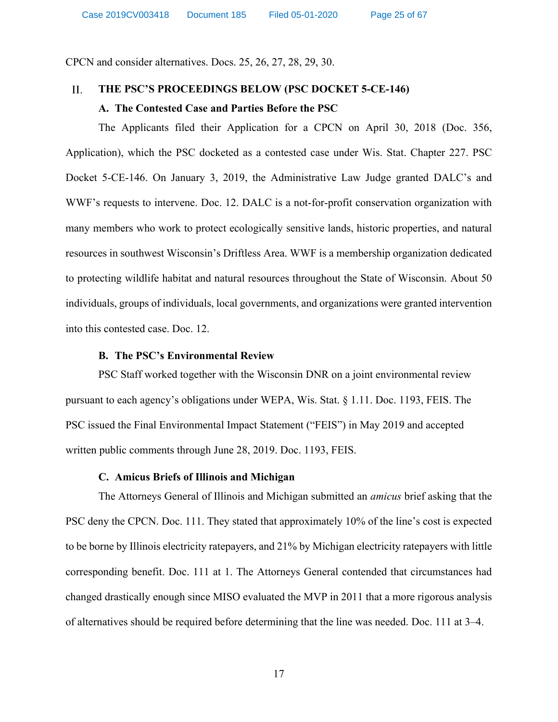CPCN and consider alternatives. [Docs. 25,](http://apps.psc.wi.gov/vs2015/ERF_view/viewdoc.aspx?docid=371513) [26,](http://apps.psc.wi.gov/pages/viewdoc.htm?docid=371514) [27,](http://apps.psc.wi.gov/pages/viewdoc.htm?docid=371515) [28,](http://apps.psc.wi.gov/vs2015/ERF_view/viewdoc.aspx?docid=371516) [29,](http://apps.psc.wi.gov/pages/viewdoc.htm?docid=371486) [30.](http://apps.psc.wi.gov/pages/viewdoc.htm?docid=371487)

#### $II.$ **THE PSC'S PROCEEDINGS BELOW (PSC DOCKET 5-CE-146)**

# **A. The Contested Case and Parties Before the PSC**

The Applicants filed their Application for a CPCN on April 30, 2018 [\(Doc. 356,](http://apps.psc.wi.gov/vs2015/ERF_view/viewdoc.aspx?docid=352698)  [Application\)](http://apps.psc.wi.gov/vs2015/ERF_view/viewdoc.aspx?docid=352698), which the PSC docketed as a contested case under Wis. Stat. Chapter 227. PSC Docket 5-CE-146. On January 3, 2019, the Administrative Law Judge granted DALC's and WWF's requests to intervene. [Doc. 12.](http://apps.psc.wi.gov/pages/viewdoc.htm?docid=362093) DALC is a not-for-profit conservation organization with many members who work to protect ecologically sensitive lands, historic properties, and natural resources in southwest Wisconsin's Driftless Area. WWF is a membership organization dedicated to protecting wildlife habitat and natural resources throughout the State of Wisconsin. About 50 individuals, groups of individuals, local governments, and organizations were granted intervention into this contested case. [Doc. 12.](http://apps.psc.wi.gov/pages/viewdoc.htm?docid=362093)

### **B. The PSC's Environmental Review**

PSC Staff worked together with the Wisconsin DNR on a joint environmental review pursuant to each agency's obligations under WEPA, Wis. Stat. § 1.11. [Doc. 1193, FEIS.](http://apps.psc.wi.gov/vs2015/ERF_view/viewdoc.aspx?docid=366195) The PSC issued the Final Environmental Impact Statement ("FEIS") in May 2019 and accepted written public comments through June 28, 2019. [Doc. 1193, FEIS.](http://apps.psc.wi.gov/vs2015/ERF_view/viewdoc.aspx?docid=366195)

### **C. Amicus Briefs of Illinois and Michigan**

The Attorneys General of Illinois and Michigan submitted an *amicus* brief asking that the PSC deny the CPCN. [Doc. 111](http://apps.psc.wi.gov/pages/viewdoc.htm?docid=%20372726). They stated that approximately 10% of the line's cost is expected to be borne by Illinois electricity ratepayers, and 21% by Michigan electricity ratepayers with little corresponding benefit. [Doc. 111](http://apps.psc.wi.gov/pages/viewdoc.htm?docid=%20372726) at 1. The Attorneys General contended that circumstances had changed drastically enough since MISO evaluated the MVP in 2011 that a more rigorous analysis of alternatives should be required before determining that the line was needed. [Doc. 111](http://apps.psc.wi.gov/pages/viewdoc.htm?docid=%20372726) at 3–4.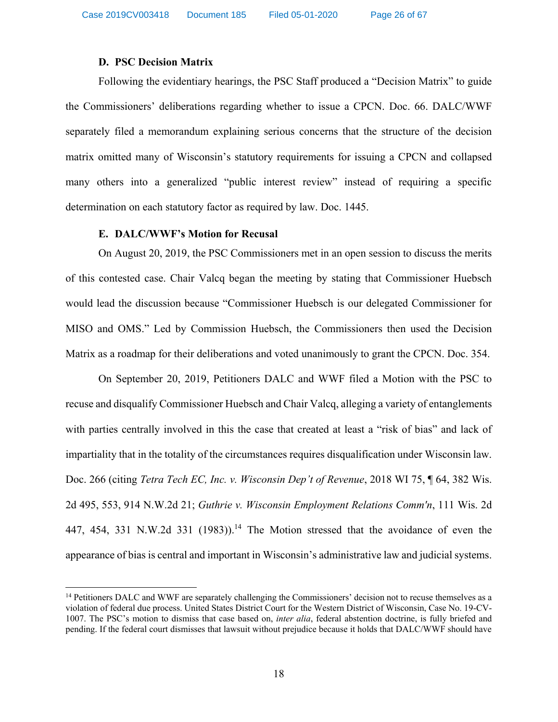### **D. PSC Decision Matrix**

Following the evidentiary hearings, the PSC Staff produced a "Decision Matrix" to guide the Commissioners' deliberations regarding whether to issue a CPCN. [Doc. 66.](http://apps.psc.wi.gov/pages/viewdoc.htm?docid=373248) DALC/WWF separately filed a memorandum explaining serious concerns that the structure of the decision matrix omitted many of Wisconsin's statutory requirements for issuing a CPCN and collapsed many others into a generalized "public interest review" instead of requiring a specific determination on each statutory factor as required by law. [Doc. 1445.](http://apps.psc.wi.gov/pages/viewdoc.htm?docid=%20372945)

### **E. DALC/WWF's Motion for Recusal**

 $\overline{\phantom{a}}$ 

On August 20, 2019, the PSC Commissioners met in an open session to discuss the merits of this contested case. Chair Valcq began the meeting by stating that Commissioner Huebsch would lead the discussion because "Commissioner Huebsch is our delegated Commissioner for MISO and OMS." Led by Commission Huebsch, the Commissioners then used the Decision Matrix as a roadmap for their deliberations and voted unanimously to grant the CPCN. [Doc. 354.](http://apps.psc.wi.gov/pages/viewdoc.htm?docid=374489)

On September 20, 2019, Petitioners DALC and WWF filed a Motion with the PSC to recuse and disqualify Commissioner Huebsch and Chair Valcq, alleging a variety of entanglements with parties centrally involved in this the case that created at least a "risk of bias" and lack of impartiality that in the totality of the circumstances requires disqualification under Wisconsin law. [Doc. 266](http://apps.psc.wi.gov/pages/viewdoc.htm?docid=376074) (citing *Tetra Tech EC, Inc. v. Wisconsin Dep't of Revenue*, 2018 WI 75, ¶ 64, 382 Wis. 2d 495, 553, 914 N.W.2d 21; *Guthrie v. Wisconsin Employment Relations Comm'n*, 111 Wis. 2d 447, 454, 331 N.W.2d 331 (1983)).<sup>14</sup> The Motion stressed that the avoidance of even the appearance of bias is central and important in Wisconsin's administrative law and judicial systems.

<sup>&</sup>lt;sup>14</sup> Petitioners DALC and WWF are separately challenging the Commissioners' decision not to recuse themselves as a violation of federal due process. United States District Court for the Western District of Wisconsin, Case No. 19-CV-1007. The PSC's motion to dismiss that case based on, *inter alia*, federal abstention doctrine, is fully briefed and pending. If the federal court dismisses that lawsuit without prejudice because it holds that DALC/WWF should have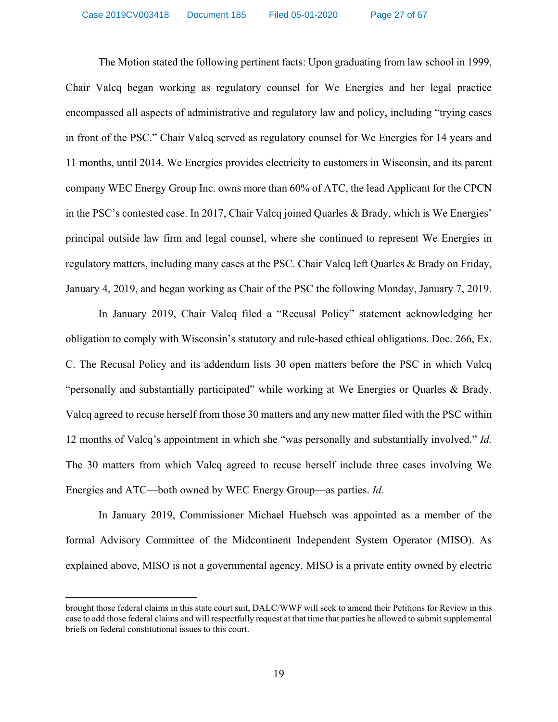The Motion stated the following pertinent facts: Upon graduating from law school in 1999, Chair Valcq began working as regulatory counsel for We Energies and her legal practice encompassed all aspects of administrative and regulatory law and policy, including "trying cases in front of the PSC." Chair Valcq served as regulatory counsel for We Energies for 14 years and 11 months, until 2014. We Energies provides electricity to customers in Wisconsin, and its parent company WEC Energy Group Inc. owns more than 60% of ATC, the lead Applicant for the CPCN in the PSC's contested case. In 2017, Chair Valcq joined Quarles & Brady, which is We Energies' principal outside law firm and legal counsel, where she continued to represent We Energies in regulatory matters, including many cases at the PSC. Chair Valcq left Quarles & Brady on Friday, January 4, 2019, and began working as Chair of the PSC the following Monday, January 7, 2019.

In January 2019, Chair Valcq filed a "Recusal Policy" statement acknowledging her obligation to comply with Wisconsin's statutory and rule-based ethical obligations. [Doc. 266,](http://apps.psc.wi.gov/pages/viewdoc.htm?docid=376074) Ex. C. The Recusal Policy and its addendum lists 30 open matters before the PSC in which Valcq "personally and substantially participated" while working at We Energies or Quarles & Brady. Valcq agreed to recuse herself from those 30 matters and any new matter filed with the PSC within 12 months of Valcq's appointment in which she "was personally and substantially involved." *[Id.](http://apps.psc.wi.gov/pages/viewdoc.htm?docid=376074)* The 30 matters from which Valcq agreed to recuse herself include three cases involving We Energies and ATC—both owned by WEC Energy Group—as parties. *[Id.](http://apps.psc.wi.gov/pages/viewdoc.htm?docid=376074)*

In January 2019, Commissioner Michael Huebsch was appointed as a member of the formal Advisory Committee of the Midcontinent Independent System Operator (MISO). As explained above, MISO is not a governmental agency. MISO is a private entity owned by electric

 $\overline{\phantom{a}}$ 

brought those federal claims in this state court suit, DALC/WWF will seek to amend their Petitions for Review in this case to add those federal claims and will respectfully request at that time that parties be allowed to submit supplemental briefs on federal constitutional issues to this court.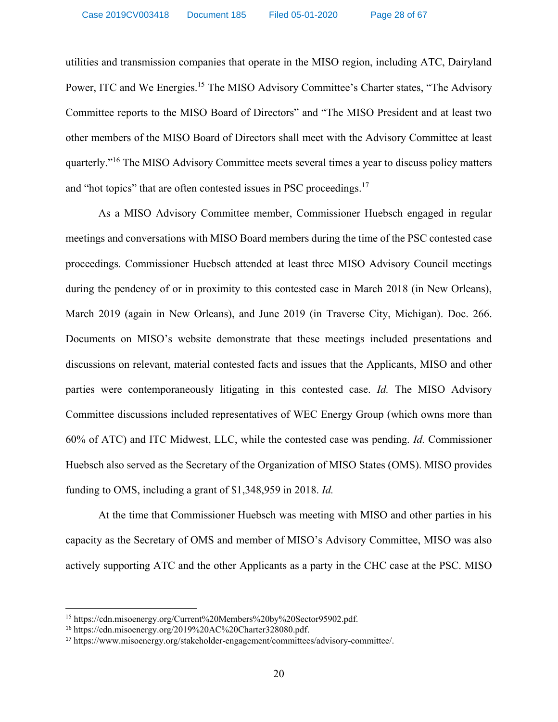utilities and transmission companies that operate in the MISO region, including ATC, Dairyland Power, ITC and We Energies.<sup>15</sup> The MISO Advisory Committee's Charter states, "The Advisory Committee reports to the MISO Board of Directors" and "The MISO President and at least two other members of the MISO Board of Directors shall meet with the Advisory Committee at least quarterly."<sup>16</sup> The MISO Advisory Committee meets several times a year to discuss policy matters and "hot topics" that are often contested issues in PSC proceedings.<sup>17</sup>

As a MISO Advisory Committee member, Commissioner Huebsch engaged in regular meetings and conversations with MISO Board members during the time of the PSC contested case proceedings. Commissioner Huebsch attended at least three MISO Advisory Council meetings during the pendency of or in proximity to this contested case in March 2018 (in New Orleans), March 2019 (again in New Orleans), and June 2019 (in Traverse City, Michigan). [Doc. 266.](http://apps.psc.wi.gov/pages/viewdoc.htm?docid=376074) Documents on MISO's website demonstrate that these meetings included presentations and discussions on relevant, material contested facts and issues that the Applicants, MISO and other parties were contemporaneously litigating in this contested case. *[Id.](http://apps.psc.wi.gov/pages/viewdoc.htm?docid=376074)* The MISO Advisory Committee discussions included representatives of WEC Energy Group (which owns more than 60% of ATC) and ITC Midwest, LLC, while the contested case was pending. *[Id.](http://apps.psc.wi.gov/pages/viewdoc.htm?docid=376074)* Commissioner Huebsch also served as the Secretary of the Organization of MISO States (OMS). MISO provides funding to OMS, including a grant of \$1,348,959 in 2018. *[Id.](http://apps.psc.wi.gov/pages/viewdoc.htm?docid=376074)*

At the time that Commissioner Huebsch was meeting with MISO and other parties in his capacity as the Secretary of OMS and member of MISO's Advisory Committee, MISO was also actively supporting ATC and the other Applicants as a party in the CHC case at the PSC. MISO

 $\overline{\phantom{a}}$ 

<sup>15</sup> [https://cdn.misoenergy.org/Current%20Members%20by%20Sector95902.pdf.](https://cdn.misoenergy.org/Current%20Members%20by%20Sector95902.pdf)

<sup>16</sup> [https://cdn.misoenergy.org/2019%20AC%20Charter328080.pdf.](https://cdn.misoenergy.org/2019%20AC%20Charter328080.pdf)

<sup>17</sup> [https://www.misoenergy.org/stakeholder-engagement/committees/advisory-committee/.](https://www.misoenergy.org/stakeholder-engagement/committees/advisory-committee/)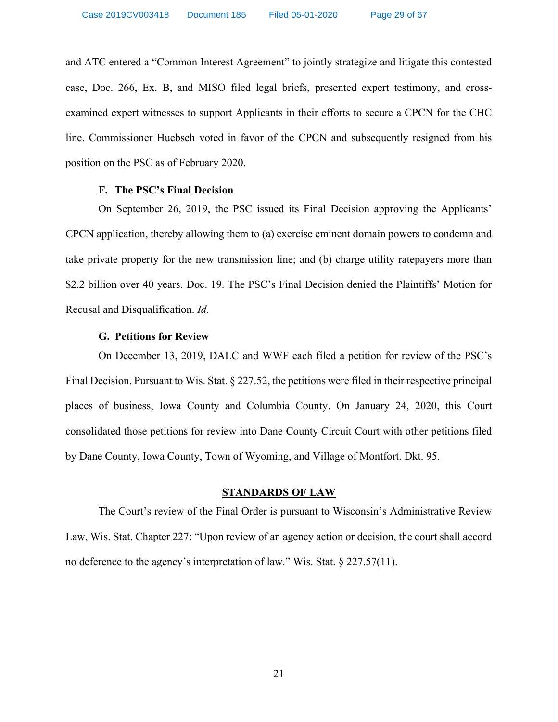and ATC entered a "Common Interest Agreement" to jointly strategize and litigate this contested case, [Doc. 266,](http://apps.psc.wi.gov/pages/viewdoc.htm?docid=376074) Ex. B, and MISO filed legal briefs, presented expert testimony, and crossexamined expert witnesses to support Applicants in their efforts to secure a CPCN for the CHC line. Commissioner Huebsch voted in favor of the CPCN and subsequently resigned from his position on the PSC as of February 2020.

### **F. The PSC's Final Decision**

On September 26, 2019, the PSC issued its Final Decision approving the Applicants' CPCN application, thereby allowing them to (a) exercise eminent domain powers to condemn and take private property for the new transmission line; and (b) charge utility ratepayers more than \$2.2 billion over 40 years. [Doc. 19](http://apps.psc.wi.gov/pages/viewdoc.htm?docid=376391). The PSC's Final Decision denied the Plaintiffs' Motion for Recusal and Disqualification. *[Id.](http://apps.psc.wi.gov/pages/viewdoc.htm?docid=376391)*

### **G. Petitions for Review**

On December 13, 2019, DALC and WWF each filed a petition for review of the PSC's Final Decision. Pursuant to Wis. Stat. § 227.52, the petitions were filed in their respective principal places of business, Iowa County and Columbia County. On January 24, 2020, this Court consolidated those petitions for review into Dane County Circuit Court with other petitions filed by Dane County, Iowa County, Town of Wyoming, and Village of Montfort. Dkt. 95.

## **STANDARDS OF LAW**

The Court's review of the Final Order is pursuant to Wisconsin's Administrative Review Law, Wis. Stat. Chapter 227: "Upon review of an agency action or decision, the court shall accord no deference to the agency's interpretation of law." Wis. Stat. § 227.57(11).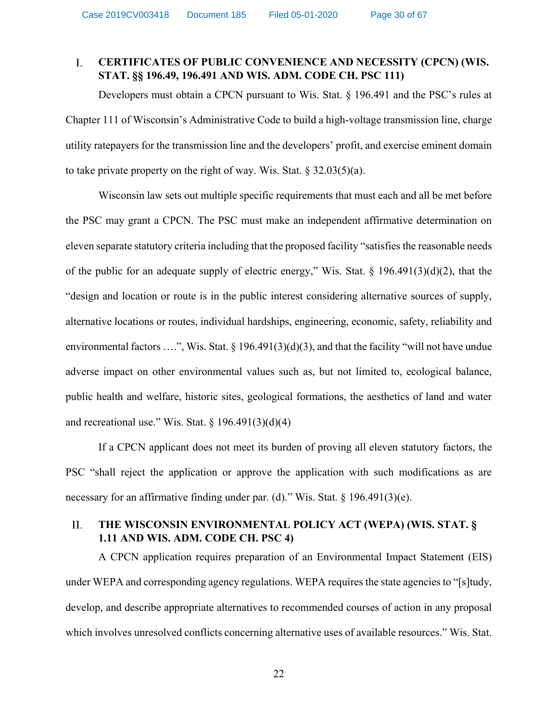#### $\overline{L}$ **CERTIFICATES OF PUBLIC CONVENIENCE AND NECESSITY (CPCN) (WIS. STAT. §§ 196.49, 196.491 AND WIS. ADM. CODE CH. PSC 111)**

Developers must obtain a CPCN pursuant to Wis. Stat. § 196.491 and the PSC's rules at Chapter 111 of Wisconsin's Administrative Code to build a high-voltage transmission line, charge utility ratepayers for the transmission line and the developers' profit, and exercise eminent domain to take private property on the right of way. Wis. Stat.  $\S$  32.03(5)(a).

Wisconsin law sets out multiple specific requirements that must each and all be met before the PSC may grant a CPCN. The PSC must make an independent affirmative determination on eleven separate statutory criteria including that the proposed facility "satisfies the reasonable needs of the public for an adequate supply of electric energy," Wis. Stat. § 196.491(3)(d)(2), that the "design and location or route is in the public interest considering alternative sources of supply, alternative locations or routes, individual hardships, engineering, economic, safety, reliability and environmental factors ....", Wis. Stat. § 196.491(3)(d)(3), and that the facility "will not have undue adverse impact on other environmental values such as, but not limited to, ecological balance, public health and welfare, historic sites, geological formations, the aesthetics of land and water and recreational use." Wis. Stat.  $\S 196.491(3)(d)(4)$ 

If a CPCN applicant does not meet its burden of proving all eleven statutory factors, the PSC "shall reject the application or approve the application with such modifications as are necessary for an affirmative finding under par. (d)." Wis. Stat. § 196.491(3)(e).

#### $II.$ **THE WISCONSIN ENVIRONMENTAL POLICY ACT (WEPA) (WIS. STAT. § 1.11 AND WIS. ADM. CODE CH. PSC 4)**

A CPCN application requires preparation of an Environmental Impact Statement (EIS) under WEPA and corresponding agency regulations. WEPA requires the state agencies to "[s]tudy, develop, and describe appropriate alternatives to recommended courses of action in any proposal which involves unresolved conflicts concerning alternative uses of available resources." Wis. Stat.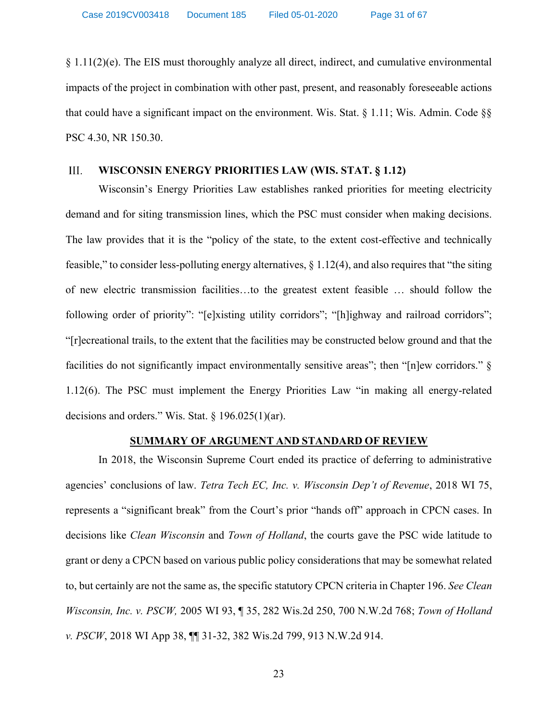$§$  1.11(2)(e). The EIS must thoroughly analyze all direct, indirect, and cumulative environmental impacts of the project in combination with other past, present, and reasonably foreseeable actions that could have a significant impact on the environment. Wis. Stat. § 1.11; Wis. Admin. Code §§ PSC 4.30, NR 150.30.

#### III. **WISCONSIN ENERGY PRIORITIES LAW (WIS. STAT. § 1.12)**

Wisconsin's Energy Priorities Law establishes ranked priorities for meeting electricity demand and for siting transmission lines, which the PSC must consider when making decisions. The law provides that it is the "policy of the state, to the extent cost-effective and technically feasible," to consider less-polluting energy alternatives,  $\S 1.12(4)$ , and also requires that "the siting of new electric transmission facilities…to the greatest extent feasible … should follow the following order of priority": "[e]xisting utility corridors"; "[h]ighway and railroad corridors"; "[r]ecreational trails, to the extent that the facilities may be constructed below ground and that the facilities do not significantly impact environmentally sensitive areas"; then "[n]ew corridors." § 1.12(6). The PSC must implement the Energy Priorities Law "in making all energy-related decisions and orders." Wis. Stat. § 196.025(1)(ar).

### **SUMMARY OF ARGUMENT AND STANDARD OF REVIEW**

In 2018, the Wisconsin Supreme Court ended its practice of deferring to administrative agencies' conclusions of law. *Tetra Tech EC, Inc. v. Wisconsin Dep't of Revenue*, 2018 WI 75, represents a "significant break" from the Court's prior "hands off" approach in CPCN cases. In decisions like *Clean Wisconsin* and *Town of Holland*, the courts gave the PSC wide latitude to grant or deny a CPCN based on various public policy considerations that may be somewhat related to, but certainly are not the same as, the specific statutory CPCN criteria in Chapter 196. *See Clean Wisconsin, Inc. v. PSCW,* 2005 WI 93, ¶ 35, 282 Wis.2d 250, 700 N.W.2d 768; *Town of Holland v. PSCW*, 2018 WI App 38, ¶¶ 31-32, 382 Wis.2d 799, 913 N.W.2d 914.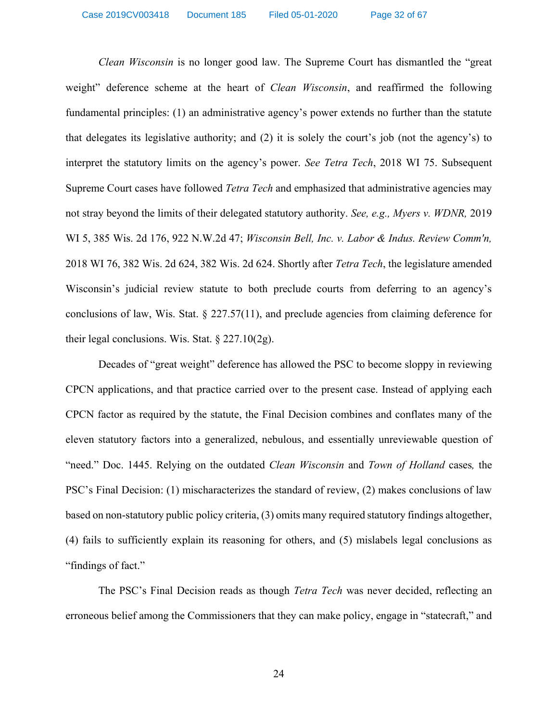*Clean Wisconsin* is no longer good law. The Supreme Court has dismantled the "great weight" deference scheme at the heart of *Clean Wisconsin*, and reaffirmed the following fundamental principles: (1) an administrative agency's power extends no further than the statute that delegates its legislative authority; and (2) it is solely the court's job (not the agency's) to interpret the statutory limits on the agency's power. *See Tetra Tech*, 2018 WI 75. Subsequent Supreme Court cases have followed *Tetra Tech* and emphasized that administrative agencies may not stray beyond the limits of their delegated statutory authority. *See, e.g., Myers v. WDNR,* 2019 WI 5, 385 Wis. 2d 176, 922 N.W.2d 47; *Wisconsin Bell, Inc. v. Labor & Indus. Review Comm'n,* 2018 WI 76, 382 Wis. 2d 624, 382 Wis. 2d 624. Shortly after *Tetra Tech*, the legislature amended Wisconsin's judicial review statute to both preclude courts from deferring to an agency's conclusions of law, Wis. Stat. § 227.57(11), and preclude agencies from claiming deference for their legal conclusions. Wis. Stat.  $\S 227.10(2g)$ .

Decades of "great weight" deference has allowed the PSC to become sloppy in reviewing CPCN applications, and that practice carried over to the present case. Instead of applying each CPCN factor as required by the statute, the Final Decision combines and conflates many of the eleven statutory factors into a generalized, nebulous, and essentially unreviewable question of "need." [Doc. 1445.](http://apps.psc.wi.gov/pages/viewdoc.htm?docid=%20372945) Relying on the outdated *Clean Wisconsin* and *Town of Holland* cases*,* the PSC's Final Decision: (1) mischaracterizes the standard of review, (2) makes conclusions of law based on non-statutory public policy criteria, (3) omits many required statutory findings altogether, (4) fails to sufficiently explain its reasoning for others, and (5) mislabels legal conclusions as "findings of fact."

The PSC's Final Decision reads as though *Tetra Tech* was never decided, reflecting an erroneous belief among the Commissioners that they can make policy, engage in "statecraft," and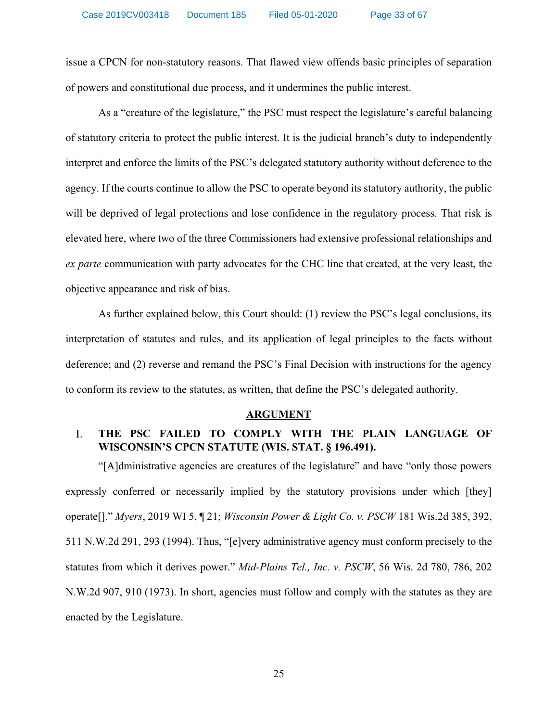issue a CPCN for non-statutory reasons. That flawed view offends basic principles of separation of powers and constitutional due process, and it undermines the public interest.

As a "creature of the legislature," the PSC must respect the legislature's careful balancing of statutory criteria to protect the public interest. It is the judicial branch's duty to independently interpret and enforce the limits of the PSC's delegated statutory authority without deference to the agency. If the courts continue to allow the PSC to operate beyond its statutory authority, the public will be deprived of legal protections and lose confidence in the regulatory process. That risk is elevated here, where two of the three Commissioners had extensive professional relationships and *ex parte* communication with party advocates for the CHC line that created, at the very least, the objective appearance and risk of bias.

As further explained below, this Court should: (1) review the PSC's legal conclusions, its interpretation of statutes and rules, and its application of legal principles to the facts without deference; and (2) reverse and remand the PSC's Final Decision with instructions for the agency to conform its review to the statutes, as written, that define the PSC's delegated authority.

### **ARGUMENT**

#### $\overline{L}$ **THE PSC FAILED TO COMPLY WITH THE PLAIN LANGUAGE OF WISCONSIN'S CPCN STATUTE (WIS. STAT. § 196.491).**

"[A]dministrative agencies are creatures of the legislature" and have "only those powers expressly conferred or necessarily implied by the statutory provisions under which [they] operate[]." *Myers*, 2019 WI 5, ¶ 21; *Wisconsin Power & Light Co. v. PSCW* 181 Wis.2d 385, 392, 511 N.W.2d 291, 293 (1994). Thus, "[e]very administrative agency must conform precisely to the statutes from which it derives power." *Mid-Plains Tel., Inc. v. PSCW*, 56 Wis. 2d 780, 786, 202 N.W.2d 907, 910 (1973). In short, agencies must follow and comply with the statutes as they are enacted by the Legislature.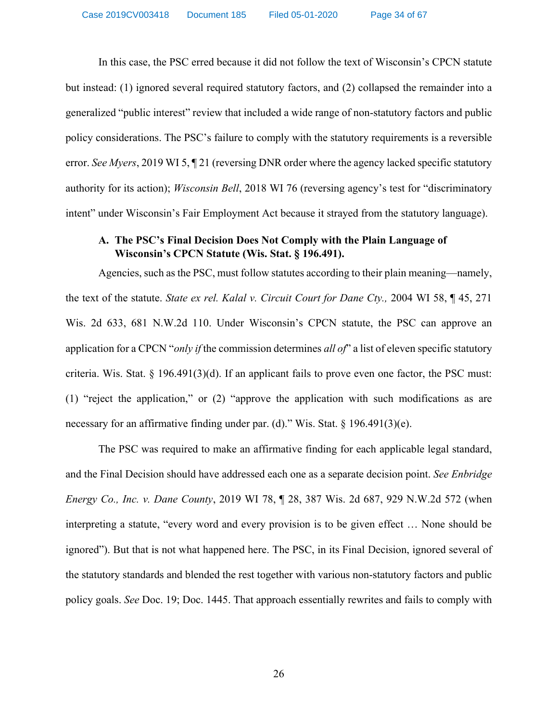In this case, the PSC erred because it did not follow the text of Wisconsin's CPCN statute but instead: (1) ignored several required statutory factors, and (2) collapsed the remainder into a generalized "public interest" review that included a wide range of non-statutory factors and public policy considerations. The PSC's failure to comply with the statutory requirements is a reversible error. *See Myers*, 2019 WI 5, ¶ 21 (reversing DNR order where the agency lacked specific statutory authority for its action); *Wisconsin Bell*, 2018 WI 76 (reversing agency's test for "discriminatory intent" under Wisconsin's Fair Employment Act because it strayed from the statutory language).

# **A. The PSC's Final Decision Does Not Comply with the Plain Language of Wisconsin's CPCN Statute (Wis. Stat. § 196.491).**

Agencies, such as the PSC, must follow statutes according to their plain meaning—namely, the text of the statute. *State ex rel. Kalal v. Circuit Court for Dane Cty.,* 2004 WI 58, ¶ 45, 271 Wis. 2d 633, 681 N.W.2d 110. Under Wisconsin's CPCN statute, the PSC can approve an application for a CPCN "*only if* the commission determines *all of*" a list of eleven specific statutory criteria. Wis. Stat. § 196.491(3)(d). If an applicant fails to prove even one factor, the PSC must: (1) "reject the application," or (2) "approve the application with such modifications as are necessary for an affirmative finding under par. (d)." Wis. Stat. § 196.491(3)(e).

The PSC was required to make an affirmative finding for each applicable legal standard, and the Final Decision should have addressed each one as a separate decision point. *See Enbridge Energy Co., Inc. v. Dane County*, 2019 WI 78, ¶ 28, 387 Wis. 2d 687, 929 N.W.2d 572 (when interpreting a statute, "every word and every provision is to be given effect … None should be ignored"). But that is not what happened here. The PSC, in its Final Decision, ignored several of the statutory standards and blended the rest together with various non-statutory factors and public policy goals. *See* [Doc. 19;](http://apps.psc.wi.gov/pages/viewdoc.htm?docid=376391) [Doc. 1445.](http://apps.psc.wi.gov/pages/viewdoc.htm?docid=%20372945) That approach essentially rewrites and fails to comply with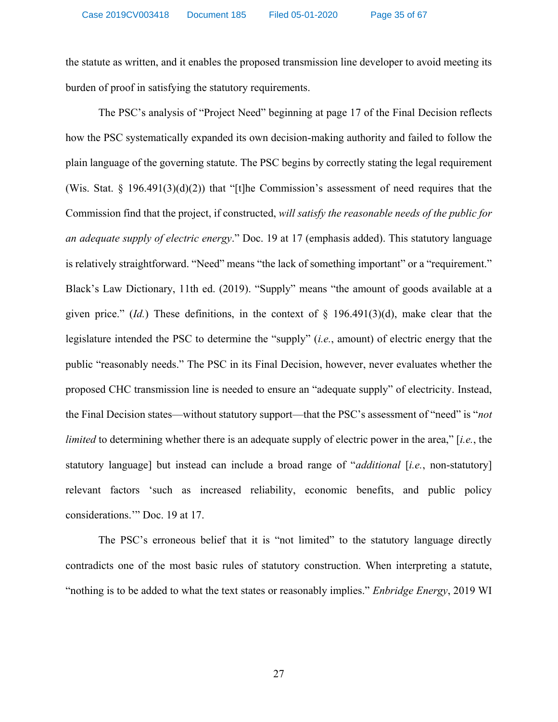the statute as written, and it enables the proposed transmission line developer to avoid meeting its burden of proof in satisfying the statutory requirements.

The PSC's analysis of "Project Need" beginning at page 17 of the Final Decision reflects how the PSC systematically expanded its own decision-making authority and failed to follow the plain language of the governing statute. The PSC begins by correctly stating the legal requirement (Wis. Stat.  $\S$  196.491(3)(d)(2)) that "[t]he Commission's assessment of need requires that the Commission find that the project, if constructed, *will satisfy the reasonable needs of the public for an adequate supply of electric energy*." [Doc. 19](http://apps.psc.wi.gov/pages/viewdoc.htm?docid=376391) at 17 (emphasis added). This statutory language is relatively straightforward. "Need" means "the lack of something important" or a "requirement." Black's Law Dictionary, 11th ed. (2019). "Supply" means "the amount of goods available at a given price." (*Id.*) These definitions, in the context of § 196.491(3)(d), make clear that the legislature intended the PSC to determine the "supply" (*i.e.*, amount) of electric energy that the public "reasonably needs." The PSC in its Final Decision, however, never evaluates whether the proposed CHC transmission line is needed to ensure an "adequate supply" of electricity. Instead, the Final Decision states—without statutory support—that the PSC's assessment of "need" is "*not limited* to determining whether there is an adequate supply of electric power in the area," [*i.e.*, the statutory language] but instead can include a broad range of "*additional* [*i.e.*, non-statutory] relevant factors 'such as increased reliability, economic benefits, and public policy considerations.'" [Doc. 19](http://apps.psc.wi.gov/pages/viewdoc.htm?docid=376391) at 17.

The PSC's erroneous belief that it is "not limited" to the statutory language directly contradicts one of the most basic rules of statutory construction. When interpreting a statute, "nothing is to be added to what the text states or reasonably implies." *Enbridge Energy*, 2019 WI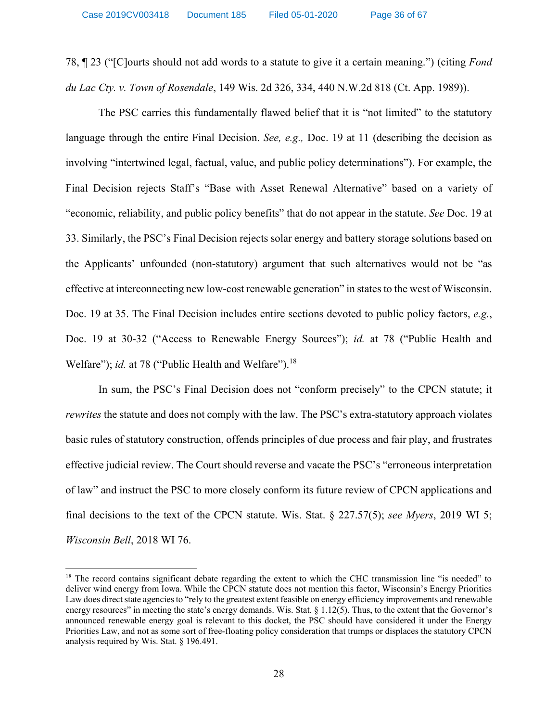78, ¶ 23 ("[C]ourts should not add words to a statute to give it a certain meaning.") (citing *Fond du Lac Cty. v. Town of Rosendale*, 149 Wis. 2d 326, 334, 440 N.W.2d 818 (Ct. App. 1989)).

The PSC carries this fundamentally flawed belief that it is "not limited" to the statutory language through the entire Final Decision. *See, e.g.,* [Doc. 19](http://apps.psc.wi.gov/pages/viewdoc.htm?docid=376391) at 11 (describing the decision as involving "intertwined legal, factual, value, and public policy determinations"). For example, the Final Decision rejects Staff's "Base with Asset Renewal Alternative" based on a variety of "economic, reliability, and public policy benefits" that do not appear in the statute. *See* [Doc. 19](http://apps.psc.wi.gov/pages/viewdoc.htm?docid=376391) at 33. Similarly, the PSC's Final Decision rejects solar energy and battery storage solutions based on the Applicants' unfounded (non-statutory) argument that such alternatives would not be "as effective at interconnecting new low-cost renewable generation" in states to the west of Wisconsin. [Doc. 19](http://apps.psc.wi.gov/pages/viewdoc.htm?docid=376391) at 35. The Final Decision includes entire sections devoted to public policy factors, *e.g.*, [Doc. 19](http://apps.psc.wi.gov/pages/viewdoc.htm?docid=376391) at 30-32 ("Access to Renewable Energy Sources"); *[id.](http://apps.psc.wi.gov/pages/viewdoc.htm?docid=376391)* at 78 ("Public Health and Welfare"); *[id.](http://apps.psc.wi.gov/pages/viewdoc.htm?docid=376391)* at 78 ("Public Health and Welfare").<sup>18</sup>

In sum, the PSC's Final Decision does not "conform precisely" to the CPCN statute; it *rewrites* the statute and does not comply with the law. The PSC's extra-statutory approach violates basic rules of statutory construction, offends principles of due process and fair play, and frustrates effective judicial review. The Court should reverse and vacate the PSC's "erroneous interpretation of law" and instruct the PSC to more closely conform its future review of CPCN applications and final decisions to the text of the CPCN statute. Wis. Stat. § 227.57(5); *see Myers*, 2019 WI 5; *Wisconsin Bell*, 2018 WI 76.

 $\overline{\phantom{a}}$ 

<sup>&</sup>lt;sup>18</sup> The record contains significant debate regarding the extent to which the CHC transmission line "is needed" to deliver wind energy from Iowa. While the CPCN statute does not mention this factor, Wisconsin's Energy Priorities Law does direct state agencies to "rely to the greatest extent feasible on energy efficiency improvements and renewable energy resources" in meeting the state's energy demands. Wis. Stat. § 1.12(5). Thus, to the extent that the Governor's announced renewable energy goal is relevant to this docket, the PSC should have considered it under the Energy Priorities Law, and not as some sort of free-floating policy consideration that trumps or displaces the statutory CPCN analysis required by Wis. Stat. § 196.491.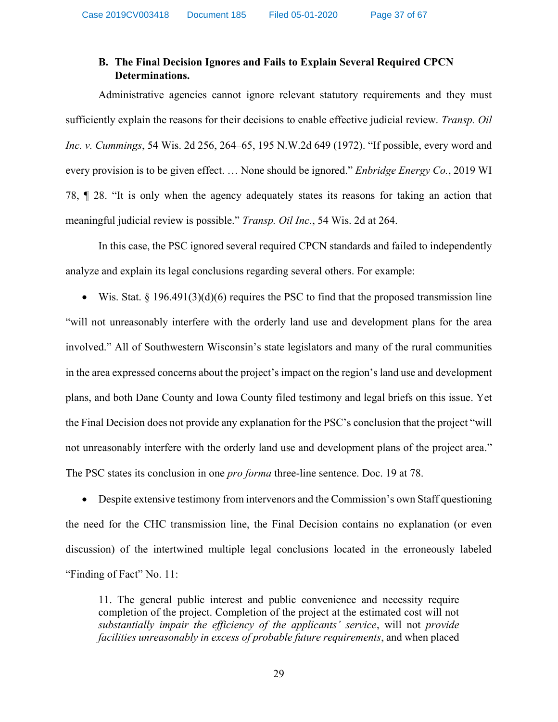# **B. The Final Decision Ignores and Fails to Explain Several Required CPCN Determinations.**

Administrative agencies cannot ignore relevant statutory requirements and they must sufficiently explain the reasons for their decisions to enable effective judicial review. *Transp. Oil Inc. v. Cummings*, 54 Wis. 2d 256, 264–65, 195 N.W.2d 649 (1972). "If possible, every word and every provision is to be given effect. … None should be ignored." *Enbridge Energy Co.*, 2019 WI 78, ¶ 28. "It is only when the agency adequately states its reasons for taking an action that meaningful judicial review is possible." *Transp. Oil Inc.*, 54 Wis. 2d at 264.

In this case, the PSC ignored several required CPCN standards and failed to independently analyze and explain its legal conclusions regarding several others. For example:

• Wis. Stat. § 196.491(3)(d)(6) requires the PSC to find that the proposed transmission line "will not unreasonably interfere with the orderly land use and development plans for the area involved." All of Southwestern Wisconsin's state legislators and many of the rural communities in the area expressed concerns about the project's impact on the region's land use and development plans, and both Dane County and Iowa County filed testimony and legal briefs on this issue. Yet the Final Decision does not provide any explanation for the PSC's conclusion that the project "will not unreasonably interfere with the orderly land use and development plans of the project area." The PSC states its conclusion in one *pro forma* three-line sentence. [Doc. 19](http://apps.psc.wi.gov/pages/viewdoc.htm?docid=376391) at 78.

• Despite extensive testimony from intervenors and the Commission's own Staff questioning the need for the CHC transmission line, the Final Decision contains no explanation (or even discussion) of the intertwined multiple legal conclusions located in the erroneously labeled "Finding of Fact" No. 11:

11. The general public interest and public convenience and necessity require completion of the project. Completion of the project at the estimated cost will not *substantially impair the efficiency of the applicants' service*, will not *provide facilities unreasonably in excess of probable future requirements*, and when placed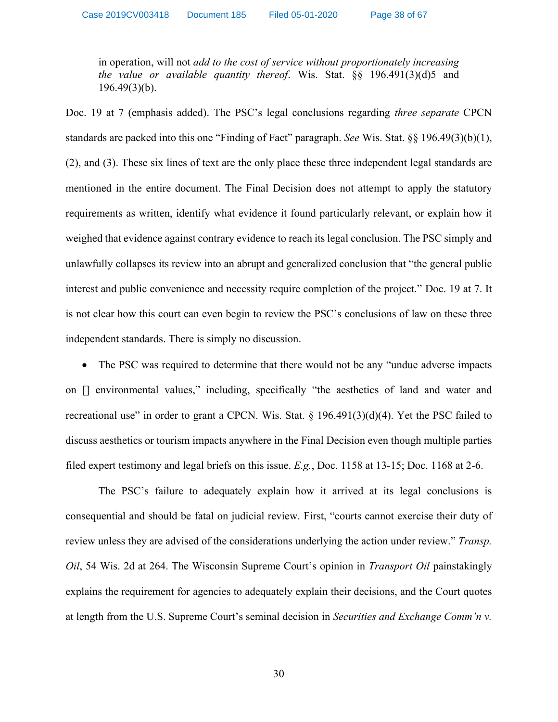in operation, will not *add to the cost of service without proportionately increasing the value or available quantity thereof*. Wis. Stat. §§ 196.491(3)(d)5 and 196.49(3)(b).

[Doc. 19](http://apps.psc.wi.gov/pages/viewdoc.htm?docid=376391) at 7 (emphasis added). The PSC's legal conclusions regarding *three separate* CPCN standards are packed into this one "Finding of Fact" paragraph. *See* Wis. Stat. §§ 196.49(3)(b)(1), (2), and (3). These six lines of text are the only place these three independent legal standards are mentioned in the entire document. The Final Decision does not attempt to apply the statutory requirements as written, identify what evidence it found particularly relevant, or explain how it weighed that evidence against contrary evidence to reach its legal conclusion. The PSC simply and unlawfully collapses its review into an abrupt and generalized conclusion that "the general public interest and public convenience and necessity require completion of the project." [Doc. 19](http://apps.psc.wi.gov/pages/viewdoc.htm?docid=376391) at 7. It is not clear how this court can even begin to review the PSC's conclusions of law on these three independent standards. There is simply no discussion.

• The PSC was required to determine that there would not be any "undue adverse impacts" on [] environmental values," including, specifically "the aesthetics of land and water and recreational use" in order to grant a CPCN. Wis. Stat.  $\S$  196.491(3)(d)(4). Yet the PSC failed to discuss aesthetics or tourism impacts anywhere in the Final Decision even though multiple parties filed expert testimony and legal briefs on this issue. *E.g.*, [Doc. 1158](http://apps.psc.wi.gov/pages/viewdoc.htm?docid=368853) at 13-15; [Doc. 1168](http://apps.psc.wi.gov/pages/viewdoc.htm?docid=368889) at 2-6.

The PSC's failure to adequately explain how it arrived at its legal conclusions is consequential and should be fatal on judicial review. First, "courts cannot exercise their duty of review unless they are advised of the considerations underlying the action under review." *Transp. Oil*, 54 Wis. 2d at 264. The Wisconsin Supreme Court's opinion in *Transport Oil* painstakingly explains the requirement for agencies to adequately explain their decisions, and the Court quotes at length from the U.S. Supreme Court's seminal decision in *Securities and Exchange Comm'n v.*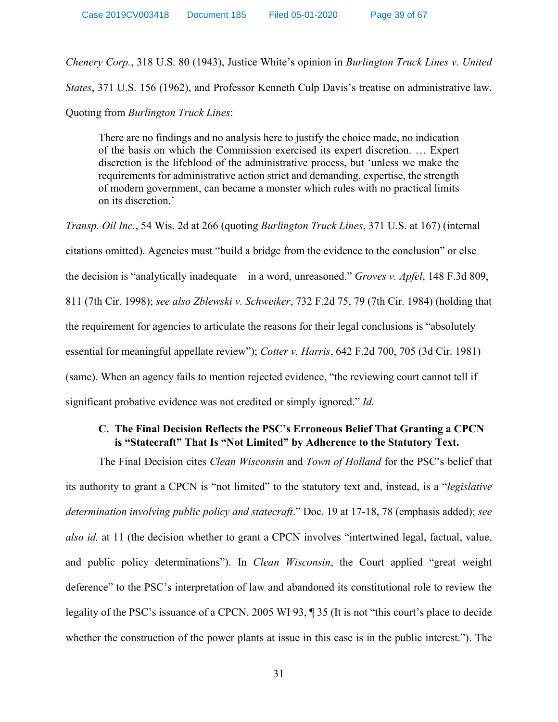*Chenery Corp.*, 318 U.S. 80 (1943), Justice White's opinion in *Burlington Truck Lines v. United States*, 371 U.S. 156 (1962), and Professor Kenneth Culp Davis's treatise on administrative law. Quoting from *Burlington Truck Lines*:

There are no findings and no analysis here to justify the choice made, no indication of the basis on which the Commission exercised its expert discretion. … Expert discretion is the lifeblood of the administrative process, but 'unless we make the requirements for administrative action strict and demanding, expertise, the strength of modern government, can became a monster which rules with no practical limits on its discretion.'

*Transp. Oil Inc.*, 54 Wis. 2d at 266 (quoting *Burlington Truck Lines*, 371 U.S. at 167) (internal citations omitted). Agencies must "build a bridge from the evidence to the conclusion" or else the decision is "analytically inadequate—in a word, unreasoned." *Groves v. Apfel*, 148 F.3d 809, 811 (7th Cir. 1998); *see also Zblewski v. Schweiker*, 732 F.2d 75, 79 (7th Cir. 1984) (holding that the requirement for agencies to articulate the reasons for their legal conclusions is "absolutely essential for meaningful appellate review"); *Cotter v. Harris*, 642 F.2d 700, 705 (3d Cir. 1981) (same). When an agency fails to mention rejected evidence, "the reviewing court cannot tell if significant probative evidence was not credited or simply ignored." *Id.*

# **C. The Final Decision Reflects the PSC's Erroneous Belief That Granting a CPCN is "Statecraft" That Is "Not Limited" by Adherence to the Statutory Text.**

The Final Decision cites *Clean Wisconsin* and *Town of Holland* for the PSC's belief that its authority to grant a CPCN is "not limited" to the statutory text and, instead, is a "*legislative determination involving public policy and statecraft*." [Doc. 19](http://apps.psc.wi.gov/pages/viewdoc.htm?docid=376391) at 17-18, 78 (emphasis added); *see also [id.](http://apps.psc.wi.gov/pages/viewdoc.htm?docid=376391)* at 11 (the decision whether to grant a CPCN involves "intertwined legal, factual, value, and public policy determinations"). In *Clean Wisconsin*, the Court applied "great weight deference" to the PSC's interpretation of law and abandoned its constitutional role to review the legality of the PSC's issuance of a CPCN. 2005 WI 93, ¶ 35 (It is not "this court's place to decide whether the construction of the power plants at issue in this case is in the public interest."). The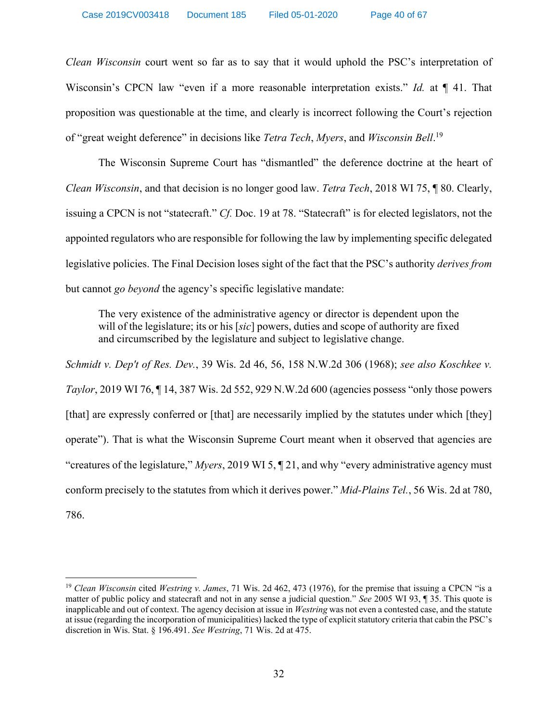*Clean Wisconsin* court went so far as to say that it would uphold the PSC's interpretation of Wisconsin's CPCN law "even if a more reasonable interpretation exists." *Id.* at ¶ 41. That proposition was questionable at the time, and clearly is incorrect following the Court's rejection of "great weight deference" in decisions like *Tetra Tech*, *Myers*, and *Wisconsin Bell*. 19

The Wisconsin Supreme Court has "dismantled" the deference doctrine at the heart of *Clean Wisconsin*, and that decision is no longer good law. *Tetra Tech*, 2018 WI 75, ¶ 80. Clearly, issuing a CPCN is not "statecraft." *Cf.* [Doc. 19](http://apps.psc.wi.gov/pages/viewdoc.htm?docid=376391) at 78. "Statecraft" is for elected legislators, not the appointed regulators who are responsible for following the law by implementing specific delegated legislative policies. The Final Decision loses sight of the fact that the PSC's authority *derives from*  but cannot *go beyond* the agency's specific legislative mandate:

The very existence of the administrative agency or director is dependent upon the will of the legislature; its or his [*sic*] powers, duties and scope of authority are fixed and circumscribed by the legislature and subject to legislative change.

*Schmidt v. Dep't of Res. Dev.*, 39 Wis. 2d 46, 56, 158 N.W.2d 306 (1968); *see also Koschkee v. Taylor*, 2019 WI 76,  $\P$  14, 387 Wis. 2d 552, 929 N.W. 2d 600 (agencies possess "only those powers") [that] are expressly conferred or [that] are necessarily implied by the statutes under which [they] operate"). That is what the Wisconsin Supreme Court meant when it observed that agencies are "creatures of the legislature," *Myers*, 2019 WI 5, ¶ 21, and why "every administrative agency must conform precisely to the statutes from which it derives power." *Mid-Plains Tel.*, 56 Wis. 2d at 780, 786.

 $\overline{\phantom{a}}$ 

<sup>19</sup> *Clean Wisconsin* cited *Westring v. James*, 71 Wis. 2d 462, 473 (1976), for the premise that issuing a CPCN "is a matter of public policy and statecraft and not in any sense a judicial question." *See* 2005 WI 93, ¶ 35. This quote is inapplicable and out of context. The agency decision at issue in *Westring* was not even a contested case, and the statute at issue (regarding the incorporation of municipalities) lacked the type of explicit statutory criteria that cabin the PSC's discretion in Wis. Stat. § 196.491. *See Westring*, 71 Wis. 2d at 475.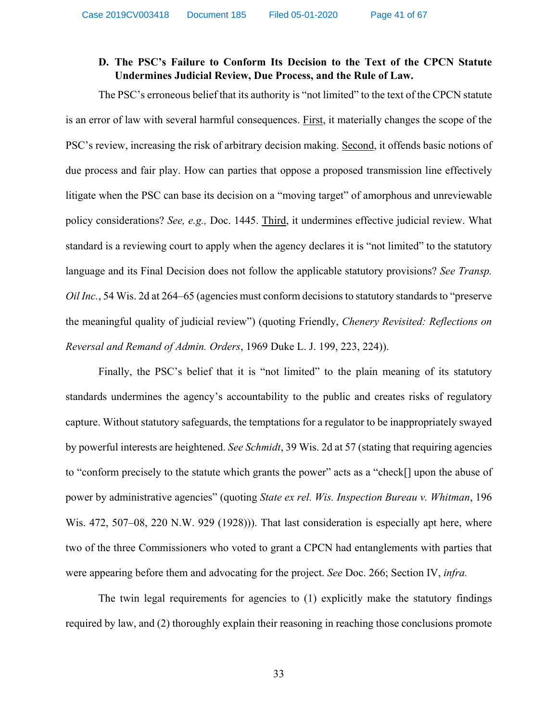# **D. The PSC's Failure to Conform Its Decision to the Text of the CPCN Statute Undermines Judicial Review, Due Process, and the Rule of Law.**

The PSC's erroneous belief that its authority is "not limited" to the text of the CPCN statute is an error of law with several harmful consequences. First, it materially changes the scope of the PSC's review, increasing the risk of arbitrary decision making. Second, it offends basic notions of due process and fair play. How can parties that oppose a proposed transmission line effectively litigate when the PSC can base its decision on a "moving target" of amorphous and unreviewable policy considerations? *See, e.g.,* [Doc. 1445.](http://apps.psc.wi.gov/pages/viewdoc.htm?docid=%20372945) Third, it undermines effective judicial review. What standard is a reviewing court to apply when the agency declares it is "not limited" to the statutory language and its Final Decision does not follow the applicable statutory provisions? *See Transp. Oil Inc.*, 54 Wis. 2d at 264–65 (agencies must conform decisions to statutory standards to "preserve" the meaningful quality of judicial review") (quoting Friendly, *Chenery Revisited: Reflections on Reversal and Remand of Admin. Orders*, 1969 Duke L. J. 199, 223, 224)).

Finally, the PSC's belief that it is "not limited" to the plain meaning of its statutory standards undermines the agency's accountability to the public and creates risks of regulatory capture. Without statutory safeguards, the temptations for a regulator to be inappropriately swayed by powerful interests are heightened. *See Schmidt*, 39 Wis. 2d at 57 (stating that requiring agencies to "conform precisely to the statute which grants the power" acts as a "check[] upon the abuse of power by administrative agencies" (quoting *State ex rel. Wis. Inspection Bureau v. Whitman*, 196 Wis. 472, 507–08, 220 N.W. 929 (1928))). That last consideration is especially apt here, where two of the three Commissioners who voted to grant a CPCN had entanglements with parties that were appearing before them and advocating for the project. *See* [Doc. 266;](http://apps.psc.wi.gov/pages/viewdoc.htm?docid=376074) Section IV, *infra.*

The twin legal requirements for agencies to (1) explicitly make the statutory findings required by law, and (2) thoroughly explain their reasoning in reaching those conclusions promote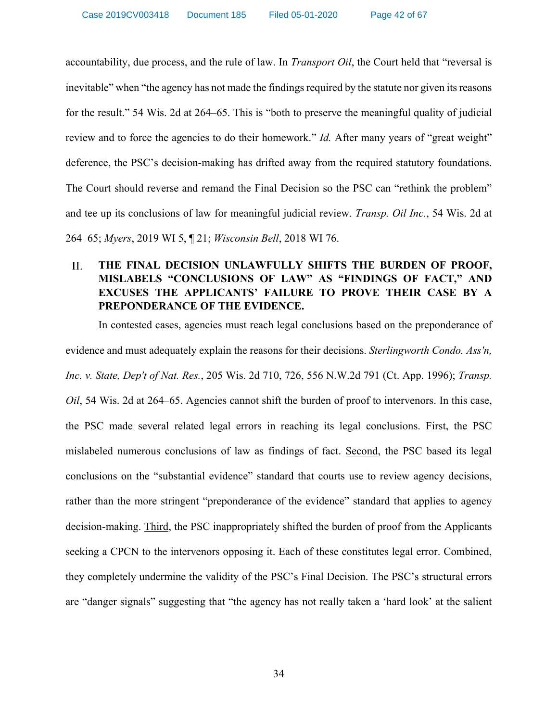accountability, due process, and the rule of law. In *Transport Oil*, the Court held that "reversal is inevitable" when "the agency has not made the findings required by the statute nor given its reasons for the result." 54 Wis. 2d at 264–65. This is "both to preserve the meaningful quality of judicial review and to force the agencies to do their homework." *Id.* After many years of "great weight" deference, the PSC's decision-making has drifted away from the required statutory foundations. The Court should reverse and remand the Final Decision so the PSC can "rethink the problem" and tee up its conclusions of law for meaningful judicial review. *Transp. Oil Inc.*, 54 Wis. 2d at 264–65; *Myers*, 2019 WI 5, ¶ 21; *Wisconsin Bell*, 2018 WI 76.

### $II.$ **THE FINAL DECISION UNLAWFULLY SHIFTS THE BURDEN OF PROOF, MISLABELS "CONCLUSIONS OF LAW" AS "FINDINGS OF FACT," AND EXCUSES THE APPLICANTS' FAILURE TO PROVE THEIR CASE BY A PREPONDERANCE OF THE EVIDENCE.**

In contested cases, agencies must reach legal conclusions based on the preponderance of evidence and must adequately explain the reasons for their decisions. *Sterlingworth Condo. Ass'n, Inc. v. State, Dep't of Nat. Res.*, 205 Wis. 2d 710, 726, 556 N.W.2d 791 (Ct. App. 1996); *Transp. Oil*, 54 Wis. 2d at 264–65. Agencies cannot shift the burden of proof to intervenors. In this case, the PSC made several related legal errors in reaching its legal conclusions. First, the PSC mislabeled numerous conclusions of law as findings of fact. Second, the PSC based its legal conclusions on the "substantial evidence" standard that courts use to review agency decisions, rather than the more stringent "preponderance of the evidence" standard that applies to agency decision-making. Third, the PSC inappropriately shifted the burden of proof from the Applicants seeking a CPCN to the intervenors opposing it. Each of these constitutes legal error. Combined, they completely undermine the validity of the PSC's Final Decision. The PSC's structural errors are "danger signals" suggesting that "the agency has not really taken a 'hard look' at the salient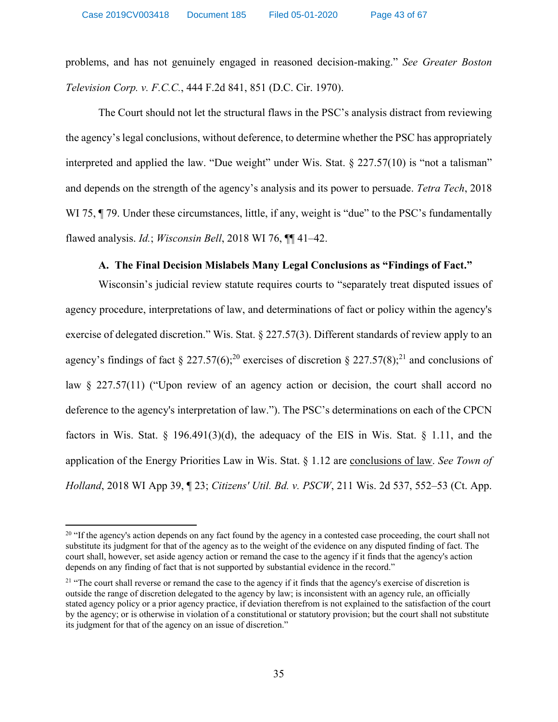problems, and has not genuinely engaged in reasoned decision-making." *See Greater Boston Television Corp. v. F.C.C.*, 444 F.2d 841, 851 (D.C. Cir. 1970).

The Court should not let the structural flaws in the PSC's analysis distract from reviewing the agency's legal conclusions, without deference, to determine whether the PSC has appropriately interpreted and applied the law. "Due weight" under Wis. Stat. § 227.57(10) is "not a talisman" and depends on the strength of the agency's analysis and its power to persuade. *Tetra Tech*, 2018 WI 75,  $\P$  79. Under these circumstances, little, if any, weight is "due" to the PSC's fundamentally flawed analysis. *Id.*; *Wisconsin Bell*, 2018 WI 76, ¶¶ 41–42.

### **A. The Final Decision Mislabels Many Legal Conclusions as "Findings of Fact."**

Wisconsin's judicial review statute requires courts to "separately treat disputed issues of agency procedure, interpretations of law, and determinations of fact or policy within the agency's exercise of delegated discretion." Wis. Stat. § 227.57(3). Different standards of review apply to an agency's findings of fact § 227.57(6);<sup>20</sup> exercises of discretion § 227.57(8);<sup>21</sup> and conclusions of law § 227.57(11) ("Upon review of an agency action or decision, the court shall accord no deference to the agency's interpretation of law."). The PSC's determinations on each of the CPCN factors in Wis. Stat.  $\S$  196.491(3)(d), the adequacy of the EIS in Wis. Stat.  $\S$  1.11, and the application of the Energy Priorities Law in Wis. Stat. § 1.12 are conclusions of law. *See Town of Holland*, 2018 WI App 39, ¶ 23; *Citizens' Util. Bd. v. PSCW*, 211 Wis. 2d 537, 552–53 (Ct. App.

 $\overline{\phantom{a}}$ 

<sup>&</sup>lt;sup>20</sup> "If the agency's action depends on any fact found by the agency in a contested case proceeding, the court shall not substitute its judgment for that of the agency as to the weight of the evidence on any disputed finding of fact. The court shall, however, set aside agency action or remand the case to the agency if it finds that the agency's action depends on any finding of fact that is not supported by substantial evidence in the record."

<sup>&</sup>lt;sup>21</sup> "The court shall reverse or remand the case to the agency if it finds that the agency's exercise of discretion is outside the range of discretion delegated to the agency by law; is inconsistent with an agency rule, an officially stated agency policy or a prior agency practice, if deviation therefrom is not explained to the satisfaction of the court by the agency; or is otherwise in violation of a constitutional or statutory provision; but the court shall not substitute its judgment for that of the agency on an issue of discretion."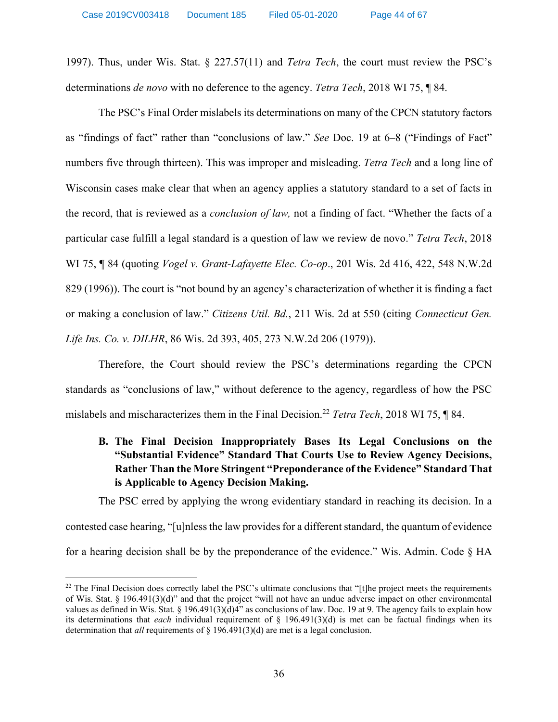1997). Thus, under Wis. Stat. § 227.57(11) and *Tetra Tech*, the court must review the PSC's determinations *de novo* with no deference to the agency. *Tetra Tech*, 2018 WI 75, ¶ 84.

The PSC's Final Order mislabels its determinations on many of the CPCN statutory factors as "findings of fact" rather than "conclusions of law." *See* [Doc. 19](http://apps.psc.wi.gov/pages/viewdoc.htm?docid=376391) at 6–8 ("Findings of Fact" numbers five through thirteen). This was improper and misleading. *Tetra Tech* and a long line of Wisconsin cases make clear that when an agency applies a statutory standard to a set of facts in the record, that is reviewed as a *conclusion of law,* not a finding of fact. "Whether the facts of a particular case fulfill a legal standard is a question of law we review de novo." *Tetra Tech*, 2018 WI 75, ¶ 84 (quoting *Vogel v. Grant-Lafayette Elec. Co-op*., 201 Wis. 2d 416, 422, 548 N.W.2d 829 (1996)). The court is "not bound by an agency's characterization of whether it is finding a fact or making a conclusion of law." *Citizens Util. Bd.*, 211 Wis. 2d at 550 (citing *Connecticut Gen. Life Ins. Co. v. DILHR*, 86 Wis. 2d 393, 405, 273 N.W.2d 206 (1979)).

Therefore, the Court should review the PSC's determinations regarding the CPCN standards as "conclusions of law," without deference to the agency, regardless of how the PSC mislabels and mischaracterizes them in the Final Decision.22 *Tetra Tech*, 2018 WI 75, ¶ 84.

# **B. The Final Decision Inappropriately Bases Its Legal Conclusions on the "Substantial Evidence" Standard That Courts Use to Review Agency Decisions, Rather Than the More Stringent "Preponderance of the Evidence" Standard That is Applicable to Agency Decision Making.**

The PSC erred by applying the wrong evidentiary standard in reaching its decision. In a contested case hearing, "[u]nless the law provides for a different standard, the quantum of evidence for a hearing decision shall be by the preponderance of the evidence." Wis. Admin. Code § HA

 $\overline{\phantom{a}}$ 

 $^{22}$  The Final Decision does correctly label the PSC's ultimate conclusions that "[t]he project meets the requirements of Wis. Stat. § 196.491(3)(d)" and that the project "will not have an undue adverse impact on other environmental values as defined in Wis. Stat. § 196.491(3)(d)4" as conclusions of law. Doc. 19 at 9. The agency fails to explain how its determinations that *each* individual requirement of § 196.491(3)(d) is met can be factual findings when its determination that *all* requirements of § 196.491(3)(d) are met is a legal conclusion.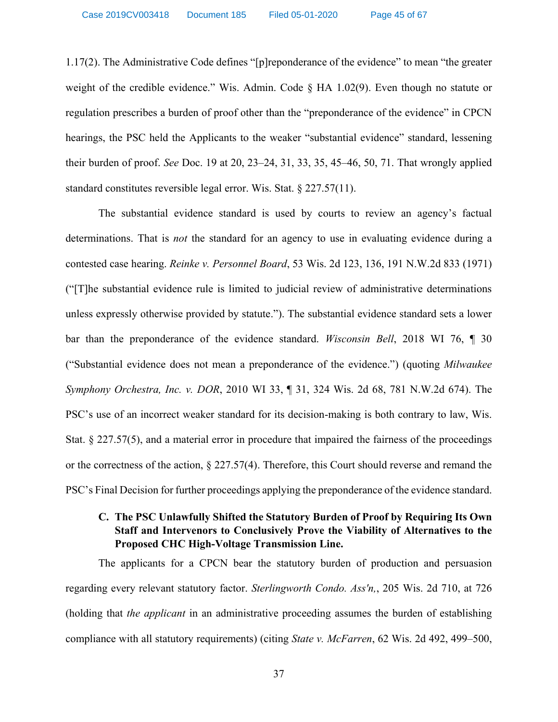1.17(2). The Administrative Code defines "[p]reponderance of the evidence" to mean "the greater weight of the credible evidence." Wis. Admin. Code § HA 1.02(9). Even though no statute or regulation prescribes a burden of proof other than the "preponderance of the evidence" in CPCN hearings, the PSC held the Applicants to the weaker "substantial evidence" standard, lessening their burden of proof. *See* [Doc. 19](http://apps.psc.wi.gov/pages/viewdoc.htm?docid=376391) at 20, 23–24, 31, 33, 35, 45–46, 50, 71. That wrongly applied standard constitutes reversible legal error. Wis. Stat. § 227.57(11).

The substantial evidence standard is used by courts to review an agency's factual determinations. That is *not* the standard for an agency to use in evaluating evidence during a contested case hearing. *Reinke v. Personnel Board*, 53 Wis. 2d 123, 136, 191 N.W.2d 833 (1971) ("[T]he substantial evidence rule is limited to judicial review of administrative determinations unless expressly otherwise provided by statute."). The substantial evidence standard sets a lower bar than the preponderance of the evidence standard. *Wisconsin Bell*, 2018 WI 76, ¶ 30 ("Substantial evidence does not mean a preponderance of the evidence.") (quoting *Milwaukee Symphony Orchestra, Inc. v. DOR*, 2010 WI 33, ¶ 31, 324 Wis. 2d 68, 781 N.W.2d 674). The PSC's use of an incorrect weaker standard for its decision-making is both contrary to law, Wis. Stat. § 227.57(5), and a material error in procedure that impaired the fairness of the proceedings or the correctness of the action, § 227.57(4). Therefore, this Court should reverse and remand the PSC's Final Decision for further proceedings applying the preponderance of the evidence standard.

# **C. The PSC Unlawfully Shifted the Statutory Burden of Proof by Requiring Its Own Staff and Intervenors to Conclusively Prove the Viability of Alternatives to the Proposed CHC High-Voltage Transmission Line.**

The applicants for a CPCN bear the statutory burden of production and persuasion regarding every relevant statutory factor. *Sterlingworth Condo. Ass'n,*, 205 Wis. 2d 710, at 726 (holding that *the applicant* in an administrative proceeding assumes the burden of establishing compliance with all statutory requirements) (citing *State v. McFarren*, 62 Wis. 2d 492, 499–500,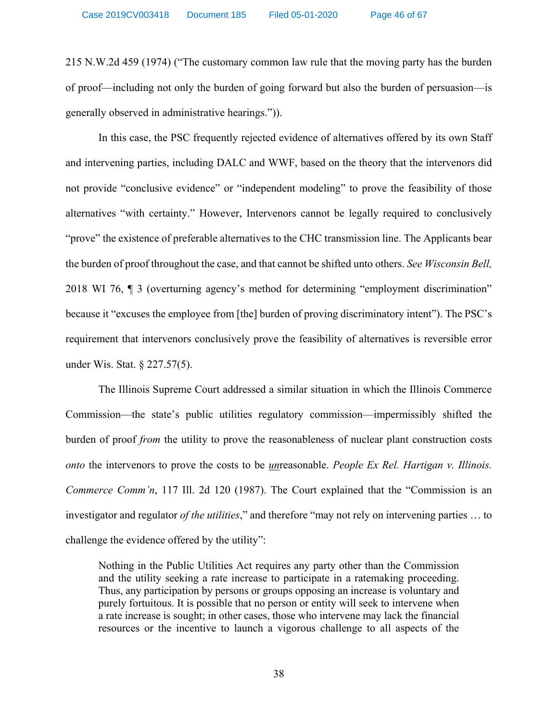215 N.W.2d 459 (1974) ("The customary common law rule that the moving party has the burden of proof—including not only the burden of going forward but also the burden of persuasion—is generally observed in administrative hearings.")).

In this case, the PSC frequently rejected evidence of alternatives offered by its own Staff and intervening parties, including DALC and WWF, based on the theory that the intervenors did not provide "conclusive evidence" or "independent modeling" to prove the feasibility of those alternatives "with certainty." However, Intervenors cannot be legally required to conclusively "prove" the existence of preferable alternatives to the CHC transmission line. The Applicants bear the burden of proof throughout the case, and that cannot be shifted unto others. *See Wisconsin Bell,*  2018 WI 76, ¶ 3 (overturning agency's method for determining "employment discrimination" because it "excuses the employee from [the] burden of proving discriminatory intent"). The PSC's requirement that intervenors conclusively prove the feasibility of alternatives is reversible error under Wis. Stat. § 227.57(5).

The Illinois Supreme Court addressed a similar situation in which the Illinois Commerce Commission—the state's public utilities regulatory commission—impermissibly shifted the burden of proof *from* the utility to prove the reasonableness of nuclear plant construction costs *onto* the intervenors to prove the costs to be *un*reasonable. *People Ex Rel. Hartigan v. Illinois. Commerce Comm'n*, 117 Ill. 2d 120 (1987). The Court explained that the "Commission is an investigator and regulator *of the utilities*," and therefore "may not rely on intervening parties … to challenge the evidence offered by the utility":

Nothing in the Public Utilities Act requires any party other than the Commission and the utility seeking a rate increase to participate in a ratemaking proceeding. Thus, any participation by persons or groups opposing an increase is voluntary and purely fortuitous. It is possible that no person or entity will seek to intervene when a rate increase is sought; in other cases, those who intervene may lack the financial resources or the incentive to launch a vigorous challenge to all aspects of the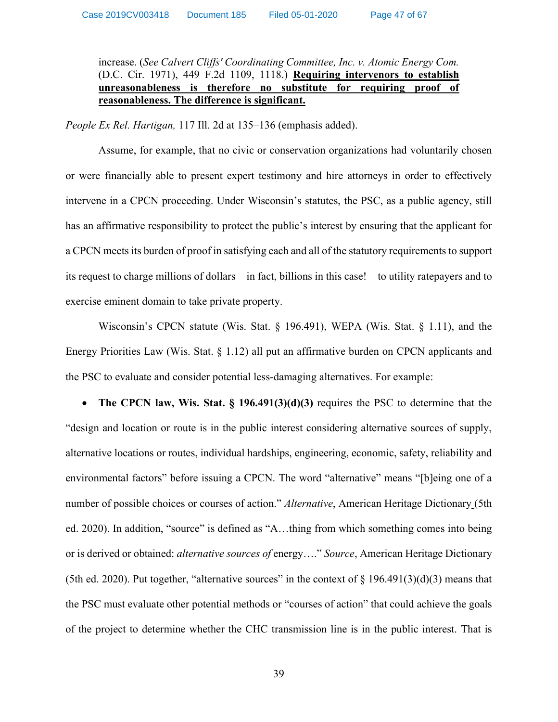# increase. (*See Calvert Cliffs' Coordinating Committee, Inc. v. Atomic Energy Com.* (D.C. Cir. 1971), 449 F.2d 1109, 1118.) **Requiring intervenors to establish unreasonableness is therefore no substitute for requiring proof of reasonableness. The difference is significant.**

*People Ex Rel. Hartigan,* 117 Ill. 2d at 135–136 (emphasis added).

Assume, for example, that no civic or conservation organizations had voluntarily chosen or were financially able to present expert testimony and hire attorneys in order to effectively intervene in a CPCN proceeding. Under Wisconsin's statutes, the PSC, as a public agency, still has an affirmative responsibility to protect the public's interest by ensuring that the applicant for a CPCN meets its burden of proof in satisfying each and all of the statutory requirements to support its request to charge millions of dollars—in fact, billions in this case!—to utility ratepayers and to exercise eminent domain to take private property.

Wisconsin's CPCN statute (Wis. Stat. § 196.491), WEPA (Wis. Stat. § 1.11), and the Energy Priorities Law (Wis. Stat. § 1.12) all put an affirmative burden on CPCN applicants and the PSC to evaluate and consider potential less-damaging alternatives. For example:

• **The CPCN law, Wis. Stat. § 196.491(3)(d)(3)** requires the PSC to determine that the "design and location or route is in the public interest considering alternative sources of supply, alternative locations or routes, individual hardships, engineering, economic, safety, reliability and environmental factors" before issuing a CPCN. The word "alternative" means "[b]eing one of a number of possible choices or courses of action." *Alternative*, American Heritage Dictionary (5th ed. 2020). In addition, "source" is defined as "A…thing from which something comes into being or is derived or obtained: *alternative sources of* energy…." *Source*, American Heritage Dictionary (5th ed. 2020). Put together, "alternative sources" in the context of  $\S$  196.491(3)(d)(3) means that the PSC must evaluate other potential methods or "courses of action" that could achieve the goals of the project to determine whether the CHC transmission line is in the public interest. That is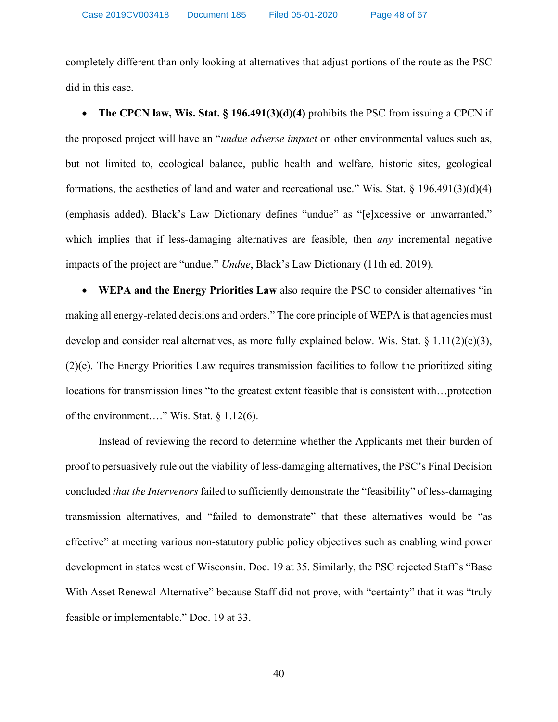completely different than only looking at alternatives that adjust portions of the route as the PSC did in this case.

• **The CPCN law, Wis. Stat. § 196.491(3)(d)(4)** prohibits the PSC from issuing a CPCN if the proposed project will have an "*undue adverse impact* on other environmental values such as, but not limited to, ecological balance, public health and welfare, historic sites, geological formations, the aesthetics of land and water and recreational use." Wis. Stat. § 196.491(3)(d)(4) (emphasis added). Black's Law Dictionary defines "undue" as "[e]xcessive or unwarranted," which implies that if less-damaging alternatives are feasible, then *any* incremental negative impacts of the project are "undue." *Undue*, Black's Law Dictionary (11th ed. 2019).

• **WEPA and the Energy Priorities Law** also require the PSC to consider alternatives "in making all energy-related decisions and orders." The core principle of WEPA is that agencies must develop and consider real alternatives, as more fully explained below. Wis. Stat.  $\S 1.11(2)(c)(3)$ , (2)(e). The Energy Priorities Law requires transmission facilities to follow the prioritized siting locations for transmission lines "to the greatest extent feasible that is consistent with…protection of the environment…." Wis. Stat. § 1.12(6).

Instead of reviewing the record to determine whether the Applicants met their burden of proof to persuasively rule out the viability of less-damaging alternatives, the PSC's Final Decision concluded *that the Intervenors* failed to sufficiently demonstrate the "feasibility" of less-damaging transmission alternatives, and "failed to demonstrate" that these alternatives would be "as effective" at meeting various non-statutory public policy objectives such as enabling wind power development in states west of Wisconsin. [Doc. 19](http://apps.psc.wi.gov/pages/viewdoc.htm?docid=376391) at 35. Similarly, the PSC rejected Staff's "Base With Asset Renewal Alternative" because Staff did not prove, with "certainty" that it was "truly feasible or implementable." [Doc. 19](http://apps.psc.wi.gov/pages/viewdoc.htm?docid=376391) at 33.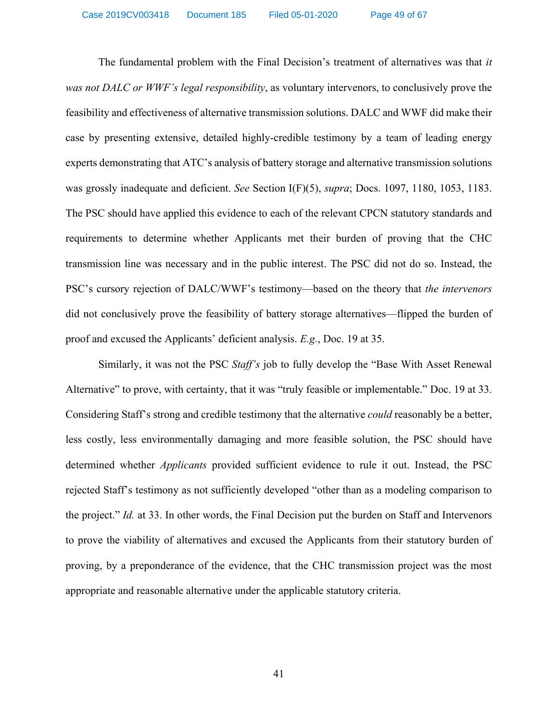The fundamental problem with the Final Decision's treatment of alternatives was that *it was not DALC or WWF's legal responsibility*, as voluntary intervenors, to conclusively prove the feasibility and effectiveness of alternative transmission solutions. DALC and WWF did make their case by presenting extensive, detailed highly-credible testimony by a team of leading energy experts demonstrating that ATC's analysis of battery storage and alternative transmission solutions was grossly inadequate and deficient. *See* Section I(F)(5), *supra*; Docs. [1097,](http://apps.psc.wi.gov/pages/viewdoc.htm?docid=369221) [1180,](http://apps.psc.wi.gov/pages/viewdoc.htm?docid=369775) [1053,](http://apps.psc.wi.gov/pages/viewdoc.htm?docid=366140) [1183.](http://apps.psc.wi.gov/pages/viewdoc.htm?docid=370427) The PSC should have applied this evidence to each of the relevant CPCN statutory standards and requirements to determine whether Applicants met their burden of proving that the CHC transmission line was necessary and in the public interest. The PSC did not do so. Instead, the PSC's cursory rejection of DALC/WWF's testimony—based on the theory that *the intervenors*  did not conclusively prove the feasibility of battery storage alternatives—flipped the burden of proof and excused the Applicants' deficient analysis. *E.g.*, [Doc. 19](http://apps.psc.wi.gov/vs2015/ERF_view/viewdoc.aspx?docid=376391) at 35.

Similarly, it was not the PSC *Staff's* job to fully develop the "Base With Asset Renewal Alternative" to prove, with certainty, that it was "truly feasible or implementable." [Doc. 19](http://apps.psc.wi.gov/pages/viewdoc.htm?docid=376391) at 33. Considering Staff's strong and credible testimony that the alternative *could* reasonably be a better, less costly, less environmentally damaging and more feasible solution, the PSC should have determined whether *Applicants* provided sufficient evidence to rule it out. Instead, the PSC rejected Staff's testimony as not sufficiently developed "other than as a modeling comparison to the project." *[Id.](http://apps.psc.wi.gov/pages/viewdoc.htm?docid=376391)* at 33. In other words, the Final Decision put the burden on Staff and Intervenors to prove the viability of alternatives and excused the Applicants from their statutory burden of proving, by a preponderance of the evidence, that the CHC transmission project was the most appropriate and reasonable alternative under the applicable statutory criteria.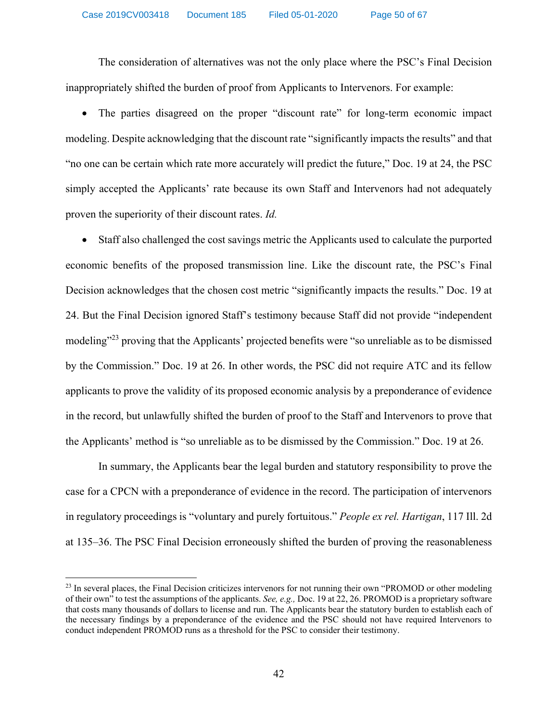The consideration of alternatives was not the only place where the PSC's Final Decision inappropriately shifted the burden of proof from Applicants to Intervenors. For example:

• The parties disagreed on the proper "discount rate" for long-term economic impact modeling. Despite acknowledging that the discount rate "significantly impacts the results" and that "no one can be certain which rate more accurately will predict the future," [Doc. 19](http://apps.psc.wi.gov/pages/viewdoc.htm?docid=376391) at 24, the PSC simply accepted the Applicants' rate because its own Staff and Intervenors had not adequately proven the superiority of their discount rates. *[Id.](http://apps.psc.wi.gov/pages/viewdoc.htm?docid=376391)*

• Staff also challenged the cost savings metric the Applicants used to calculate the purported economic benefits of the proposed transmission line. Like the discount rate, the PSC's Final Decision acknowledges that the chosen cost metric "significantly impacts the results." Doc. 19 at 24. But the Final Decision ignored Staff's testimony because Staff did not provide "independent modeling"<sup>23</sup> proving that the Applicants' projected benefits were "so unreliable as to be dismissed by the Commission." Doc. 19 at 26. In other words, the PSC did not require ATC and its fellow applicants to prove the validity of its proposed economic analysis by a preponderance of evidence in the record, but unlawfully shifted the burden of proof to the Staff and Intervenors to prove that the Applicants' method is "so unreliable as to be dismissed by the Commission." [Doc. 19](http://apps.psc.wi.gov/pages/viewdoc.htm?docid=376391) at 26.

In summary, the Applicants bear the legal burden and statutory responsibility to prove the case for a CPCN with a preponderance of evidence in the record. The participation of intervenors in regulatory proceedings is "voluntary and purely fortuitous." *People ex rel. Hartigan*, 117 Ill. 2d at 135–36. The PSC Final Decision erroneously shifted the burden of proving the reasonableness

 $\overline{\phantom{a}}$ 

<sup>&</sup>lt;sup>23</sup> In several places, the Final Decision criticizes intervenors for not running their own "PROMOD or other modeling of their own" to test the assumptions of the applicants. *See, e.g.,* [Doc. 19](http://apps.psc.wi.gov/pages/viewdoc.htm?docid=376391) at 22, 26. PROMOD is a proprietary software that costs many thousands of dollars to license and run. The Applicants bear the statutory burden to establish each of the necessary findings by a preponderance of the evidence and the PSC should not have required Intervenors to conduct independent PROMOD runs as a threshold for the PSC to consider their testimony.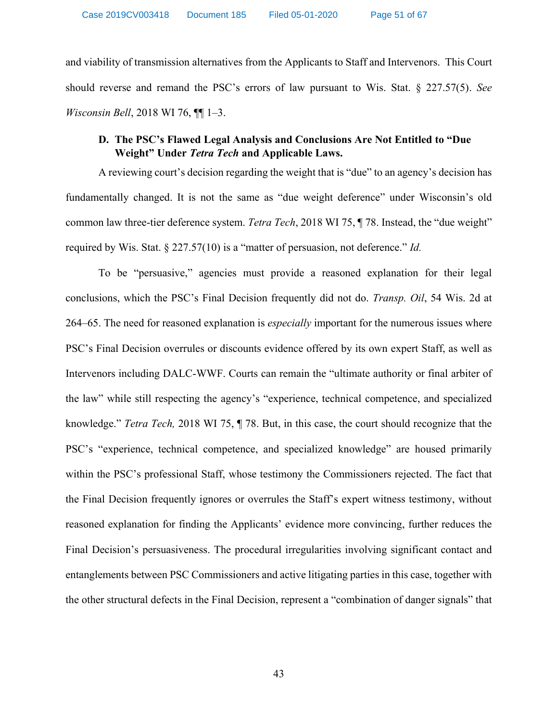and viability of transmission alternatives from the Applicants to Staff and Intervenors. This Court should reverse and remand the PSC's errors of law pursuant to Wis. Stat. § 227.57(5). *See Wisconsin Bell*, 2018 WI 76, ¶¶ 1–3.

# **D. The PSC's Flawed Legal Analysis and Conclusions Are Not Entitled to "Due Weight" Under** *Tetra Tech* **and Applicable Laws.**

A reviewing court's decision regarding the weight that is "due" to an agency's decision has fundamentally changed. It is not the same as "due weight deference" under Wisconsin's old common law three-tier deference system. *Tetra Tech*, 2018 WI 75, ¶ 78. Instead, the "due weight" required by Wis. Stat. § 227.57(10) is a "matter of persuasion, not deference." *Id.* 

To be "persuasive," agencies must provide a reasoned explanation for their legal conclusions, which the PSC's Final Decision frequently did not do. *Transp. Oil*, 54 Wis. 2d at 264–65. The need for reasoned explanation is *especially* important for the numerous issues where PSC's Final Decision overrules or discounts evidence offered by its own expert Staff, as well as Intervenors including DALC-WWF. Courts can remain the "ultimate authority or final arbiter of the law" while still respecting the agency's "experience, technical competence, and specialized knowledge." *Tetra Tech,* 2018 WI 75, ¶ 78. But, in this case, the court should recognize that the PSC's "experience, technical competence, and specialized knowledge" are housed primarily within the PSC's professional Staff, whose testimony the Commissioners rejected. The fact that the Final Decision frequently ignores or overrules the Staff's expert witness testimony, without reasoned explanation for finding the Applicants' evidence more convincing, further reduces the Final Decision's persuasiveness. The procedural irregularities involving significant contact and entanglements between PSC Commissioners and active litigating parties in this case, together with the other structural defects in the Final Decision, represent a "combination of danger signals" that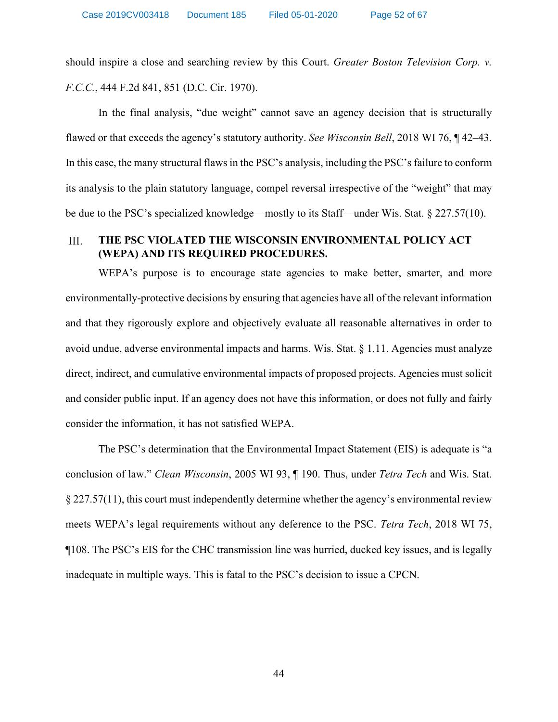should inspire a close and searching review by this Court. *Greater Boston Television Corp. v. F.C.C.*, 444 F.2d 841, 851 (D.C. Cir. 1970).

In the final analysis, "due weight" cannot save an agency decision that is structurally flawed or that exceeds the agency's statutory authority. *See Wisconsin Bell*, 2018 WI 76, ¶ 42–43. In this case, the many structural flaws in the PSC's analysis, including the PSC's failure to conform its analysis to the plain statutory language, compel reversal irrespective of the "weight" that may be due to the PSC's specialized knowledge—mostly to its Staff—under Wis. Stat. § 227.57(10).

#### III. **THE PSC VIOLATED THE WISCONSIN ENVIRONMENTAL POLICY ACT (WEPA) AND ITS REQUIRED PROCEDURES.**

WEPA's purpose is to encourage state agencies to make better, smarter, and more environmentally-protective decisions by ensuring that agencies have all of the relevant information and that they rigorously explore and objectively evaluate all reasonable alternatives in order to avoid undue, adverse environmental impacts and harms. Wis. Stat. § 1.11. Agencies must analyze direct, indirect, and cumulative environmental impacts of proposed projects. Agencies must solicit and consider public input. If an agency does not have this information, or does not fully and fairly consider the information, it has not satisfied WEPA.

The PSC's determination that the Environmental Impact Statement (EIS) is adequate is "a conclusion of law." *Clean Wisconsin*, 2005 WI 93, ¶ 190. Thus, under *Tetra Tech* and Wis. Stat. § 227.57(11), this court must independently determine whether the agency's environmental review meets WEPA's legal requirements without any deference to the PSC. *Tetra Tech*, 2018 WI 75, ¶108. The PSC's EIS for the CHC transmission line was hurried, ducked key issues, and is legally inadequate in multiple ways. This is fatal to the PSC's decision to issue a CPCN.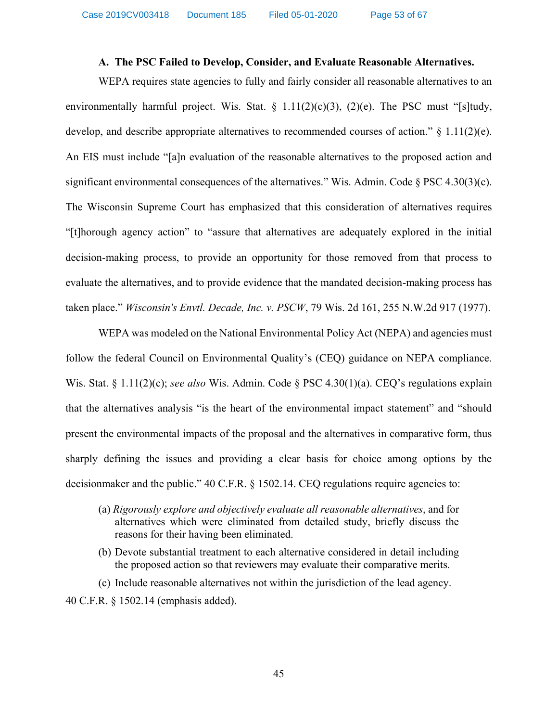### **A. The PSC Failed to Develop, Consider, and Evaluate Reasonable Alternatives.**

WEPA requires state agencies to fully and fairly consider all reasonable alternatives to an environmentally harmful project. Wis. Stat.  $\S$  1.11(2)(c)(3), (2)(e). The PSC must "[s]tudy, develop, and describe appropriate alternatives to recommended courses of action."  $\S$  1.11(2)(e). An EIS must include "[a]n evaluation of the reasonable alternatives to the proposed action and significant environmental consequences of the alternatives." Wis. Admin. Code § PSC 4.30(3)(c). The Wisconsin Supreme Court has emphasized that this consideration of alternatives requires "[t]horough agency action" to "assure that alternatives are adequately explored in the initial decision-making process, to provide an opportunity for those removed from that process to evaluate the alternatives, and to provide evidence that the mandated decision-making process has taken place." *Wisconsin's Envtl. Decade, Inc. v. PSCW*, 79 Wis. 2d 161, 255 N.W.2d 917 (1977).

WEPA was modeled on the National Environmental Policy Act (NEPA) and agencies must follow the federal Council on Environmental Quality's (CEQ) guidance on NEPA compliance. Wis. Stat. § 1.11(2)(c); *see also* Wis. Admin. Code § PSC 4.30(1)(a). CEQ's regulations explain that the alternatives analysis "is the heart of the environmental impact statement" and "should present the environmental impacts of the proposal and the alternatives in comparative form, thus sharply defining the issues and providing a clear basis for choice among options by the decisionmaker and the public." 40 C.F.R. § 1502.14. CEQ regulations require agencies to:

- (a) *Rigorously explore and objectively evaluate all reasonable alternatives*, and for alternatives which were eliminated from detailed study, briefly discuss the reasons for their having been eliminated.
- (b) Devote substantial treatment to each alternative considered in detail including the proposed action so that reviewers may evaluate their comparative merits.

(c) Include reasonable alternatives not within the jurisdiction of the lead agency. 40 C.F.R. § 1502.14 (emphasis added).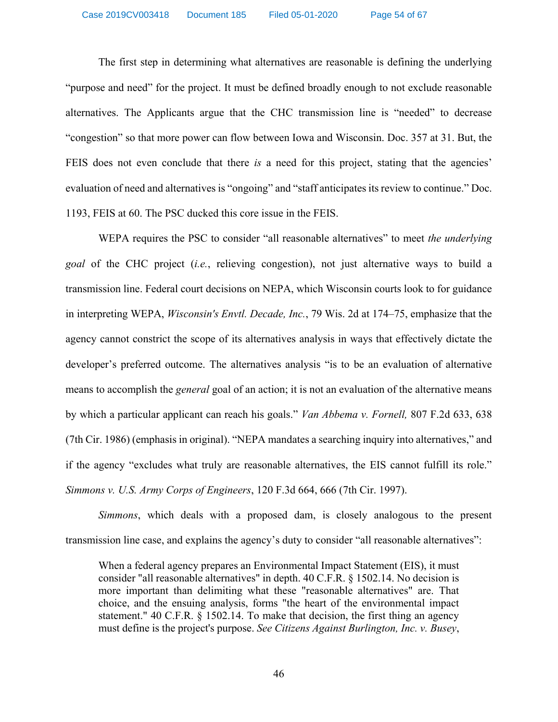The first step in determining what alternatives are reasonable is defining the underlying "purpose and need" for the project. It must be defined broadly enough to not exclude reasonable alternatives. The Applicants argue that the CHC transmission line is "needed" to decrease "congestion" so that more power can flow between Iowa and Wisconsin. [Doc. 357](http://apps.psc.wi.gov/vs2015/ERF_view/viewdoc.aspx?docid=352698) at 31. But, the FEIS does not even conclude that there *is* a need for this project, stating that the agencies' evaluation of need and alternatives is "ongoing" and "staff anticipates its review to continue." [Doc.](http://apps.psc.wi.gov/pages/viewdoc.htm?docid=366195)  [1193, FEIS](http://apps.psc.wi.gov/pages/viewdoc.htm?docid=366195) at 60. The PSC ducked this core issue in the FEIS.

WEPA requires the PSC to consider "all reasonable alternatives" to meet *the underlying goal* of the CHC project (*i.e.*, relieving congestion), not just alternative ways to build a transmission line. Federal court decisions on NEPA, which Wisconsin courts look to for guidance in interpreting WEPA, *Wisconsin's Envtl. Decade, Inc.*, 79 Wis. 2d at 174–75, emphasize that the agency cannot constrict the scope of its alternatives analysis in ways that effectively dictate the developer's preferred outcome. The alternatives analysis "is to be an evaluation of alternative means to accomplish the *general* goal of an action; it is not an evaluation of the alternative means by which a particular applicant can reach his goals." *Van Abbema v. Fornell,* 807 F.2d 633, 638 (7th Cir. 1986) (emphasis in original). "NEPA mandates a searching inquiry into alternatives," and if the agency "excludes what truly are reasonable alternatives, the EIS cannot fulfill its role." *Simmons v. U.S. Army Corps of Engineers*, 120 F.3d 664, 666 (7th Cir. 1997).

*Simmons*, which deals with a proposed dam, is closely analogous to the present transmission line case, and explains the agency's duty to consider "all reasonable alternatives":

When a federal agency prepares an Environmental Impact Statement (EIS), it must consider "all reasonable alternatives" in depth. 40 C.F.R. § 1502.14. No decision is more important than delimiting what these "reasonable alternatives" are. That choice, and the ensuing analysis, forms "the heart of the environmental impact statement." 40 C.F.R. § 1502.14. To make that decision, the first thing an agency must define is the project's purpose. *See Citizens Against Burlington, Inc. v. Busey*,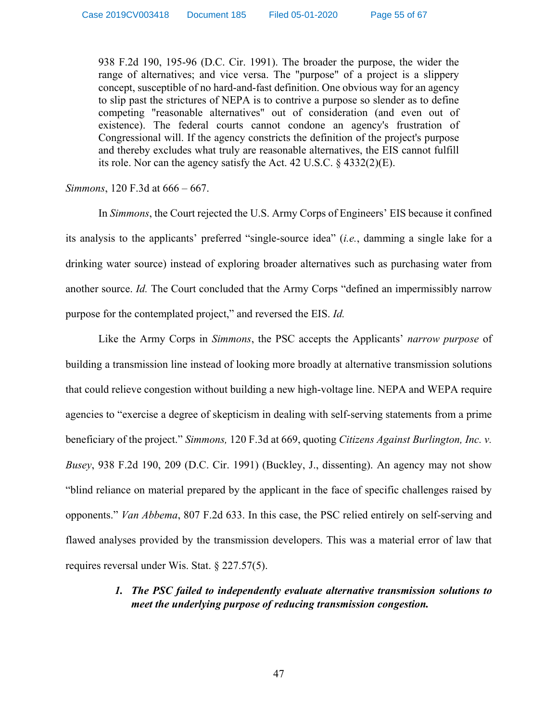938 F.2d 190, 195-96 (D.C. Cir. 1991). The broader the purpose, the wider the range of alternatives; and vice versa. The "purpose" of a project is a slippery concept, susceptible of no hard-and-fast definition. One obvious way for an agency to slip past the strictures of NEPA is to contrive a purpose so slender as to define competing "reasonable alternatives" out of consideration (and even out of existence). The federal courts cannot condone an agency's frustration of Congressional will. If the agency constricts the definition of the project's purpose and thereby excludes what truly are reasonable alternatives, the EIS cannot fulfill its role. Nor can the agency satisfy the Act. 42 U.S.C. § 4332(2)(E).

### *Simmons*, 120 F.3d at 666 – 667.

In *Simmons*, the Court rejected the U.S. Army Corps of Engineers' EIS because it confined its analysis to the applicants' preferred "single-source idea" (*i.e.*, damming a single lake for a drinking water source) instead of exploring broader alternatives such as purchasing water from another source. *Id.* The Court concluded that the Army Corps "defined an impermissibly narrow purpose for the contemplated project," and reversed the EIS. *Id.* 

Like the Army Corps in *Simmons*, the PSC accepts the Applicants' *narrow purpose* of building a transmission line instead of looking more broadly at alternative transmission solutions that could relieve congestion without building a new high-voltage line. NEPA and WEPA require agencies to "exercise a degree of skepticism in dealing with self-serving statements from a prime beneficiary of the project." *Simmons,* 120 F.3d at 669, quoting *Citizens Against Burlington, Inc. v. Busey*, 938 F.2d 190, 209 (D.C. Cir. 1991) (Buckley, J., dissenting). An agency may not show "blind reliance on material prepared by the applicant in the face of specific challenges raised by opponents." *Van Abbema*, 807 F.2d 633. In this case, the PSC relied entirely on self-serving and flawed analyses provided by the transmission developers. This was a material error of law that requires reversal under Wis. Stat. § 227.57(5).

# *1. The PSC failed to independently evaluate alternative transmission solutions to meet the underlying purpose of reducing transmission congestion.*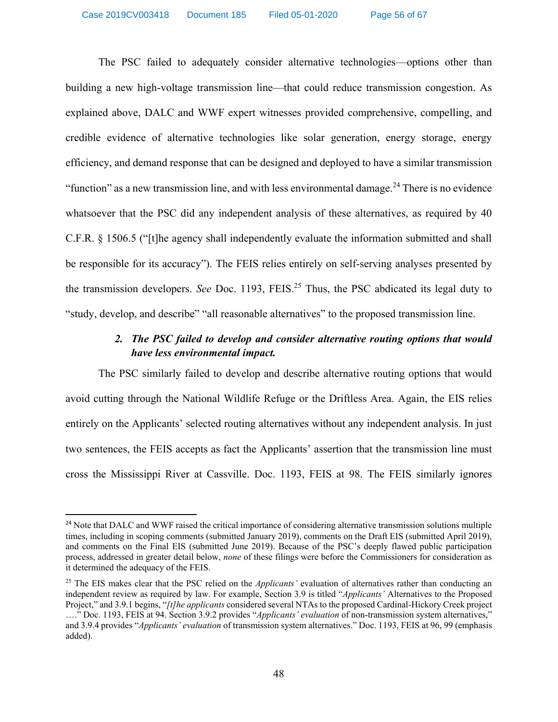The PSC failed to adequately consider alternative technologies—options other than building a new high-voltage transmission line—that could reduce transmission congestion. As explained above, DALC and WWF expert witnesses provided comprehensive, compelling, and credible evidence of alternative technologies like solar generation, energy storage, energy efficiency, and demand response that can be designed and deployed to have a similar transmission "function" as a new transmission line, and with less environmental damage.<sup>24</sup> There is no evidence whatsoever that the PSC did any independent analysis of these alternatives, as required by 40 C.F.R. § 1506.5 ("[t]he agency shall independently evaluate the information submitted and shall be responsible for its accuracy"). The FEIS relies entirely on self-serving analyses presented by the transmission developers. *See* [Doc. 1193,](http://apps.psc.wi.gov/pages/viewdoc.htm?docid=366195) FEIS. <sup>25</sup> Thus, the PSC abdicated its legal duty to "study, develop, and describe" "all reasonable alternatives" to the proposed transmission line.

# *2. The PSC failed to develop and consider alternative routing options that would have less environmental impact.*

The PSC similarly failed to develop and describe alternative routing options that would avoid cutting through the National Wildlife Refuge or the Driftless Area. Again, the EIS relies entirely on the Applicants' selected routing alternatives without any independent analysis. In just two sentences, the FEIS accepts as fact the Applicants' assertion that the transmission line must cross the Mississippi River at Cassville. Doc. 1193, FEIS at 98. The FEIS similarly ignores

<sup>&</sup>lt;sup>24</sup> Note that DALC and WWF raised the critical importance of considering alternative transmission solutions multiple times, including in scoping comments (submitted January 2019), comments on the Draft EIS (submitted April 2019), and comments on the Final EIS (submitted June 2019). Because of the PSC's deeply flawed public participation process, addressed in greater detail below, *none* of these filings were before the Commissioners for consideration as it determined the adequacy of the FEIS.

<sup>25</sup> The EIS makes clear that the PSC relied on the *Applicants'* evaluation of alternatives rather than conducting an independent review as required by law. For example, Section 3.9 is titled "*Applicants'* Alternatives to the Proposed Project," and 3.9.1 begins, "*[t]he applicants* considered several NTAs to the proposed Cardinal-Hickory Creek project …." [Doc. 1193, FEIS](http://apps.psc.wi.gov/vs2015/ERF_view/viewdoc.aspx?docid=366195) at 94. Section 3.9.2 provides "*Applicants' evaluation* of non-transmission system alternatives," and 3.9.4 provides "*Applicants' evaluation* of transmission system alternatives." [Doc. 1193, FEIS](http://apps.psc.wi.gov/vs2015/ERF_view/viewdoc.aspx?docid=366195) at 96, 99 (emphasis added).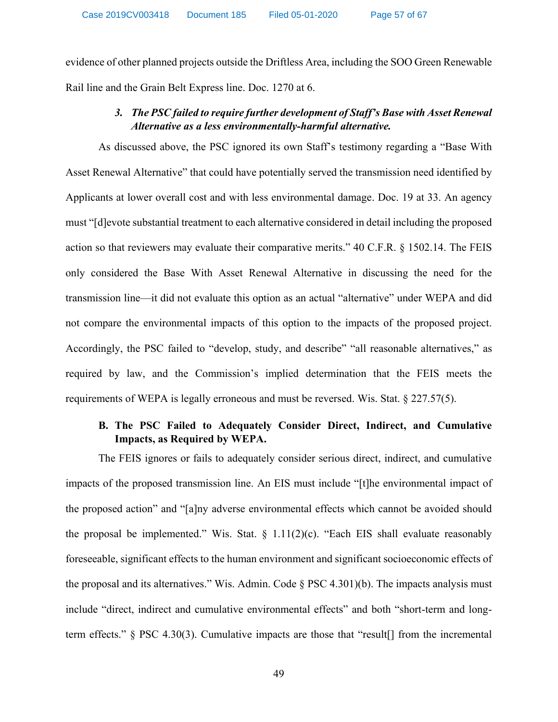evidence of other planned projects outside the Driftless Area, including the SOO Green Renewable Rail line and the Grain Belt Express line. [Doc. 1270](http://apps.psc.wi.gov/vs2015/ERF_view/viewdoc.aspx?docid=364109) at 6.

# *3. The PSC failed to require further development of Staff's Base with Asset Renewal Alternative as a less environmentally-harmful alternative.*

As discussed above, the PSC ignored its own Staff's testimony regarding a "Base With Asset Renewal Alternative" that could have potentially served the transmission need identified by Applicants at lower overall cost and with less environmental damage. [Doc. 19](http://apps.psc.wi.gov/pages/viewdoc.htm?docid=376391) at 33. An agency must "[d]evote substantial treatment to each alternative considered in detail including the proposed action so that reviewers may evaluate their comparative merits." 40 C.F.R. § 1502.14. The FEIS only considered the Base With Asset Renewal Alternative in discussing the need for the transmission line—it did not evaluate this option as an actual "alternative" under WEPA and did not compare the environmental impacts of this option to the impacts of the proposed project. Accordingly, the PSC failed to "develop, study, and describe" "all reasonable alternatives," as required by law, and the Commission's implied determination that the FEIS meets the requirements of WEPA is legally erroneous and must be reversed. Wis. Stat. § 227.57(5).

# **B. The PSC Failed to Adequately Consider Direct, Indirect, and Cumulative Impacts, as Required by WEPA.**

The FEIS ignores or fails to adequately consider serious direct, indirect, and cumulative impacts of the proposed transmission line. An EIS must include "[t]he environmental impact of the proposed action" and "[a]ny adverse environmental effects which cannot be avoided should the proposal be implemented." Wis. Stat.  $\S$  1.11(2)(c). "Each EIS shall evaluate reasonably foreseeable, significant effects to the human environment and significant socioeconomic effects of the proposal and its alternatives." Wis. Admin. Code § PSC 4.301)(b). The impacts analysis must include "direct, indirect and cumulative environmental effects" and both "short-term and longterm effects." § PSC 4.30(3). Cumulative impacts are those that "result[] from the incremental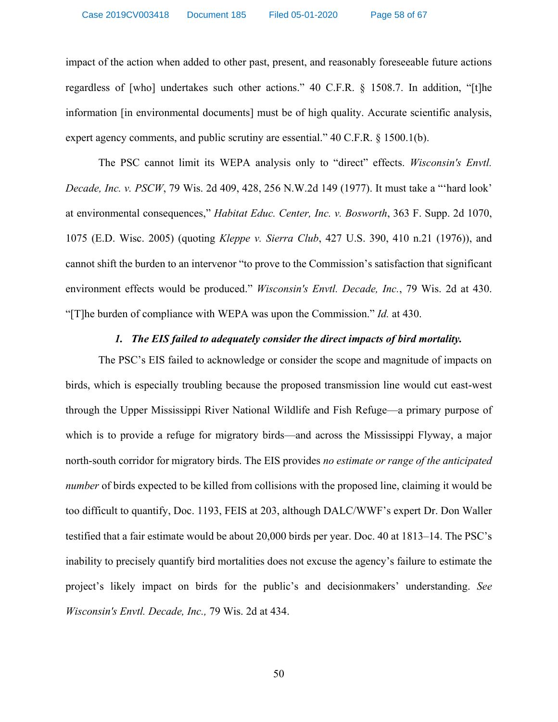impact of the action when added to other past, present, and reasonably foreseeable future actions regardless of [who] undertakes such other actions." 40 C.F.R. § 1508.7. In addition, "[t]he information [in environmental documents] must be of high quality. Accurate scientific analysis, expert agency comments, and public scrutiny are essential." 40 C.F.R. § 1500.1(b).

The PSC cannot limit its WEPA analysis only to "direct" effects. *Wisconsin's Envtl. Decade, Inc. v. PSCW*, 79 Wis. 2d 409, 428, 256 N.W.2d 149 (1977). It must take a "'hard look' at environmental consequences," *Habitat Educ. Center, Inc. v. Bosworth*, 363 F. Supp. 2d 1070, 1075 (E.D. Wisc. 2005) (quoting *Kleppe v. Sierra Club*, 427 U.S. 390, 410 n.21 (1976)), and cannot shift the burden to an intervenor "to prove to the Commission's satisfaction that significant environment effects would be produced." *Wisconsin's Envtl. Decade, Inc.*, 79 Wis. 2d at 430. "[T]he burden of compliance with WEPA was upon the Commission." *Id.* at 430.

### *1. The EIS failed to adequately consider the direct impacts of bird mortality.*

The PSC's EIS failed to acknowledge or consider the scope and magnitude of impacts on birds, which is especially troubling because the proposed transmission line would cut east-west through the Upper Mississippi River National Wildlife and Fish Refuge—a primary purpose of which is to provide a refuge for migratory birds—and across the Mississippi Flyway, a major north-south corridor for migratory birds. The EIS provides *no estimate or range of the anticipated number* of birds expected to be killed from collisions with the proposed line, claiming it would be too difficult to quantify, [Doc. 1193, FEIS](http://apps.psc.wi.gov/pages/viewdoc.htm?docid=366195) at 203, although DALC/WWF's expert Dr. Don Waller testified that a fair estimate would be about 20,000 birds per year. [Doc. 40](http://apps.psc.wi.gov/pages/viewdoc.htm?docid=372328) at 1813–14. The PSC's inability to precisely quantify bird mortalities does not excuse the agency's failure to estimate the project's likely impact on birds for the public's and decisionmakers' understanding. *See Wisconsin's Envtl. Decade, Inc.,* 79 Wis. 2d at 434.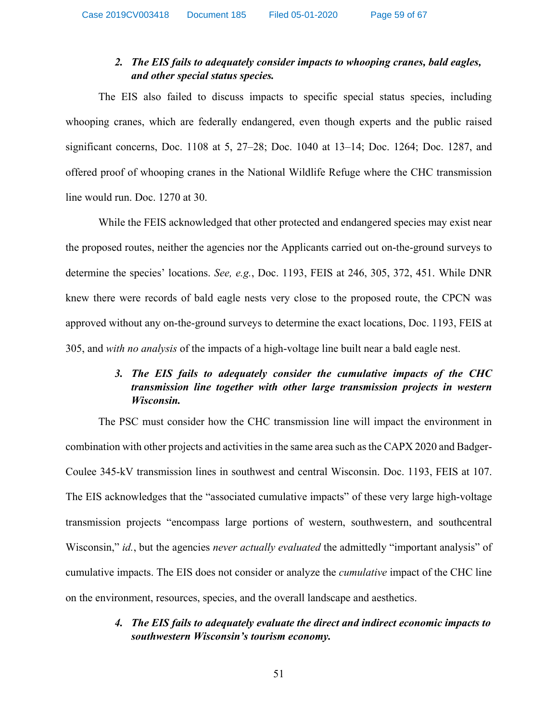# *2. The EIS fails to adequately consider impacts to whooping cranes, bald eagles, and other special status species.*

The EIS also failed to discuss impacts to specific special status species, including whooping cranes, which are federally endangered, even though experts and the public raised significant concerns, [Doc. 1108](http://apps.psc.wi.gov/pages/viewdoc.htm?docid=370579) at 5, 27–28; [Doc.](http://apps.psc.wi.gov/pages/viewdoc.htm?docid=364906) 1040 at 13–14; Doc. [1264;](http://apps.psc.wi.gov/vs2015/ERF_view/viewdoc.aspx?docid=364009) Doc. [1287,](http://apps.psc.wi.gov/vs2015/ERF_view/viewdoc.aspx?docid=364127) and offered proof of whooping cranes in the National Wildlife Refuge where the CHC transmission line would run. [Doc. 1270](http://apps.psc.wi.gov/vs2015/ERF_view/viewdoc.aspx?docid=364109) at 30.

While the FEIS acknowledged that other protected and endangered species may exist near the proposed routes, neither the agencies nor the Applicants carried out on-the-ground surveys to determine the species' locations. *See, e.g.*, [Doc. 1193, FEIS](http://apps.psc.wi.gov/pages/viewdoc.htm?docid=366195) at 246, 305, 372, 451. While DNR knew there were records of bald eagle nests very close to the proposed route, the CPCN was approved without any on-the-ground surveys to determine the exact locations, [Doc. 1193, FEIS](http://apps.psc.wi.gov/pages/viewdoc.htm?docid=366195) at 305, and *with no analysis* of the impacts of a high-voltage line built near a bald eagle nest.

# *3. The EIS fails to adequately consider the cumulative impacts of the CHC transmission line together with other large transmission projects in western Wisconsin.*

The PSC must consider how the CHC transmission line will impact the environment in combination with other projects and activities in the same area such asthe CAPX 2020 and Badger-Coulee 345-kV transmission lines in southwest and central Wisconsin. [Doc. 1193, FEIS](http://apps.psc.wi.gov/pages/viewdoc.htm?docid=366195) at 107. The EIS acknowledges that the "associated cumulative impacts" of these very large high-voltage transmission projects "encompass large portions of western, southwestern, and southcentral Wisconsin," *[id.](http://apps.psc.wi.gov/pages/viewdoc.htm?docid=366195)*, but the agencies *never actually evaluated* the admittedly "important analysis" of cumulative impacts. The EIS does not consider or analyze the *cumulative* impact of the CHC line on the environment, resources, species, and the overall landscape and aesthetics.

# *4. The EIS fails to adequately evaluate the direct and indirect economic impacts to southwestern Wisconsin's tourism economy.*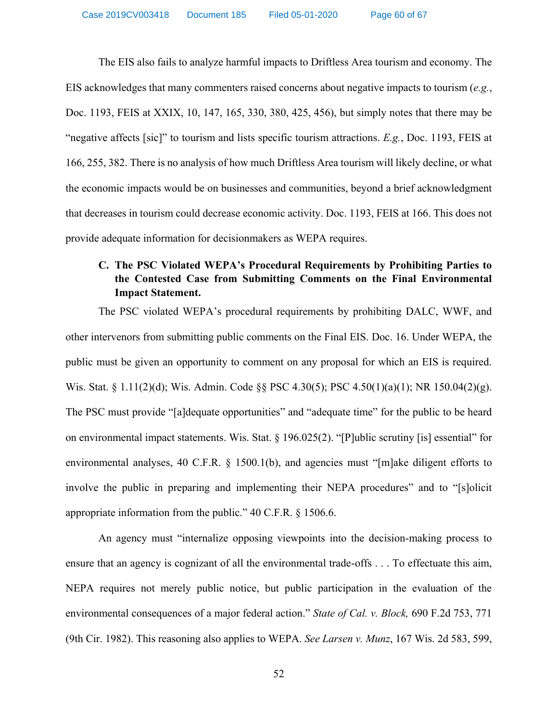The EIS also fails to analyze harmful impacts to Driftless Area tourism and economy. The EIS acknowledges that many commenters raised concerns about negative impacts to tourism (*e.g.*, [Doc. 1193, FEIS](http://apps.psc.wi.gov/pages/viewdoc.htm?docid=366195) at XXIX, 10, 147, 165, 330, 380, 425, 456), but simply notes that there may be "negative affects [sic]" to tourism and lists specific tourism attractions. *E.g.*, [Doc. 1193, FEIS](http://apps.psc.wi.gov/pages/viewdoc.htm?docid=366195) at 166, 255, 382. There is no analysis of how much Driftless Area tourism will likely decline, or what the economic impacts would be on businesses and communities, beyond a brief acknowledgment that decreases in tourism could decrease economic activity. [Doc. 1193, FEIS](http://apps.psc.wi.gov/pages/viewdoc.htm?docid=366195) at 166. This does not provide adequate information for decisionmakers as WEPA requires.

# **C. The PSC Violated WEPA's Procedural Requirements by Prohibiting Parties to the Contested Case from Submitting Comments on the Final Environmental Impact Statement.**

The PSC violated WEPA's procedural requirements by prohibiting DALC, WWF, and other intervenors from submitting public comments on the Final EIS. [Doc. 16.](http://apps.psc.wi.gov/pages/viewdoc.htm?docid=372370) Under WEPA, the public must be given an opportunity to comment on any proposal for which an EIS is required. Wis. Stat. § 1.11(2)(d); Wis. Admin. Code §§ PSC 4.30(5); PSC 4.50(1)(a)(1); NR 150.04(2)(g). The PSC must provide "[a]dequate opportunities" and "adequate time" for the public to be heard on environmental impact statements. Wis. Stat. § 196.025(2). "[P]ublic scrutiny [is] essential" for environmental analyses, 40 C.F.R. § 1500.1(b), and agencies must "[m]ake diligent efforts to involve the public in preparing and implementing their NEPA procedures" and to "[s]olicit appropriate information from the public." 40 C.F.R. § 1506.6.

An agency must "internalize opposing viewpoints into the decision-making process to ensure that an agency is cognizant of all the environmental trade-offs . . . To effectuate this aim, NEPA requires not merely public notice, but public participation in the evaluation of the environmental consequences of a major federal action." *State of Cal. v. Block,* 690 F.2d 753, 771 (9th Cir. 1982). This reasoning also applies to WEPA. *See Larsen v. Munz*, 167 Wis. 2d 583, 599,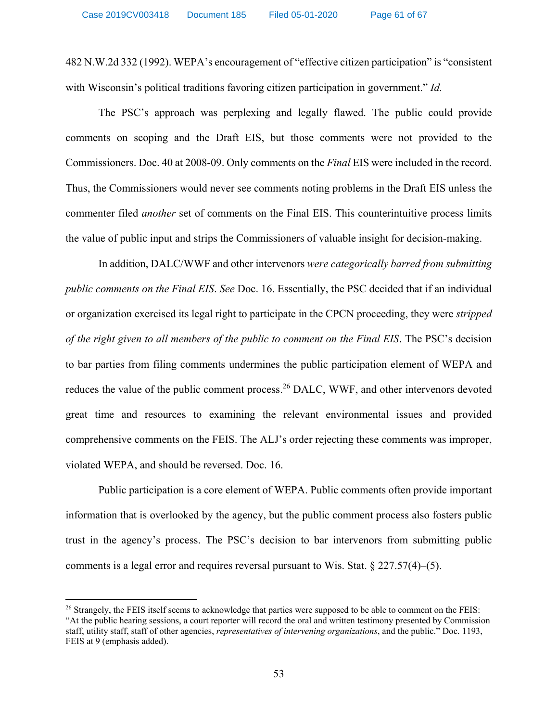482 N.W.2d 332 (1992). WEPA's encouragement of "effective citizen participation" is "consistent with Wisconsin's political traditions favoring citizen participation in government." *Id.*

The PSC's approach was perplexing and legally flawed. The public could provide comments on scoping and the Draft EIS, but those comments were not provided to the Commissioners. [Doc. 40](http://apps.psc.wi.gov/pages/viewdoc.htm?docid=372328) at 2008-09. Only comments on the *Final* EIS were included in the record. Thus, the Commissioners would never see comments noting problems in the Draft EIS unless the commenter filed *another* set of comments on the Final EIS. This counterintuitive process limits the value of public input and strips the Commissioners of valuable insight for decision-making.

In addition, DALC/WWF and other intervenors *were categorically barred from submitting public comments on the Final EIS*. *See* [Doc. 16.](http://apps.psc.wi.gov/pages/viewdoc.htm?docid=372370) Essentially, the PSC decided that if an individual or organization exercised its legal right to participate in the CPCN proceeding, they were *stripped of the right given to all members of the public to comment on the Final EIS*. The PSC's decision to bar parties from filing comments undermines the public participation element of WEPA and reduces the value of the public comment process.<sup>26</sup> DALC, WWF, and other intervenors devoted great time and resources to examining the relevant environmental issues and provided comprehensive comments on the FEIS. The ALJ's order rejecting these comments was improper, violated WEPA, and should be reversed. [Doc. 16.](http://apps.psc.wi.gov/pages/viewdoc.htm?docid=372370)

Public participation is a core element of WEPA. Public comments often provide important information that is overlooked by the agency, but the public comment process also fosters public trust in the agency's process. The PSC's decision to bar intervenors from submitting public comments is a legal error and requires reversal pursuant to Wis. Stat. § 227.57(4)–(5).

 $\overline{\phantom{a}}$ 

<sup>&</sup>lt;sup>26</sup> Strangely, the FEIS itself seems to acknowledge that parties were supposed to be able to comment on the FEIS: "At the public hearing sessions, a court reporter will record the oral and written testimony presented by Commission staff, utility staff, staff of other agencies, *representatives of intervening organizations*, and the public." [Doc. 1193,](http://apps.psc.wi.gov/vs2015/ERF_view/viewdoc.aspx?docid=366195)  [FEIS](http://apps.psc.wi.gov/vs2015/ERF_view/viewdoc.aspx?docid=366195) at 9 (emphasis added).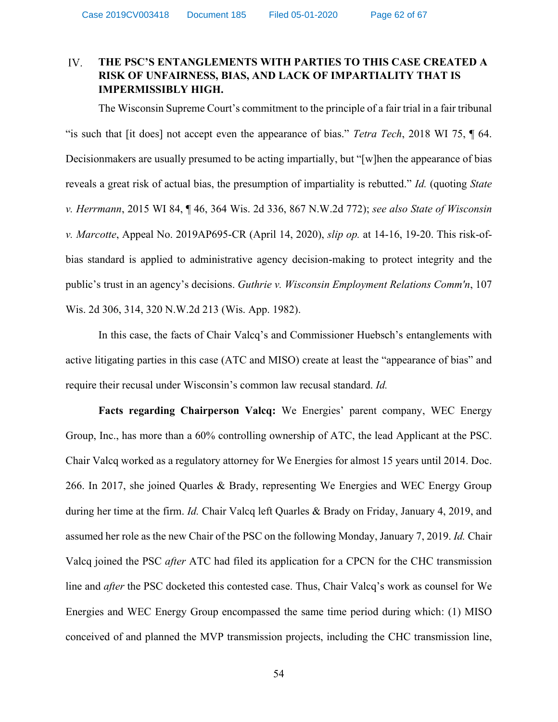### IV. **THE PSC'S ENTANGLEMENTS WITH PARTIES TO THIS CASE CREATED A RISK OF UNFAIRNESS, BIAS, AND LACK OF IMPARTIALITY THAT IS IMPERMISSIBLY HIGH.**

The Wisconsin Supreme Court's commitment to the principle of a fair trial in a fair tribunal "is such that [it does] not accept even the appearance of bias." *Tetra Tech*, 2018 WI 75, ¶ 64. Decisionmakers are usually presumed to be acting impartially, but "[w]hen the appearance of bias reveals a great risk of actual bias, the presumption of impartiality is rebutted." *Id.* (quoting *State v. Herrmann*, 2015 WI 84, ¶ 46, 364 Wis. 2d 336, 867 N.W.2d 772); *see also State of Wisconsin v. Marcotte*, Appeal No. 2019AP695-CR (April 14, 2020), *[slip op.](https://www.wicourts.gov/ca/opinion/DisplayDocument.pdf?content=pdf&seqNo=257978)* at 14-16, 19-20. This risk-ofbias standard is applied to administrative agency decision-making to protect integrity and the public's trust in an agency's decisions. *Guthrie v. Wisconsin Employment Relations Comm'n*, 107 Wis. 2d 306, 314, 320 N.W.2d 213 (Wis. App. 1982).

In this case, the facts of Chair Valcq's and Commissioner Huebsch's entanglements with active litigating parties in this case (ATC and MISO) create at least the "appearance of bias" and require their recusal under Wisconsin's common law recusal standard. *Id.*

**Facts regarding Chairperson Valcq:** We Energies' parent company, WEC Energy Group, Inc., has more than a 60% controlling ownership of ATC, the lead Applicant at the PSC. Chair Valcq worked as a regulatory attorney for We Energies for almost 15 years until 2014. [Doc.](http://apps.psc.wi.gov/pages/viewdoc.htm?docid=376074)  [266.](http://apps.psc.wi.gov/pages/viewdoc.htm?docid=376074) In 2017, she joined Quarles & Brady, representing We Energies and WEC Energy Group during her time at the firm. *[Id.](http://apps.psc.wi.gov/pages/viewdoc.htm?docid=376074)* Chair Valcq left Quarles & Brady on Friday, January 4, 2019, and assumed her role as the new Chair of the PSC on the following Monday, January 7, 2019. *[Id.](http://apps.psc.wi.gov/pages/viewdoc.htm?docid=376074)* Chair Valcq joined the PSC *after* ATC had filed its application for a CPCN for the CHC transmission line and *after* the PSC docketed this contested case. Thus, Chair Valcq's work as counsel for We Energies and WEC Energy Group encompassed the same time period during which: (1) MISO conceived of and planned the MVP transmission projects, including the CHC transmission line,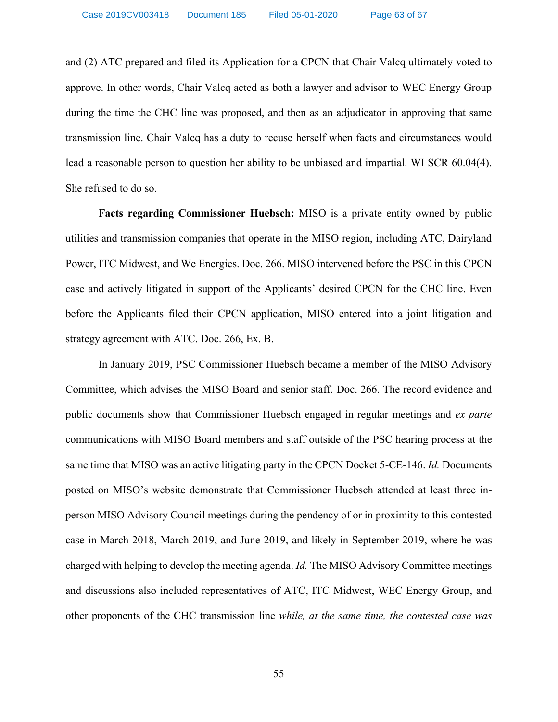and (2) ATC prepared and filed its Application for a CPCN that Chair Valcq ultimately voted to approve. In other words, Chair Valcq acted as both a lawyer and advisor to WEC Energy Group during the time the CHC line was proposed, and then as an adjudicator in approving that same transmission line. Chair Valcq has a duty to recuse herself when facts and circumstances would lead a reasonable person to question her ability to be unbiased and impartial. WI SCR 60.04(4). She refused to do so.

**Facts regarding Commissioner Huebsch:** MISO is a private entity owned by public utilities and transmission companies that operate in the MISO region, including ATC, Dairyland Power, ITC Midwest, and We Energies. Doc. 266. MISO intervened before the PSC in this CPCN case and actively litigated in support of the Applicants' desired CPCN for the CHC line. Even before the Applicants filed their CPCN application, MISO entered into a joint litigation and strategy agreement with ATC. [Doc. 266,](http://apps.psc.wi.gov/pages/viewdoc.htm?docid=376074) Ex. B.

In January 2019, PSC Commissioner Huebsch became a member of the MISO Advisory Committee, which advises the MISO Board and senior staff. [Doc. 266.](http://apps.psc.wi.gov/pages/viewdoc.htm?docid=376074) The record evidence and public documents show that Commissioner Huebsch engaged in regular meetings and *ex parte*  communications with MISO Board members and staff outside of the PSC hearing process at the same time that MISO was an active litigating party in the CPCN Docket 5-CE-146. *[Id.](http://apps.psc.wi.gov/pages/viewdoc.htm?docid=376074)* Documents posted on MISO's website demonstrate that Commissioner Huebsch attended at least three inperson MISO Advisory Council meetings during the pendency of or in proximity to this contested case in March 2018, March 2019, and June 2019, and likely in September 2019, where he was charged with helping to develop the meeting agenda. *[Id.](http://apps.psc.wi.gov/pages/viewdoc.htm?docid=376074)* The MISO Advisory Committee meetings and discussions also included representatives of ATC, ITC Midwest, WEC Energy Group, and other proponents of the CHC transmission line *while, at the same time, the contested case was*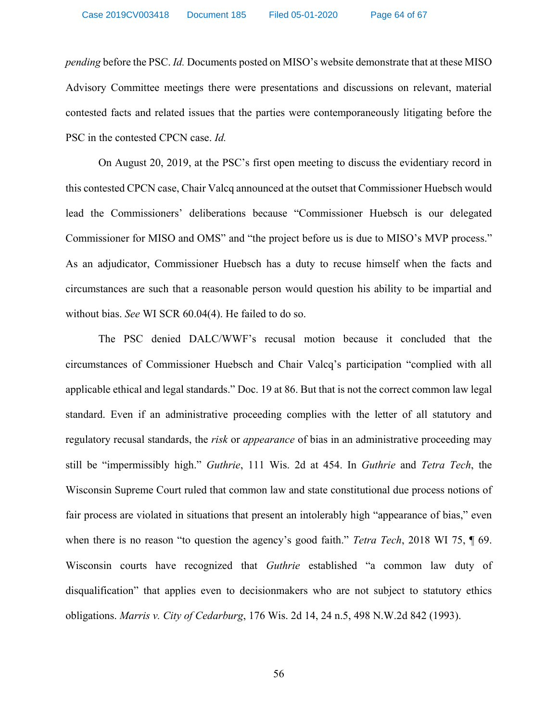*pending* before the PSC. *[Id.](http://apps.psc.wi.gov/pages/viewdoc.htm?docid=376074)* Documents posted on MISO's website demonstrate that at these MISO Advisory Committee meetings there were presentations and discussions on relevant, material contested facts and related issues that the parties were contemporaneously litigating before the PSC in the contested CPCN case. *[Id.](http://apps.psc.wi.gov/pages/viewdoc.htm?docid=376074)*

On August 20, 2019, at the PSC's first open meeting to discuss the evidentiary record in this contested CPCN case, Chair Valcq announced at the outset that Commissioner Huebsch would lead the Commissioners' deliberations because "Commissioner Huebsch is our delegated Commissioner for MISO and OMS" and "the project before us is due to MISO's MVP process." As an adjudicator, Commissioner Huebsch has a duty to recuse himself when the facts and circumstances are such that a reasonable person would question his ability to be impartial and without bias. *See* WI SCR 60.04(4). He failed to do so.

The PSC denied DALC/WWF's recusal motion because it concluded that the circumstances of Commissioner Huebsch and Chair Valcq's participation "complied with all applicable ethical and legal standards." [Doc. 19](http://apps.psc.wi.gov/pages/viewdoc.htm?docid=376391) at 86. But that is not the correct common law legal standard. Even if an administrative proceeding complies with the letter of all statutory and regulatory recusal standards, the *risk* or *appearance* of bias in an administrative proceeding may still be "impermissibly high." *Guthrie*, 111 Wis. 2d at 454. In *Guthrie* and *Tetra Tech*, the Wisconsin Supreme Court ruled that common law and state constitutional due process notions of fair process are violated in situations that present an intolerably high "appearance of bias," even when there is no reason "to question the agency's good faith." *Tetra Tech*, 2018 WI 75, ¶ 69. Wisconsin courts have recognized that *Guthrie* established "a common law duty of disqualification" that applies even to decisionmakers who are not subject to statutory ethics obligations. *Marris v. City of Cedarburg*, 176 Wis. 2d 14, 24 n.5, 498 N.W.2d 842 (1993).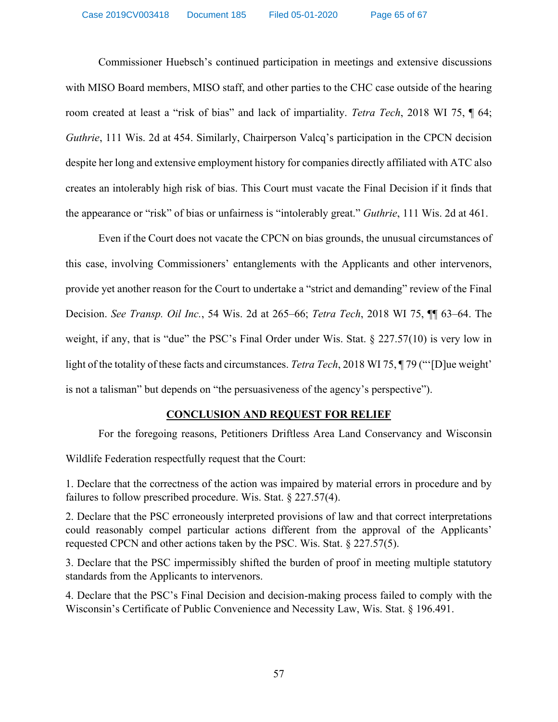Commissioner Huebsch's continued participation in meetings and extensive discussions with MISO Board members, MISO staff, and other parties to the CHC case outside of the hearing room created at least a "risk of bias" and lack of impartiality. *Tetra Tech*, 2018 WI 75, ¶ 64; *Guthrie*, 111 Wis. 2d at 454. Similarly, Chairperson Valcq's participation in the CPCN decision despite her long and extensive employment history for companies directly affiliated with ATC also creates an intolerably high risk of bias. This Court must vacate the Final Decision if it finds that the appearance or "risk" of bias or unfairness is "intolerably great." *Guthrie*, 111 Wis. 2d at 461.

Even if the Court does not vacate the CPCN on bias grounds, the unusual circumstances of this case, involving Commissioners' entanglements with the Applicants and other intervenors, provide yet another reason for the Court to undertake a "strict and demanding" review of the Final Decision. *See Transp. Oil Inc.*, 54 Wis. 2d at 265–66; *Tetra Tech*, 2018 WI 75, ¶¶ 63–64. The weight, if any, that is "due" the PSC's Final Order under Wis. Stat.  $\S$  227.57(10) is very low in light of the totality of these facts and circumstances. *Tetra Tech*, 2018 WI 75, ¶ 79 ("'[D]ue weight' is not a talisman" but depends on "the persuasiveness of the agency's perspective").

### **CONCLUSION AND REQUEST FOR RELIEF**

For the foregoing reasons, Petitioners Driftless Area Land Conservancy and Wisconsin

Wildlife Federation respectfully request that the Court:

1. Declare that the correctness of the action was impaired by material errors in procedure and by failures to follow prescribed procedure. Wis. Stat. § 227.57(4).

2. Declare that the PSC erroneously interpreted provisions of law and that correct interpretations could reasonably compel particular actions different from the approval of the Applicants' requested CPCN and other actions taken by the PSC. Wis. Stat. § 227.57(5).

3. Declare that the PSC impermissibly shifted the burden of proof in meeting multiple statutory standards from the Applicants to intervenors.

4. Declare that the PSC's Final Decision and decision-making process failed to comply with the Wisconsin's Certificate of Public Convenience and Necessity Law, Wis. Stat. § 196.491.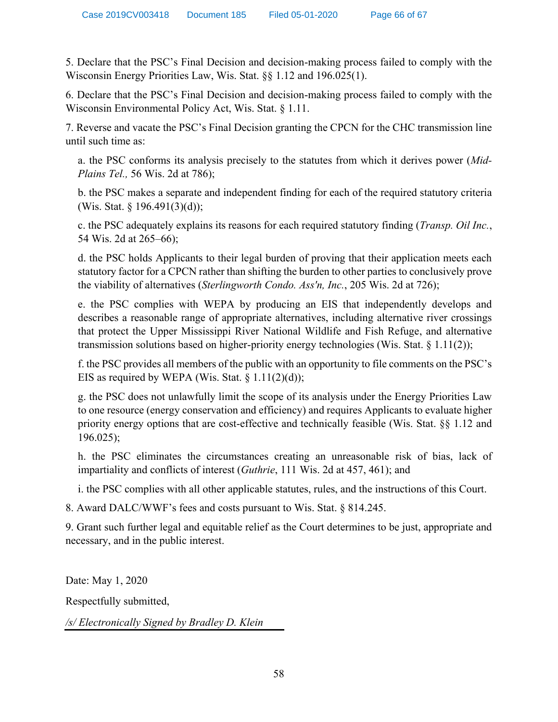5. Declare that the PSC's Final Decision and decision-making process failed to comply with the Wisconsin Energy Priorities Law, Wis. Stat. §§ 1.12 and 196.025(1).

6. Declare that the PSC's Final Decision and decision-making process failed to comply with the Wisconsin Environmental Policy Act, Wis. Stat. § 1.11.

7. Reverse and vacate the PSC's Final Decision granting the CPCN for the CHC transmission line until such time as:

a. the PSC conforms its analysis precisely to the statutes from which it derives power (*Mid-Plains Tel.,* 56 Wis. 2d at 786);

b. the PSC makes a separate and independent finding for each of the required statutory criteria (Wis. Stat. § 196.491(3)(d));

c. the PSC adequately explains its reasons for each required statutory finding (*Transp. Oil Inc.*, 54 Wis. 2d at 265–66);

d. the PSC holds Applicants to their legal burden of proving that their application meets each statutory factor for a CPCN rather than shifting the burden to other parties to conclusively prove the viability of alternatives (*Sterlingworth Condo. Ass'n, Inc.*, 205 Wis. 2d at 726);

e. the PSC complies with WEPA by producing an EIS that independently develops and describes a reasonable range of appropriate alternatives, including alternative river crossings that protect the Upper Mississippi River National Wildlife and Fish Refuge, and alternative transmission solutions based on higher-priority energy technologies (Wis. Stat. § 1.11(2));

f. the PSC provides all members of the public with an opportunity to file comments on the PSC's EIS as required by WEPA (Wis. Stat.  $\{1.11(2)(d)\}$ );

g. the PSC does not unlawfully limit the scope of its analysis under the Energy Priorities Law to one resource (energy conservation and efficiency) and requires Applicants to evaluate higher priority energy options that are cost-effective and technically feasible (Wis. Stat. §§ 1.12 and 196.025);

h. the PSC eliminates the circumstances creating an unreasonable risk of bias, lack of impartiality and conflicts of interest (*Guthrie*, 111 Wis. 2d at 457, 461); and

i. the PSC complies with all other applicable statutes, rules, and the instructions of this Court.

8. Award DALC/WWF's fees and costs pursuant to Wis. Stat. § 814.245.

9. Grant such further legal and equitable relief as the Court determines to be just, appropriate and necessary, and in the public interest.

Date: May 1, 2020

Respectfully submitted,

*/s/ Electronically Signed by Bradley D. Klein*